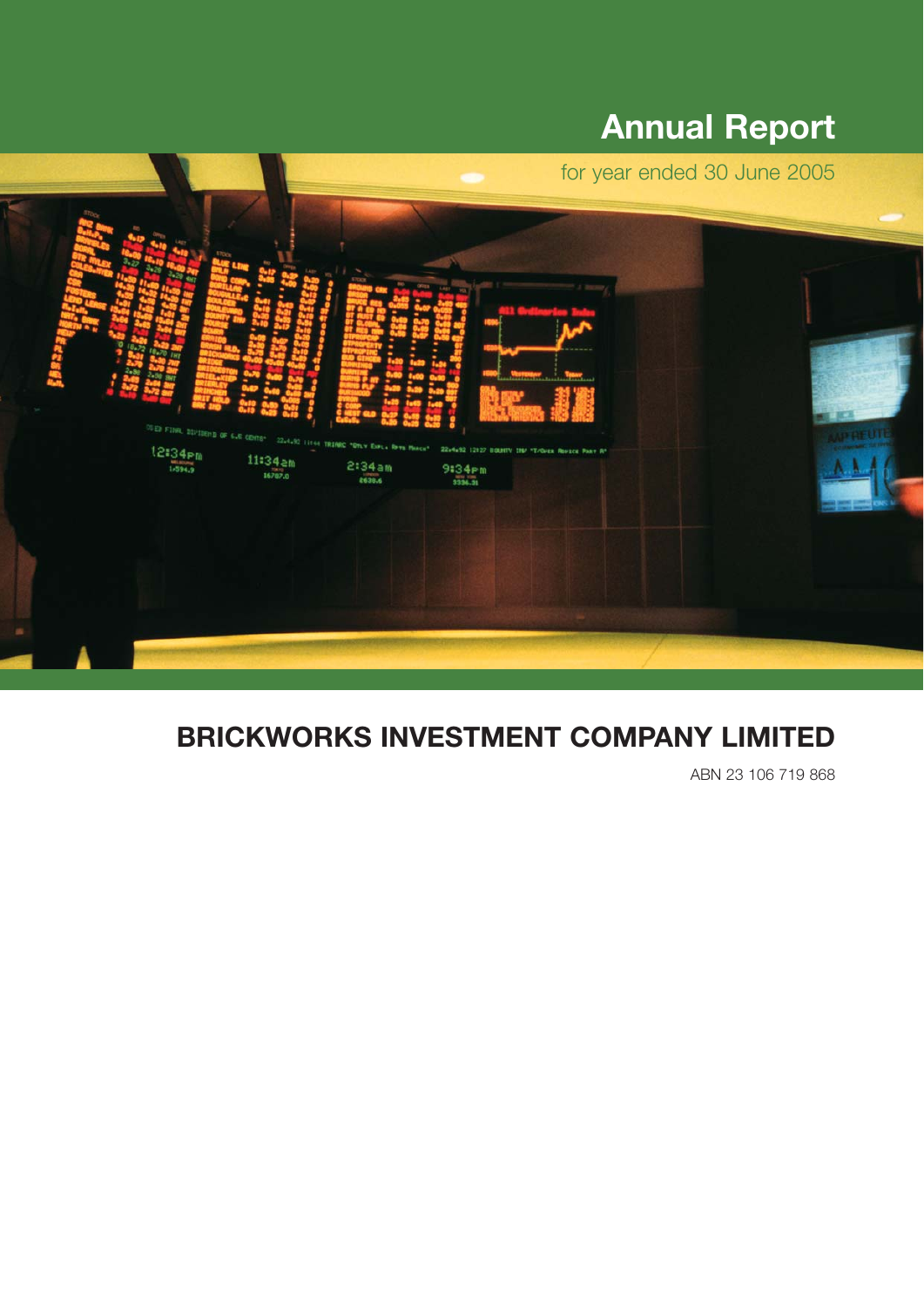# **Annual Report**



# **BRICKWORKS INVESTMENT COMPANY LIMITED**

ABN 23 106 719 868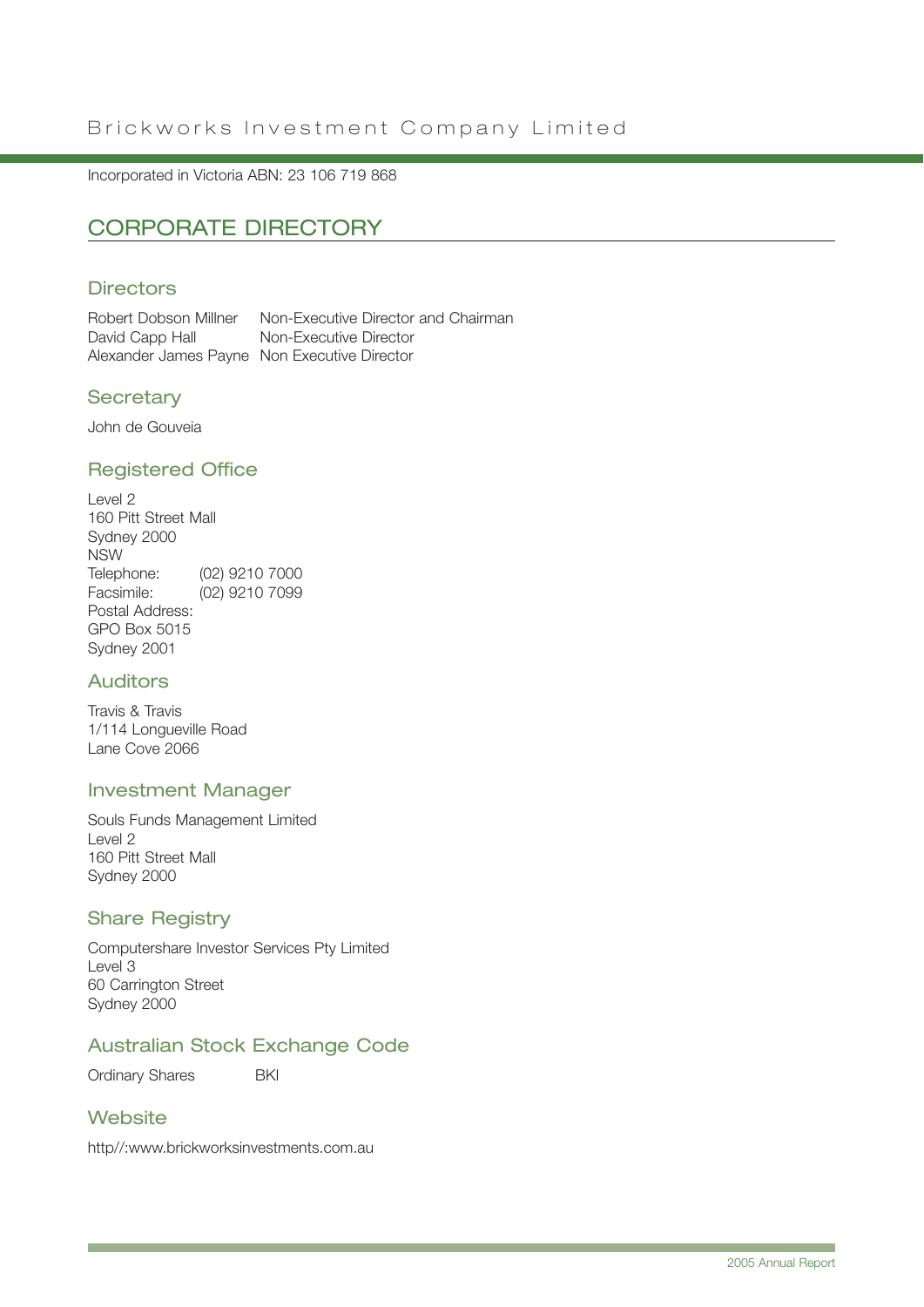Incorporated in Victoria ABN: 23 106 719 868

## CORPORATE DIRECTORY

### **Directors**

Robert Dobson Millner Non-Executive Director and Chairman<br>David Capp Hall Mon-Executive Director **Non-Executive Director** Alexander James Payne Non Executive Director

### **Secretary**

John de Gouveia

### Registered Office

Level 2 160 Pitt Street Mall Sydney 2000 NSW Telephone: (02) 9210 7000 Facsimile: (02) 9210 7099 Postal Address: GPO Box 5015 Sydney 2001

### Auditors

Travis & Travis 1/114 Longueville Road Lane Cove 2066

#### Investment Manager

Souls Funds Management Limited Level 2 160 Pitt Street Mall Sydney 2000

### Share Registry

Computershare Investor Services Pty Limited Level 3 60 Carrington Street Sydney 2000

### Australian Stock Exchange Code

Ordinary Shares **BKI** 

### **Website**

http//:www.brickworksinvestments.com.au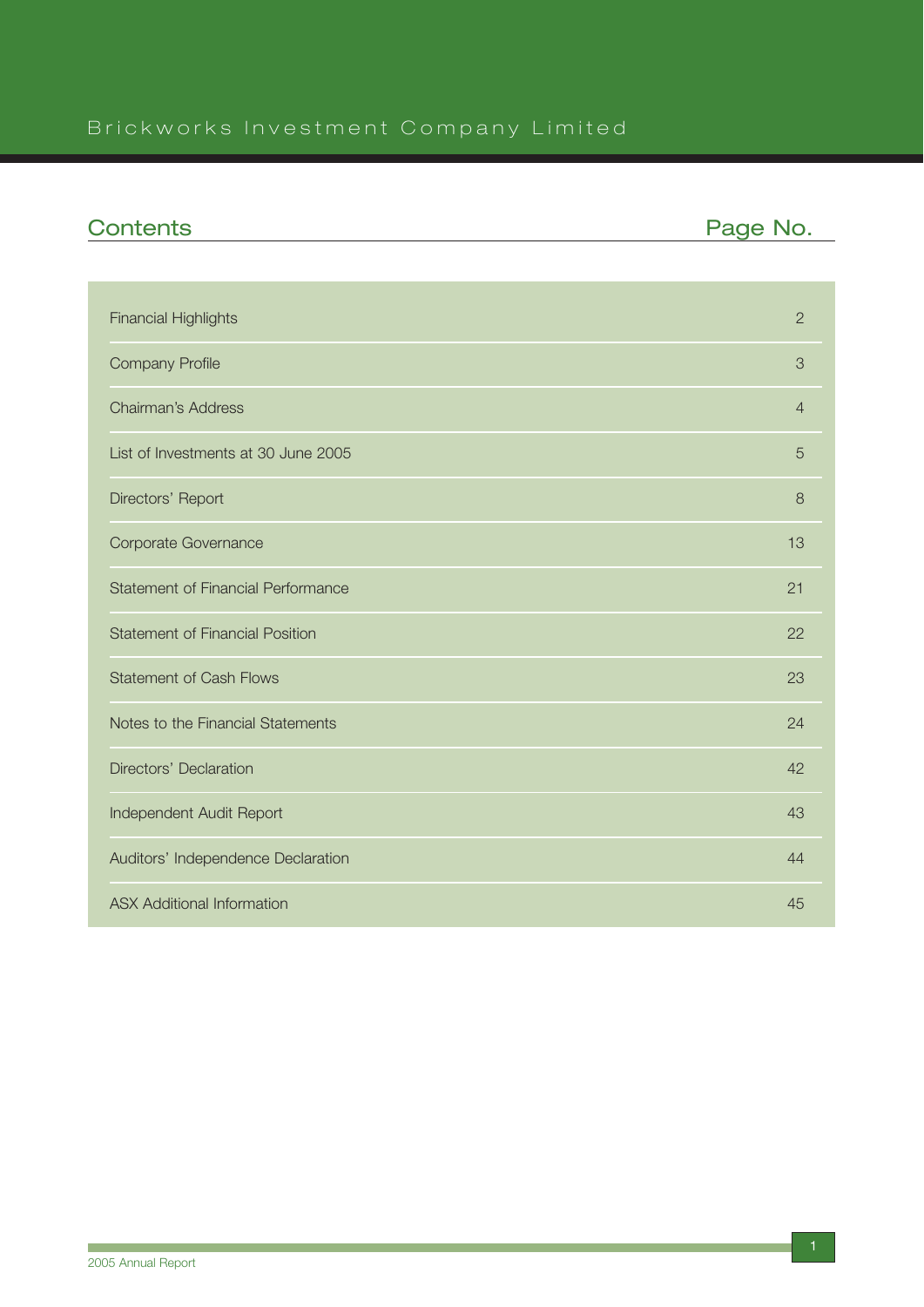| <b>Contents</b>                           | Page No.       |
|-------------------------------------------|----------------|
|                                           |                |
| <b>Financial Highlights</b>               | $\overline{2}$ |
| <b>Company Profile</b>                    | 3              |
| <b>Chairman's Address</b>                 | $\overline{4}$ |
| List of Investments at 30 June 2005       | 5              |
| Directors' Report                         | 8              |
| Corporate Governance                      | 13             |
| <b>Statement of Financial Performance</b> | 21             |
| <b>Statement of Financial Position</b>    | 22             |
| <b>Statement of Cash Flows</b>            | 23             |
| Notes to the Financial Statements         | 24             |
| Directors' Declaration                    | 42             |
| Independent Audit Report                  | 43             |
| Auditors' Independence Declaration        | 44             |
| <b>ASX Additional Information</b>         | 45             |

**The Common**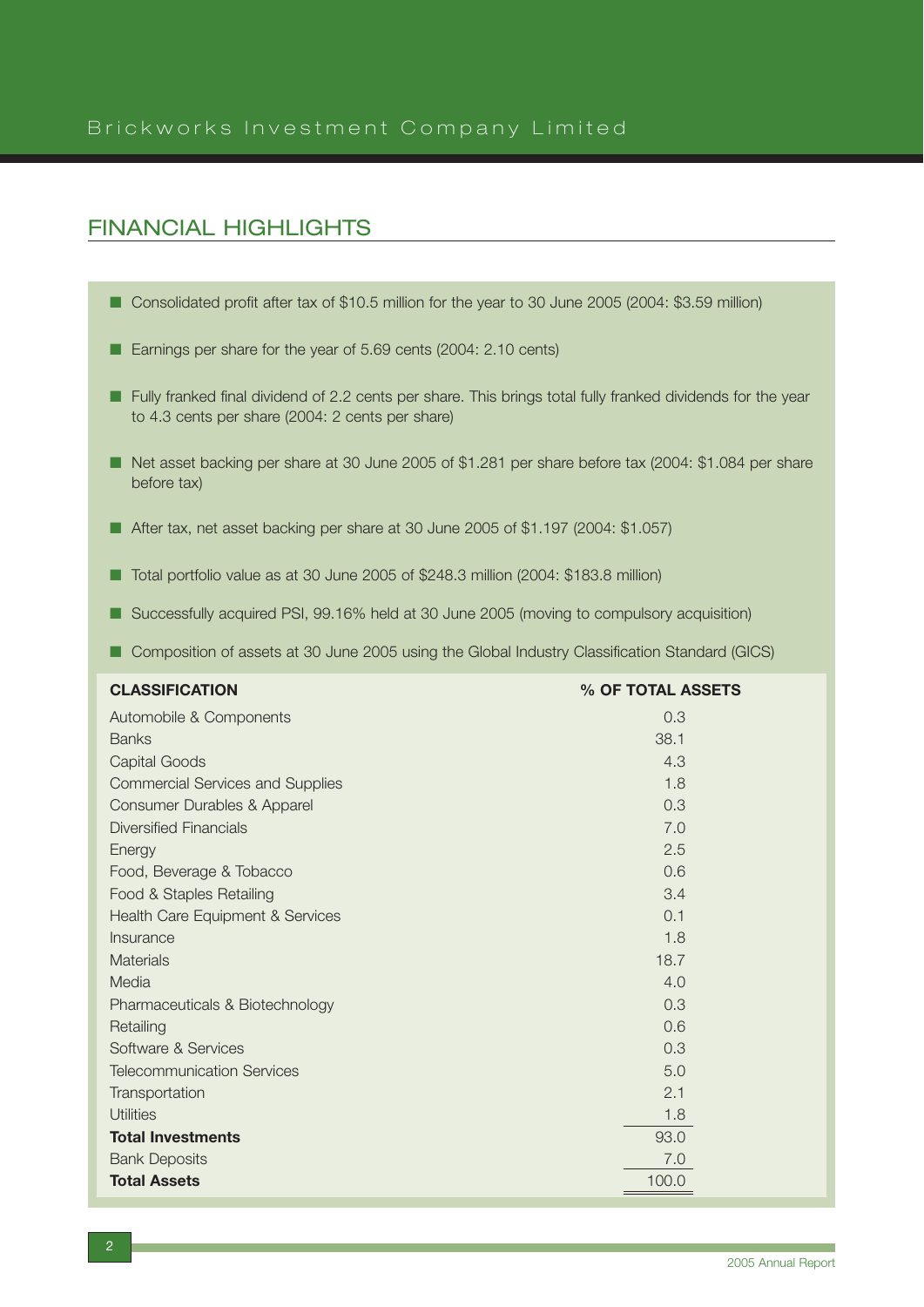## FINANCIAL HIGHLIGHTS

- Consolidated profit after tax of \$10.5 million for the year to 30 June 2005 (2004: \$3.59 million)
- Earnings per share for the year of 5.69 cents (2004: 2.10 cents)
- Fully franked final dividend of 2.2 cents per share. This brings total fully franked dividends for the year to 4.3 cents per share (2004: 2 cents per share)
- Net asset backing per share at 30 June 2005 of \$1.281 per share before tax (2004: \$1.084 per share before tax)
- After tax, net asset backing per share at 30 June 2005 of \$1.197 (2004: \$1.057)
- Total portfolio value as at 30 June 2005 of \$248.3 million (2004: \$183.8 million)
- Successfully acquired PSI, 99.16% held at 30 June 2005 (moving to compulsory acquisition)
- Composition of assets at 30 June 2005 using the Global Industry Classification Standard (GICS)

| <b>CLASSIFICATION</b>                   | % OF TOTAL ASSETS |
|-----------------------------------------|-------------------|
| Automobile & Components                 | 0.3               |
| <b>Banks</b>                            | 38.1              |
| Capital Goods                           | 4.3               |
| <b>Commercial Services and Supplies</b> | 1.8               |
| Consumer Durables & Apparel             | 0.3               |
| <b>Diversified Financials</b>           | 7.0               |
| Energy                                  | 2.5               |
| Food, Beverage & Tobacco                | 0.6               |
| Food & Staples Retailing                | 3.4               |
| Health Care Equipment & Services        | 0.1               |
| Insurance                               | 1.8               |
| <b>Materials</b>                        | 18.7              |
| Media                                   | 4.0               |
| Pharmaceuticals & Biotechnology         | 0.3               |
| Retailing                               | 0.6               |
| Software & Services                     | 0.3               |
| <b>Telecommunication Services</b>       | 5.0               |
| Transportation                          | 2.1               |
| <b>Utilities</b>                        | 1.8               |
| <b>Total Investments</b>                | 93.0              |
| <b>Bank Deposits</b>                    | 7.0               |
| <b>Total Assets</b>                     | 100.0             |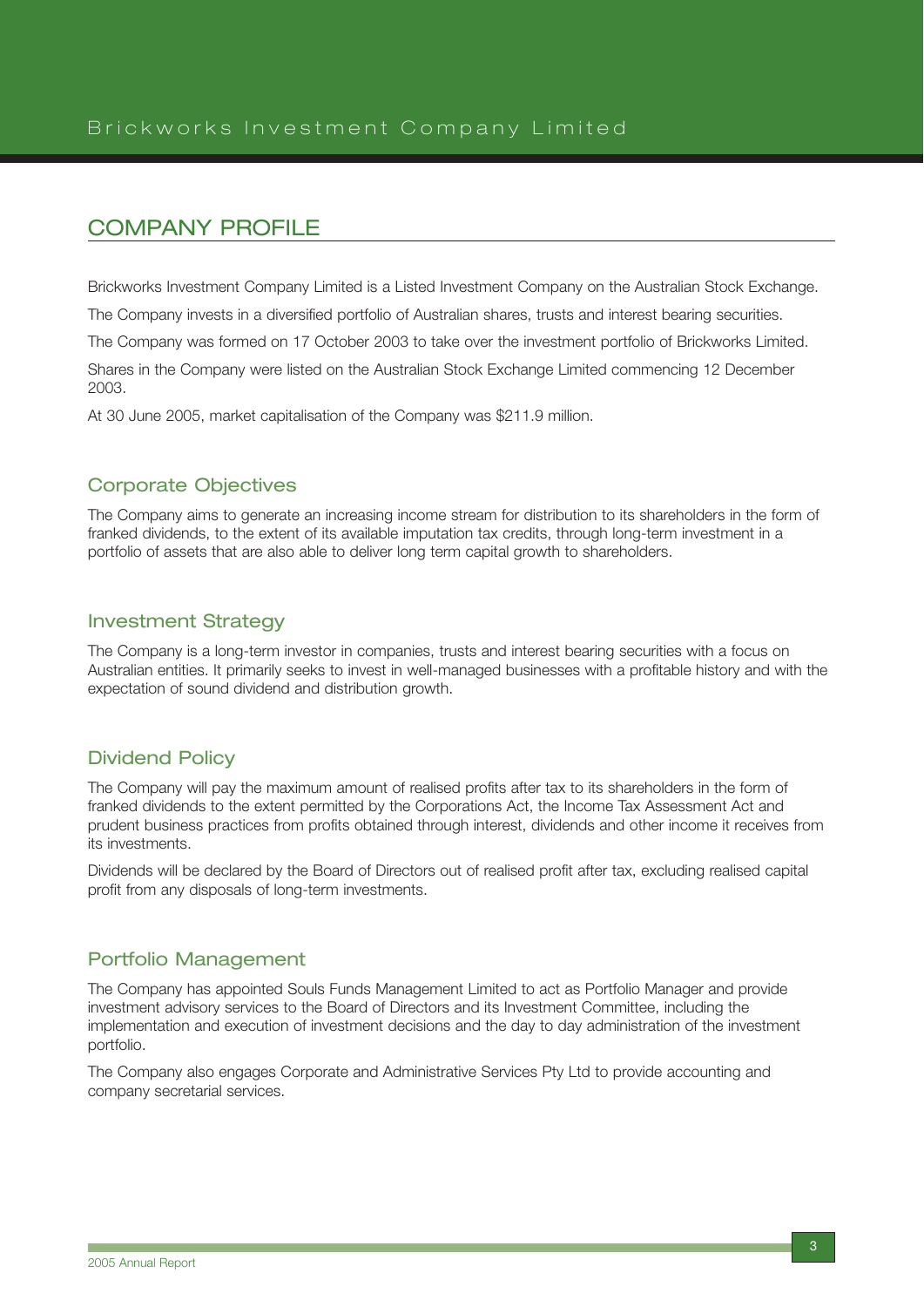## COMPANY PROFILE

Brickworks Investment Company Limited is a Listed Investment Company on the Australian Stock Exchange.

The Company invests in a diversified portfolio of Australian shares, trusts and interest bearing securities.

The Company was formed on 17 October 2003 to take over the investment portfolio of Brickworks Limited.

Shares in the Company were listed on the Australian Stock Exchange Limited commencing 12 December 2003.

At 30 June 2005, market capitalisation of the Company was \$211.9 million.

### Corporate Objectives

The Company aims to generate an increasing income stream for distribution to its shareholders in the form of franked dividends, to the extent of its available imputation tax credits, through long-term investment in a portfolio of assets that are also able to deliver long term capital growth to shareholders.

### Investment Strategy

The Company is a long-term investor in companies, trusts and interest bearing securities with a focus on Australian entities. It primarily seeks to invest in well-managed businesses with a profitable history and with the expectation of sound dividend and distribution growth.

### Dividend Policy

The Company will pay the maximum amount of realised profits after tax to its shareholders in the form of franked dividends to the extent permitted by the Corporations Act, the Income Tax Assessment Act and prudent business practices from profits obtained through interest, dividends and other income it receives from its investments.

Dividends will be declared by the Board of Directors out of realised profit after tax, excluding realised capital profit from any disposals of long-term investments.

### Portfolio Management

The Company has appointed Souls Funds Management Limited to act as Portfolio Manager and provide investment advisory services to the Board of Directors and its Investment Committee, including the implementation and execution of investment decisions and the day to day administration of the investment portfolio.

The Company also engages Corporate and Administrative Services Pty Ltd to provide accounting and company secretarial services.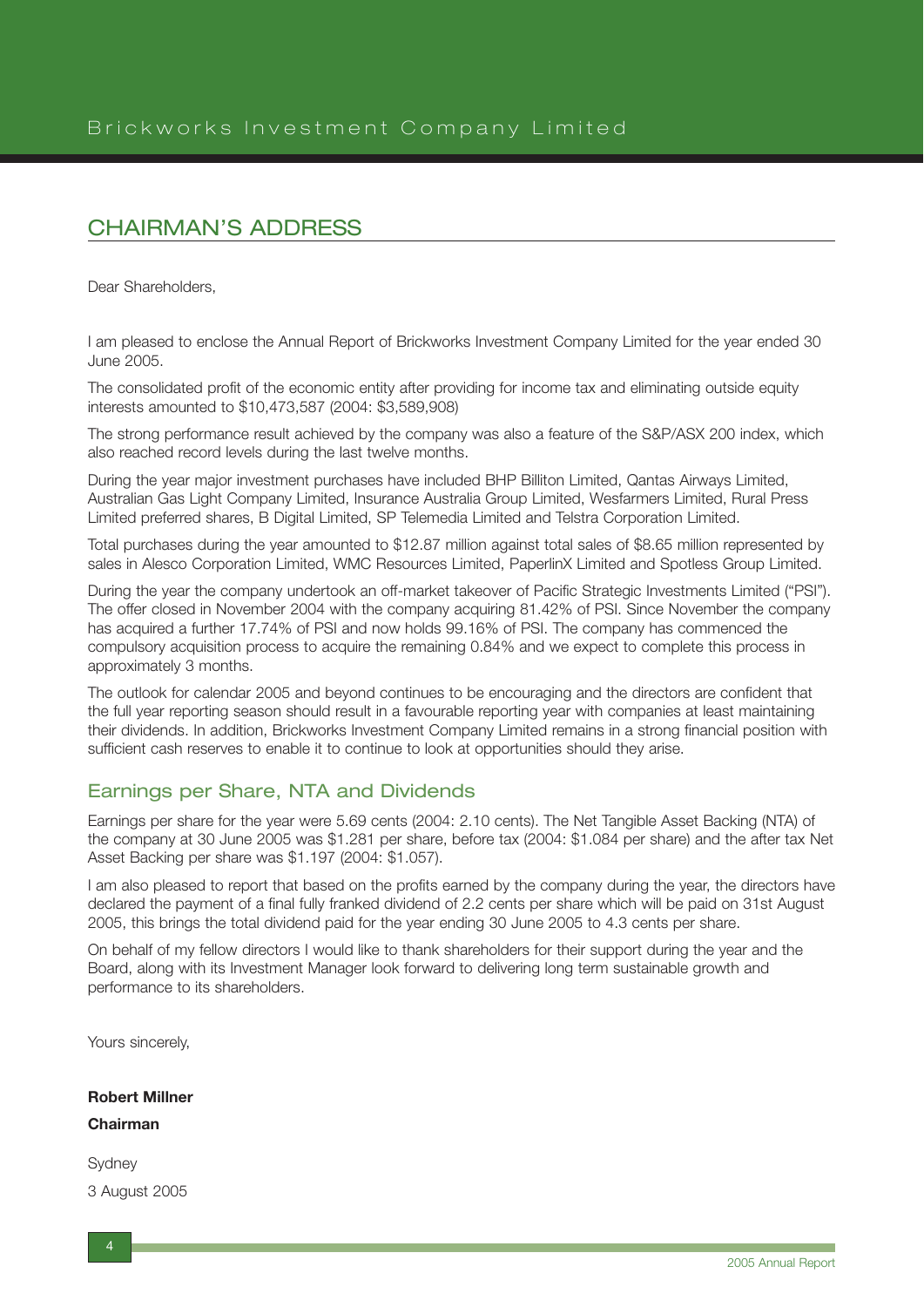## CHAIRMAN'S ADDRESS

Dear Shareholders,

I am pleased to enclose the Annual Report of Brickworks Investment Company Limited for the year ended 30 June 2005.

The consolidated profit of the economic entity after providing for income tax and eliminating outside equity interests amounted to \$10,473,587 (2004: \$3,589,908)

The strong performance result achieved by the company was also a feature of the S&P/ASX 200 index, which also reached record levels during the last twelve months.

During the year major investment purchases have included BHP Billiton Limited, Qantas Airways Limited, Australian Gas Light Company Limited, Insurance Australia Group Limited, Wesfarmers Limited, Rural Press Limited preferred shares, B Digital Limited, SP Telemedia Limited and Telstra Corporation Limited.

Total purchases during the year amounted to \$12.87 million against total sales of \$8.65 million represented by sales in Alesco Corporation Limited, WMC Resources Limited, PaperlinX Limited and Spotless Group Limited.

During the year the company undertook an off-market takeover of Pacific Strategic Investments Limited ("PSI"). The offer closed in November 2004 with the company acquiring 81.42% of PSI. Since November the company has acquired a further 17.74% of PSI and now holds 99.16% of PSI. The company has commenced the compulsory acquisition process to acquire the remaining 0.84% and we expect to complete this process in approximately 3 months.

The outlook for calendar 2005 and beyond continues to be encouraging and the directors are confident that the full year reporting season should result in a favourable reporting year with companies at least maintaining their dividends. In addition, Brickworks Investment Company Limited remains in a strong financial position with sufficient cash reserves to enable it to continue to look at opportunities should they arise.

### Earnings per Share, NTA and Dividends

Earnings per share for the year were 5.69 cents (2004: 2.10 cents). The Net Tangible Asset Backing (NTA) of the company at 30 June 2005 was \$1.281 per share, before tax (2004: \$1.084 per share) and the after tax Net Asset Backing per share was \$1.197 (2004: \$1.057).

I am also pleased to report that based on the profits earned by the company during the year, the directors have declared the payment of a final fully franked dividend of 2.2 cents per share which will be paid on 31st August 2005, this brings the total dividend paid for the year ending 30 June 2005 to 4.3 cents per share.

On behalf of my fellow directors I would like to thank shareholders for their support during the year and the Board, along with its Investment Manager look forward to delivering long term sustainable growth and performance to its shareholders.

Yours sincerely,

### **Robert Millner**

#### **Chairman**

Sydney 3 August 2005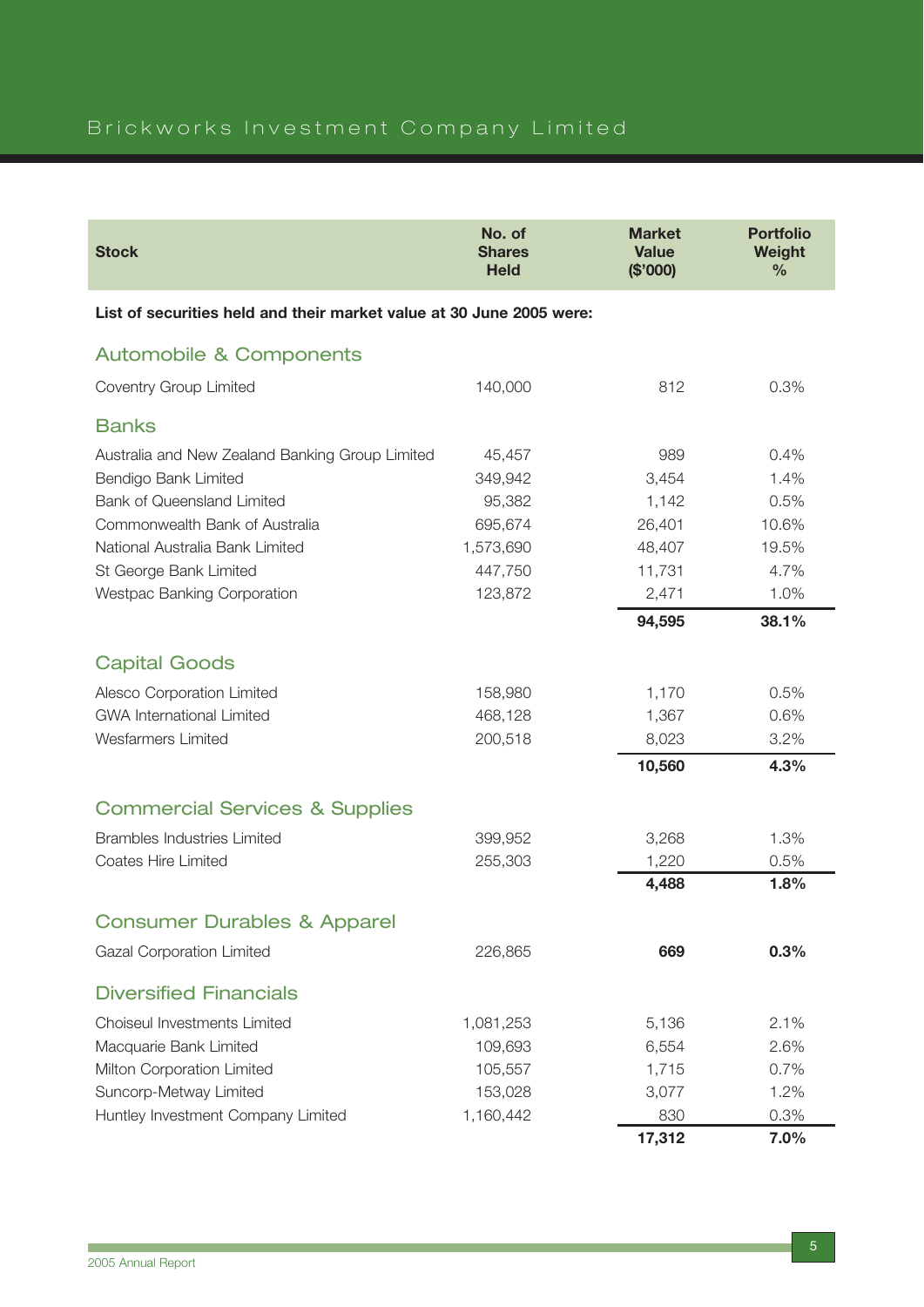| <b>Stock</b>                                                         | No. of<br><b>Shares</b><br><b>Held</b> | <b>Market</b><br><b>Value</b><br>(\$'000) | <b>Portfolio</b><br>Weight<br>$\%$ |  |  |  |  |  |  |
|----------------------------------------------------------------------|----------------------------------------|-------------------------------------------|------------------------------------|--|--|--|--|--|--|
| List of securities held and their market value at 30 June 2005 were: |                                        |                                           |                                    |  |  |  |  |  |  |
| <b>Automobile &amp; Components</b>                                   |                                        |                                           |                                    |  |  |  |  |  |  |
| <b>Coventry Group Limited</b>                                        | 140,000                                | 812                                       | 0.3%                               |  |  |  |  |  |  |
| <b>Banks</b>                                                         |                                        |                                           |                                    |  |  |  |  |  |  |
| Australia and New Zealand Banking Group Limited                      | 45,457                                 | 989                                       | 0.4%                               |  |  |  |  |  |  |
| Bendigo Bank Limited                                                 | 349,942                                | 3,454                                     | 1.4%                               |  |  |  |  |  |  |
| <b>Bank of Queensland Limited</b>                                    | 95,382                                 | 1,142                                     | 0.5%                               |  |  |  |  |  |  |
| Commonwealth Bank of Australia                                       | 695,674                                | 26,401                                    | 10.6%                              |  |  |  |  |  |  |
| National Australia Bank Limited                                      | 1,573,690                              | 48,407                                    | 19.5%                              |  |  |  |  |  |  |
| St George Bank Limited                                               | 447,750                                | 11,731                                    | 4.7%                               |  |  |  |  |  |  |
| Westpac Banking Corporation                                          | 123,872                                | 2,471                                     | 1.0%                               |  |  |  |  |  |  |
|                                                                      |                                        | 94,595                                    | 38.1%                              |  |  |  |  |  |  |
| <b>Capital Goods</b>                                                 |                                        |                                           |                                    |  |  |  |  |  |  |
| Alesco Corporation Limited                                           | 158,980                                | 1,170                                     | 0.5%                               |  |  |  |  |  |  |
| <b>GWA International Limited</b>                                     | 468,128                                | 1,367                                     | 0.6%                               |  |  |  |  |  |  |
| <b>Wesfarmers Limited</b>                                            | 200,518                                | 8,023                                     | 3.2%                               |  |  |  |  |  |  |
|                                                                      |                                        | 10,560                                    | 4.3%                               |  |  |  |  |  |  |
| <b>Commercial Services &amp; Supplies</b>                            |                                        |                                           |                                    |  |  |  |  |  |  |
| Brambles Industries Limited                                          | 399,952                                | 3,268                                     | 1.3%                               |  |  |  |  |  |  |
| Coates Hire Limited                                                  | 255,303                                | 1,220                                     | 0.5%                               |  |  |  |  |  |  |
|                                                                      |                                        | 4,488                                     | 1.8%                               |  |  |  |  |  |  |
| <b>Consumer Durables &amp; Apparel</b>                               |                                        |                                           |                                    |  |  |  |  |  |  |
| <b>Gazal Corporation Limited</b>                                     | 226,865                                | 669                                       | 0.3%                               |  |  |  |  |  |  |
| <b>Diversified Financials</b>                                        |                                        |                                           |                                    |  |  |  |  |  |  |
| Choiseul Investments Limited                                         | 1,081,253                              | 5,136                                     | 2.1%                               |  |  |  |  |  |  |
| Macquarie Bank Limited                                               | 109,693                                | 6,554                                     | 2.6%                               |  |  |  |  |  |  |
| Milton Corporation Limited                                           | 105,557                                | 1,715                                     | 0.7%                               |  |  |  |  |  |  |
| Suncorp-Metway Limited                                               | 153,028                                | 3,077                                     | 1.2%                               |  |  |  |  |  |  |
| Huntley Investment Company Limited                                   | 1,160,442                              | 830                                       | 0.3%                               |  |  |  |  |  |  |
|                                                                      |                                        | 17,312                                    | 7.0%                               |  |  |  |  |  |  |

**The Common**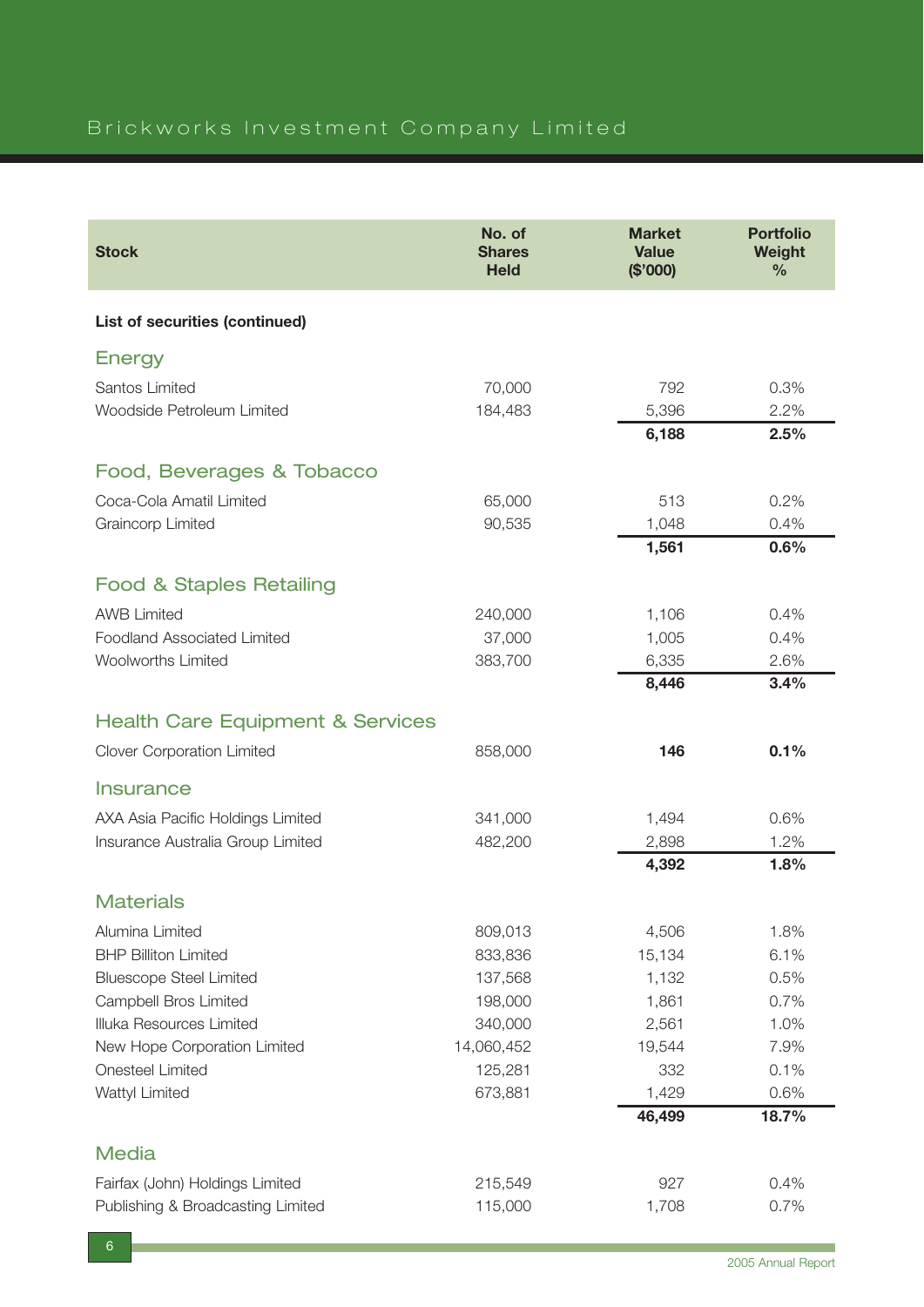| <b>Stock</b>                                | No. of<br><b>Shares</b><br><b>Held</b> | <b>Market</b><br><b>Value</b><br>(\$'000) | <b>Portfolio</b><br>Weight<br>$\frac{0}{0}$ |
|---------------------------------------------|----------------------------------------|-------------------------------------------|---------------------------------------------|
| List of securities (continued)              |                                        |                                           |                                             |
| <b>Energy</b>                               |                                        |                                           |                                             |
| Santos Limited                              | 70,000                                 | 792                                       | 0.3%                                        |
| Woodside Petroleum Limited                  | 184,483                                | 5,396                                     | 2.2%                                        |
|                                             |                                        | 6,188                                     | 2.5%                                        |
| Food, Beverages & Tobacco                   |                                        |                                           |                                             |
| Coca-Cola Amatil Limited                    | 65,000                                 | 513                                       | 0.2%                                        |
| <b>Graincorp Limited</b>                    | 90,535                                 | 1,048                                     | 0.4%                                        |
|                                             |                                        | 1,561                                     | 0.6%                                        |
| <b>Food &amp; Staples Retailing</b>         |                                        |                                           |                                             |
| <b>AWB Limited</b>                          | 240,000                                | 1,106                                     | 0.4%                                        |
| <b>Foodland Associated Limited</b>          | 37,000                                 | 1,005                                     | 0.4%                                        |
| <b>Woolworths Limited</b>                   | 383,700                                | 6,335                                     | 2.6%                                        |
|                                             |                                        | 8,446                                     | 3.4%                                        |
| <b>Health Care Equipment &amp; Services</b> |                                        |                                           |                                             |
| <b>Clover Corporation Limited</b>           | 858,000                                | 146                                       | 0.1%                                        |
| <b>Insurance</b>                            |                                        |                                           |                                             |
| AXA Asia Pacific Holdings Limited           | 341,000                                | 1,494                                     | 0.6%                                        |
| Insurance Australia Group Limited           | 482,200                                | 2,898                                     | 1.2%                                        |
|                                             |                                        | 4,392                                     | 1.8%                                        |
| <b>Materials</b>                            |                                        |                                           |                                             |
| Alumina Limited                             | 809,013                                | 4,506                                     | 1.8%                                        |
| <b>BHP Billiton Limited</b>                 | 833,836                                | 15,134                                    | 6.1%                                        |
| <b>Bluescope Steel Limited</b>              | 137,568                                | 1,132                                     | 0.5%                                        |
| Campbell Bros Limited                       | 198,000                                | 1,861                                     | 0.7%                                        |
| Illuka Resources Limited                    | 340,000                                | 2,561                                     | 1.0%                                        |
| New Hope Corporation Limited                | 14,060,452                             | 19,544                                    | 7.9%                                        |
| Onesteel Limited                            | 125,281                                | 332                                       | 0.1%                                        |
| Wattyl Limited                              | 673,881                                | 1,429                                     | 0.6%                                        |
|                                             |                                        | 46,499                                    | 18.7%                                       |
| <b>Media</b>                                |                                        |                                           |                                             |
| Fairfax (John) Holdings Limited             | 215,549                                | 927                                       | 0.4%                                        |
| Publishing & Broadcasting Limited           | 115,000                                | 1,708                                     | 0.7%                                        |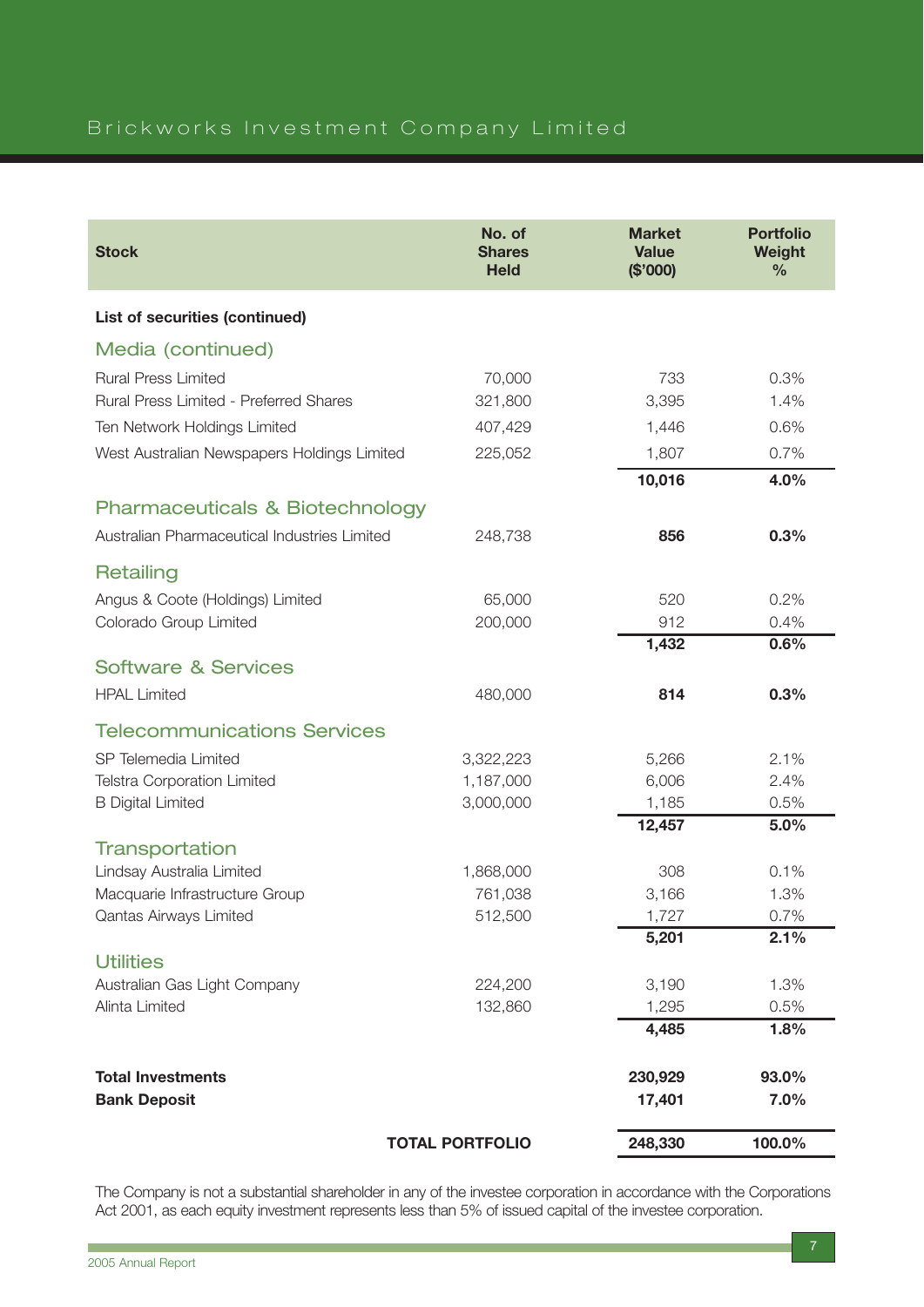| <b>Stock</b>                                                | No. of<br><b>Shares</b><br><b>Held</b> | <b>Market</b><br><b>Value</b><br>(\$'000) | <b>Portfolio</b><br>Weight<br>$\frac{0}{0}$ |
|-------------------------------------------------------------|----------------------------------------|-------------------------------------------|---------------------------------------------|
| List of securities (continued)                              |                                        |                                           |                                             |
| Media (continued)                                           |                                        |                                           |                                             |
| <b>Rural Press Limited</b>                                  | 70,000                                 | 733                                       | 0.3%                                        |
| Rural Press Limited - Preferred Shares                      | 321,800                                | 3,395                                     | 1.4%                                        |
| Ten Network Holdings Limited                                | 407,429                                | 1,446                                     | 0.6%                                        |
| West Australian Newspapers Holdings Limited                 | 225,052                                | 1,807                                     | 0.7%                                        |
|                                                             |                                        | 10,016                                    | 4.0%                                        |
| <b>Pharmaceuticals &amp; Biotechnology</b>                  |                                        |                                           |                                             |
| Australian Pharmaceutical Industries Limited                | 248,738                                | 856                                       | 0.3%                                        |
| Retailing                                                   |                                        |                                           |                                             |
| Angus & Coote (Holdings) Limited                            | 65,000                                 | 520                                       | 0.2%                                        |
| Colorado Group Limited                                      | 200,000                                | 912                                       | 0.4%                                        |
|                                                             |                                        | 1,432                                     | 0.6%                                        |
| <b>Software &amp; Services</b>                              |                                        |                                           |                                             |
| <b>HPAL Limited</b>                                         | 480,000                                | 814                                       | 0.3%                                        |
| <b>Telecommunications Services</b>                          |                                        |                                           |                                             |
| SP Telemedia Limited                                        | 3,322,223                              | 5,266                                     | 2.1%                                        |
| Telstra Corporation Limited                                 | 1,187,000                              | 6,006                                     | 2.4%                                        |
| <b>B Digital Limited</b>                                    | 3,000,000                              | 1,185                                     | 0.5%                                        |
|                                                             |                                        | 12,457                                    | 5.0%                                        |
| Transportation                                              |                                        |                                           |                                             |
| Lindsay Australia Limited<br>Macquarie Infrastructure Group | 1,868,000<br>761,038                   | 308<br>3,166                              | 0.1%<br>1.3%                                |
| Qantas Airways Limited                                      | 512,500                                | 1,727                                     | 0.7%                                        |
|                                                             |                                        | 5,201                                     | 2.1%                                        |
| <b>Utilities</b>                                            |                                        |                                           |                                             |
| Australian Gas Light Company                                | 224,200                                | 3,190                                     | 1.3%                                        |
| Alinta Limited                                              | 132,860                                | 1,295                                     | 0.5%                                        |
|                                                             |                                        | 4,485                                     | 1.8%                                        |
| <b>Total Investments</b>                                    |                                        | 230,929                                   | 93.0%                                       |
| <b>Bank Deposit</b>                                         |                                        | 17,401                                    | 7.0%                                        |
|                                                             | <b>TOTAL PORTFOLIO</b>                 | 248,330                                   | 100.0%                                      |

The Company is not a substantial shareholder in any of the investee corporation in accordance with the Corporations Act 2001, as each equity investment represents less than 5% of issued capital of the investee corporation.

П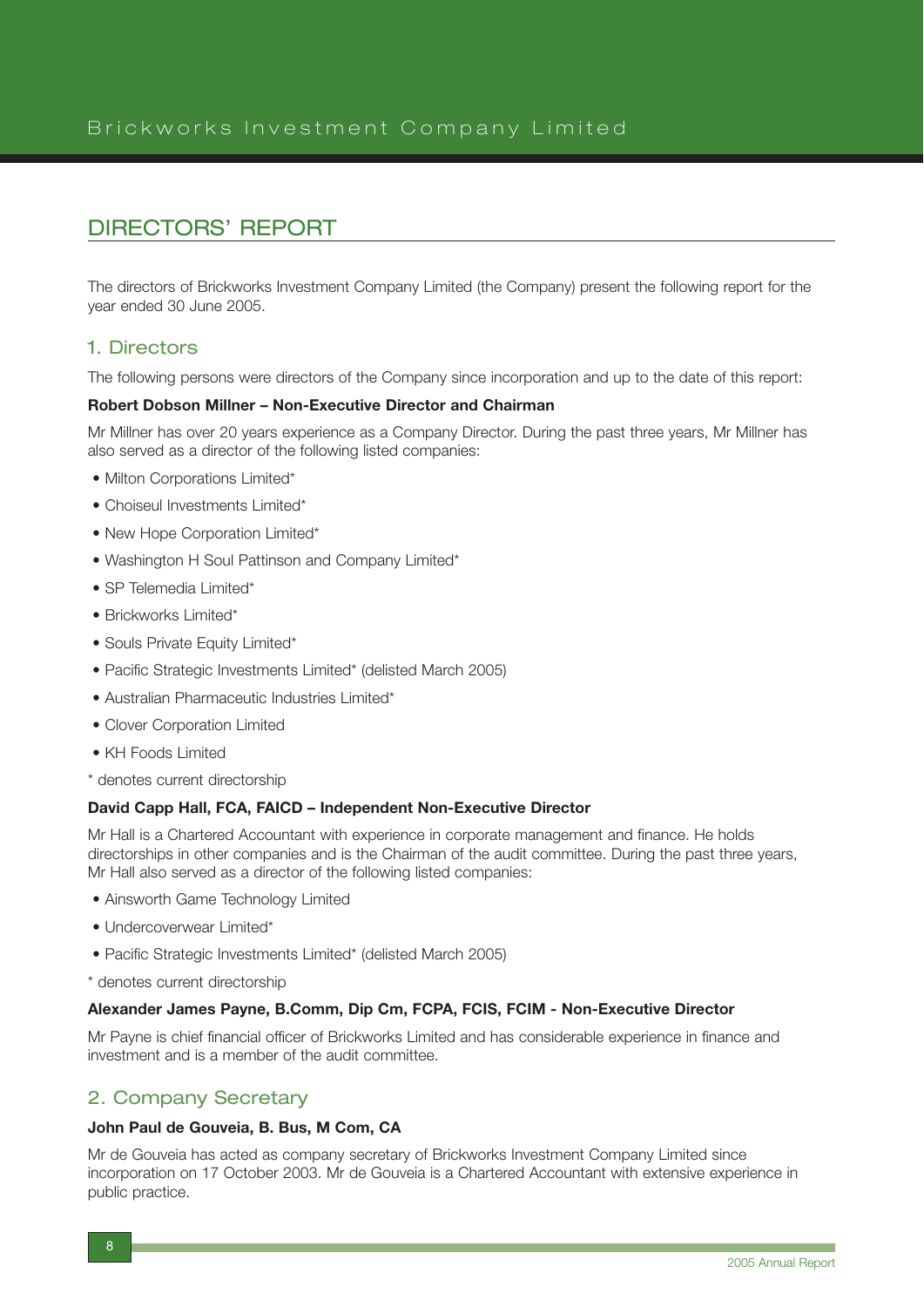## DIRECTORS' REPORT

The directors of Brickworks Investment Company Limited (the Company) present the following report for the year ended 30 June 2005.

### 1. Directors

The following persons were directors of the Company since incorporation and up to the date of this report:

#### **Robert Dobson Millner – Non-Executive Director and Chairman**

Mr Millner has over 20 years experience as a Company Director. During the past three years, Mr Millner has also served as a director of the following listed companies:

- Milton Corporations Limited\*
- Choiseul Investments Limited\*
- New Hope Corporation Limited\*
- Washington H Soul Pattinson and Company Limited\*
- SP Telemedia Limited\*
- Brickworks Limited\*
- Souls Private Equity Limited\*
- Pacific Strategic Investments Limited\* (delisted March 2005)
- Australian Pharmaceutic Industries Limited\*
- Clover Corporation Limited
- KH Foods Limited
- \* denotes current directorship

#### **David Capp Hall, FCA, FAICD – Independent Non-Executive Director**

Mr Hall is a Chartered Accountant with experience in corporate management and finance. He holds directorships in other companies and is the Chairman of the audit committee. During the past three years, Mr Hall also served as a director of the following listed companies:

- Ainsworth Game Technology Limited
- Undercoverwear Limited\*
- Pacific Strategic Investments Limited\* (delisted March 2005)
- \* denotes current directorship

#### **Alexander James Payne, B.Comm, Dip Cm, FCPA, FCIS, FCIM - Non-Executive Director**

Mr Payne is chief financial officer of Brickworks Limited and has considerable experience in finance and investment and is a member of the audit committee.

### 2. Company Secretary

#### **John Paul de Gouveia, B. Bus, M Com, CA**

Mr de Gouveia has acted as company secretary of Brickworks Investment Company Limited since incorporation on 17 October 2003. Mr de Gouveia is a Chartered Accountant with extensive experience in public practice.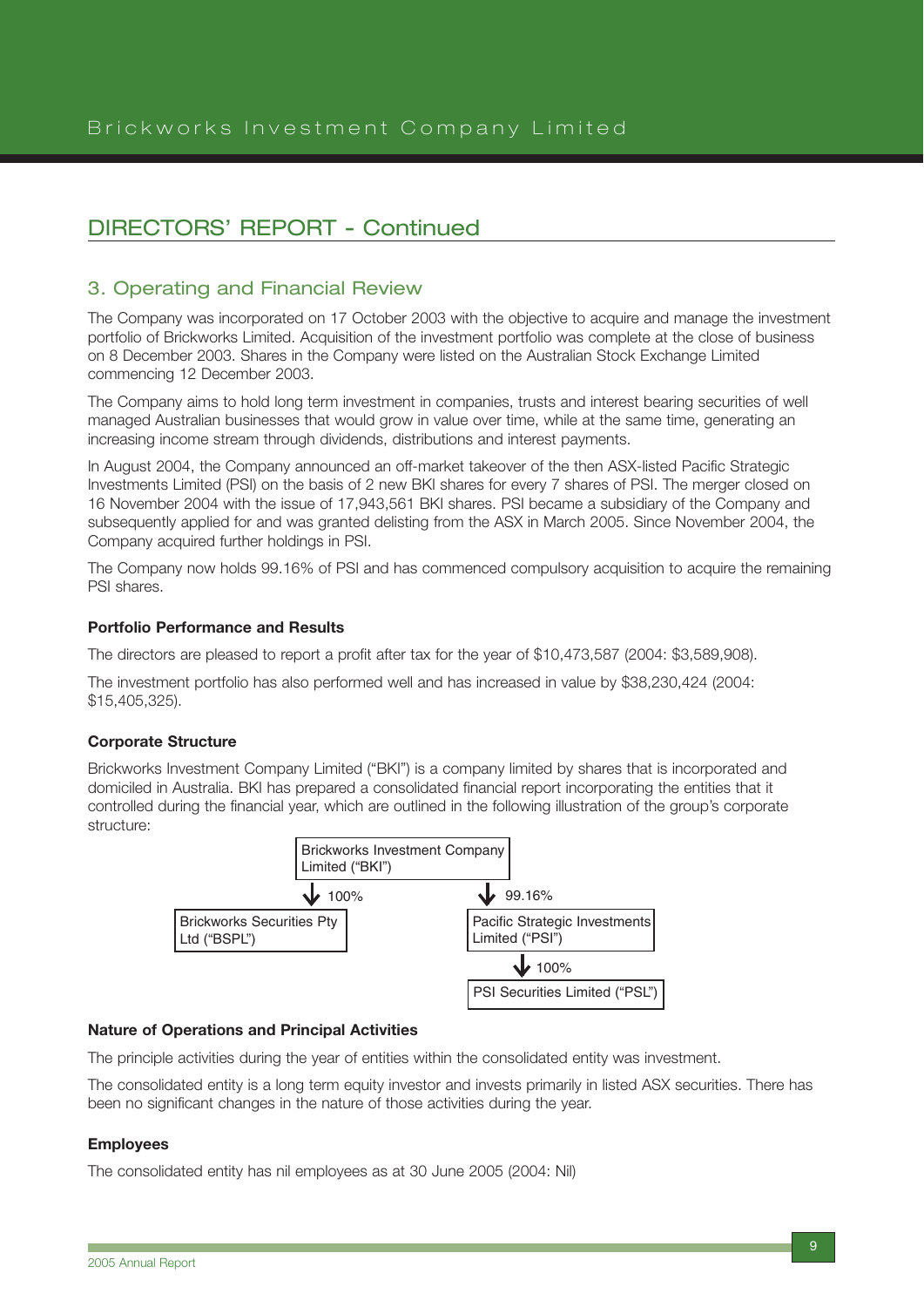### 3. Operating and Financial Review

The Company was incorporated on 17 October 2003 with the objective to acquire and manage the investment portfolio of Brickworks Limited. Acquisition of the investment portfolio was complete at the close of business on 8 December 2003. Shares in the Company were listed on the Australian Stock Exchange Limited commencing 12 December 2003.

The Company aims to hold long term investment in companies, trusts and interest bearing securities of well managed Australian businesses that would grow in value over time, while at the same time, generating an increasing income stream through dividends, distributions and interest payments.

In August 2004, the Company announced an off-market takeover of the then ASX-listed Pacific Strategic Investments Limited (PSI) on the basis of 2 new BKI shares for every 7 shares of PSI. The merger closed on 16 November 2004 with the issue of 17,943,561 BKI shares. PSI became a subsidiary of the Company and subsequently applied for and was granted delisting from the ASX in March 2005. Since November 2004, the Company acquired further holdings in PSI.

The Company now holds 99.16% of PSI and has commenced compulsory acquisition to acquire the remaining PSI shares.

#### **Portfolio Performance and Results**

The directors are pleased to report a profit after tax for the year of \$10,473,587 (2004: \$3,589,908).

The investment portfolio has also performed well and has increased in value by \$38,230,424 (2004: \$15,405,325).

#### **Corporate Structure**

Brickworks Investment Company Limited ("BKI") is a company limited by shares that is incorporated and domiciled in Australia. BKI has prepared a consolidated financial report incorporating the entities that it controlled during the financial year, which are outlined in the following illustration of the group's corporate structure:



#### **Nature of Operations and Principal Activities**

The principle activities during the year of entities within the consolidated entity was investment.

The consolidated entity is a long term equity investor and invests primarily in listed ASX securities. There has been no significant changes in the nature of those activities during the year.

#### **Employees**

The consolidated entity has nil employees as at 30 June 2005 (2004: Nil)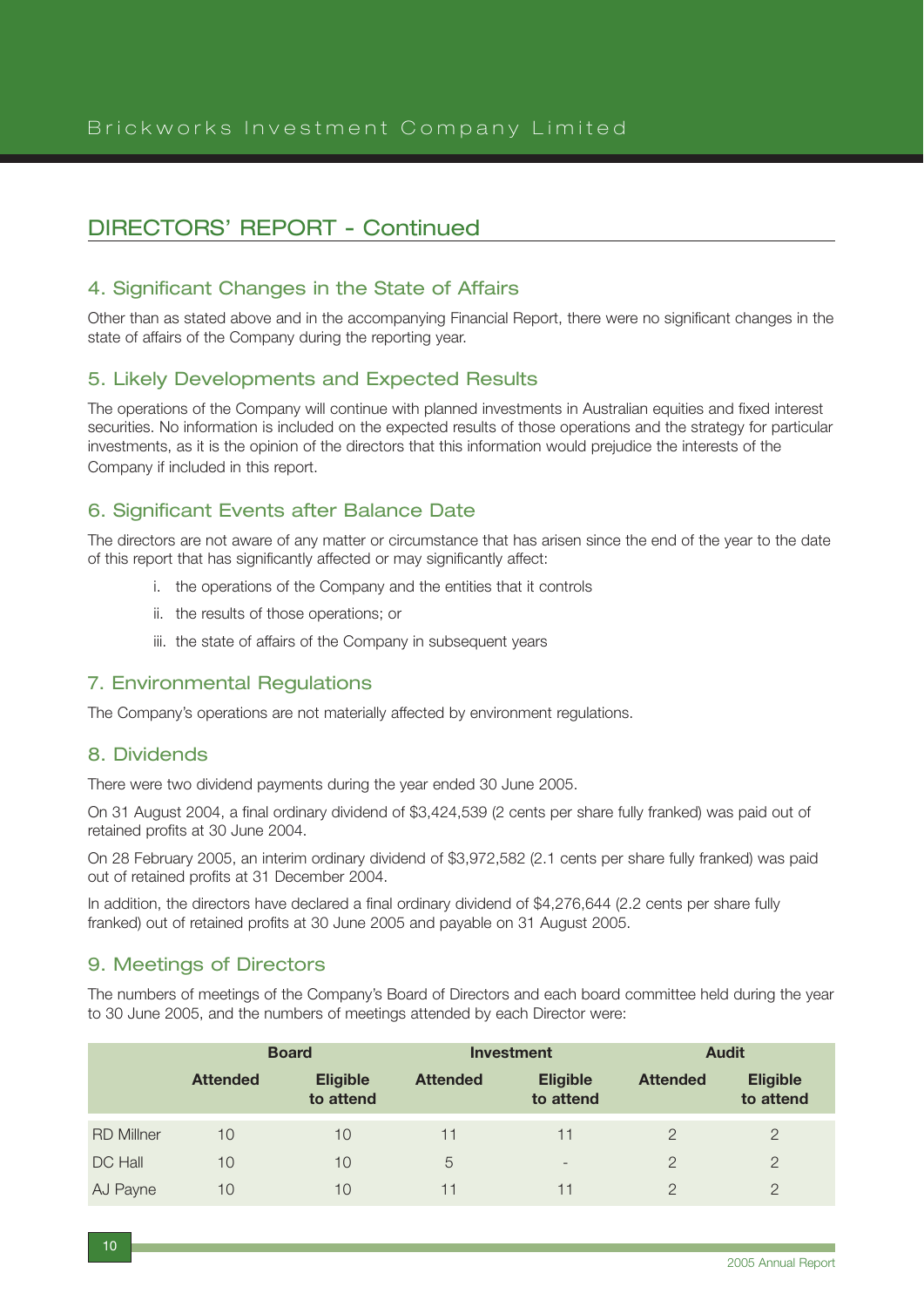### 4. Significant Changes in the State of Affairs

Other than as stated above and in the accompanying Financial Report, there were no significant changes in the state of affairs of the Company during the reporting year.

### 5. Likely Developments and Expected Results

The operations of the Company will continue with planned investments in Australian equities and fixed interest securities. No information is included on the expected results of those operations and the strategy for particular investments, as it is the opinion of the directors that this information would prejudice the interests of the Company if included in this report.

### 6. Significant Events after Balance Date

The directors are not aware of any matter or circumstance that has arisen since the end of the year to the date of this report that has significantly affected or may significantly affect:

- i. the operations of the Company and the entities that it controls
- ii. the results of those operations; or
- iii. the state of affairs of the Company in subsequent years

### 7. Environmental Regulations

The Company's operations are not materially affected by environment regulations.

### 8. Dividends

There were two dividend payments during the year ended 30 June 2005.

On 31 August 2004, a final ordinary dividend of \$3,424,539 (2 cents per share fully franked) was paid out of retained profits at 30 June 2004.

On 28 February 2005, an interim ordinary dividend of \$3,972,582 (2.1 cents per share fully franked) was paid out of retained profits at 31 December 2004.

In addition, the directors have declared a final ordinary dividend of \$4,276,644 (2.2 cents per share fully franked) out of retained profits at 30 June 2005 and payable on 31 August 2005.

### 9. Meetings of Directors

The numbers of meetings of the Company's Board of Directors and each board committee held during the year to 30 June 2005, and the numbers of meetings attended by each Director were:

|                   |                 | <b>Board</b>                 |                 | <b>Investment</b>            |                 | <b>Audit</b>                 |  |
|-------------------|-----------------|------------------------------|-----------------|------------------------------|-----------------|------------------------------|--|
|                   | <b>Attended</b> | <b>Eligible</b><br>to attend | <b>Attended</b> | <b>Eligible</b><br>to attend | <b>Attended</b> | <b>Eligible</b><br>to attend |  |
| <b>RD Millner</b> | 10              | 10                           | 11              | 11                           | $\mathcal{P}$   |                              |  |
| DC Hall           | 10              | 10                           | 5               | $\qquad \qquad -$            | 2               | $\mathcal{P}$                |  |
| AJ Payne          | 10              | 10                           | 11              | 11                           | っ               | $\mathcal{P}$                |  |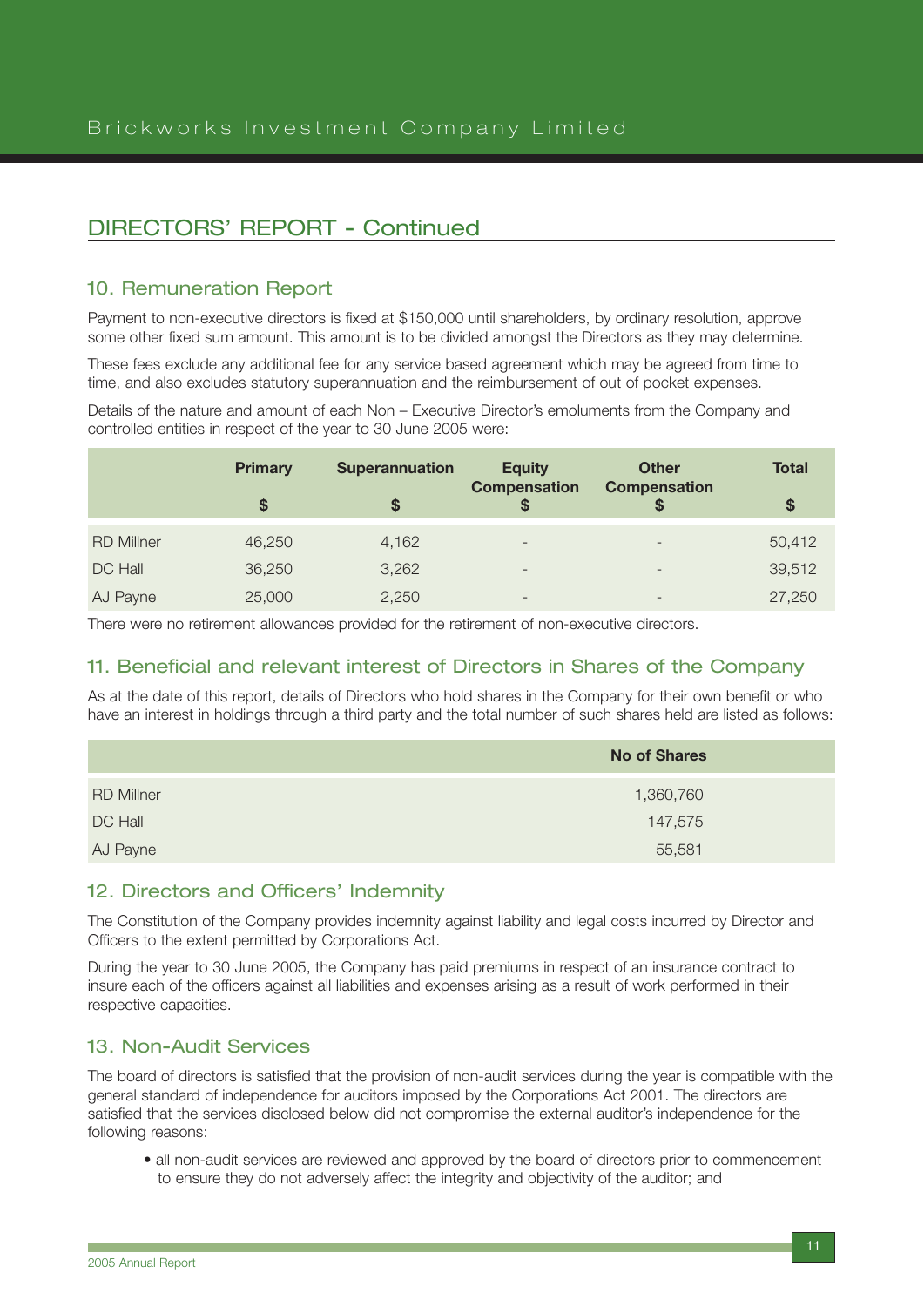### 10. Remuneration Report

Payment to non-executive directors is fixed at \$150,000 until shareholders, by ordinary resolution, approve some other fixed sum amount. This amount is to be divided amongst the Directors as they may determine.

These fees exclude any additional fee for any service based agreement which may be agreed from time to time, and also excludes statutory superannuation and the reimbursement of out of pocket expenses.

Details of the nature and amount of each Non – Executive Director's emoluments from the Company and controlled entities in respect of the year to 30 June 2005 were:

|                   | <b>Primary</b> | <b>Superannuation</b> | <b>Equity</b><br><b>Compensation</b> | <b>Other</b><br><b>Compensation</b> | <b>Total</b> |
|-------------------|----------------|-----------------------|--------------------------------------|-------------------------------------|--------------|
|                   | S              | \$                    |                                      |                                     | \$           |
| <b>RD Millner</b> | 46,250         | 4,162                 | $\qquad \qquad -$                    | $\overline{\phantom{0}}$            | 50,412       |
| DC Hall           | 36,250         | 3,262                 | $\overline{\phantom{0}}$             | $\overline{\phantom{m}}$            | 39,512       |
| AJ Payne          | 25,000         | 2,250                 | $\overline{\phantom{0}}$             | $\overline{\phantom{m}}$            | 27,250       |

There were no retirement allowances provided for the retirement of non-executive directors.

### 11. Beneficial and relevant interest of Directors in Shares of the Company

As at the date of this report, details of Directors who hold shares in the Company for their own benefit or who have an interest in holdings through a third party and the total number of such shares held are listed as follows:

|                   | <b>No of Shares</b> |
|-------------------|---------------------|
| <b>RD Millner</b> | 1,360,760           |
| DC Hall           | 147,575             |
| AJ Payne          | 55,581              |

### 12. Directors and Officers' Indemnity

The Constitution of the Company provides indemnity against liability and legal costs incurred by Director and Officers to the extent permitted by Corporations Act.

During the year to 30 June 2005, the Company has paid premiums in respect of an insurance contract to insure each of the officers against all liabilities and expenses arising as a result of work performed in their respective capacities.

### 13. Non-Audit Services

The board of directors is satisfied that the provision of non-audit services during the year is compatible with the general standard of independence for auditors imposed by the Corporations Act 2001. The directors are satisfied that the services disclosed below did not compromise the external auditor's independence for the following reasons:

• all non-audit services are reviewed and approved by the board of directors prior to commencement to ensure they do not adversely affect the integrity and objectivity of the auditor; and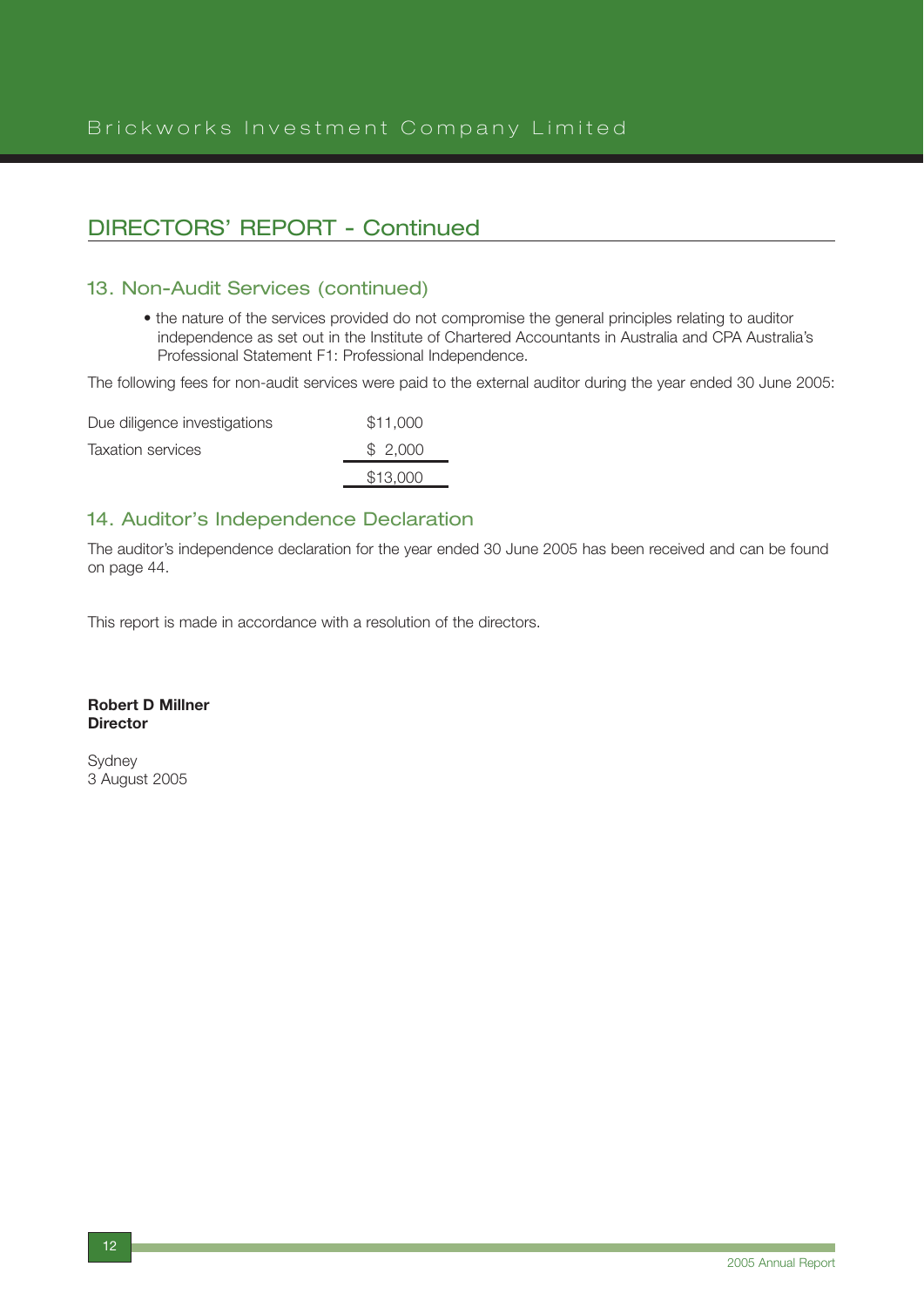### 13. Non-Audit Services (continued)

• the nature of the services provided do not compromise the general principles relating to auditor independence as set out in the Institute of Chartered Accountants in Australia and CPA Australia's Professional Statement F1: Professional Independence.

The following fees for non-audit services were paid to the external auditor during the year ended 30 June 2005:

| Due diligence investigations | \$11,000 |
|------------------------------|----------|
| <b>Taxation services</b>     | \$2,000  |
|                              | \$13,000 |

### 14. Auditor's Independence Declaration

The auditor's independence declaration for the year ended 30 June 2005 has been received and can be found on page 44.

This report is made in accordance with a resolution of the directors.

#### **Robert D Millner Director**

**Sydney** 3 August 2005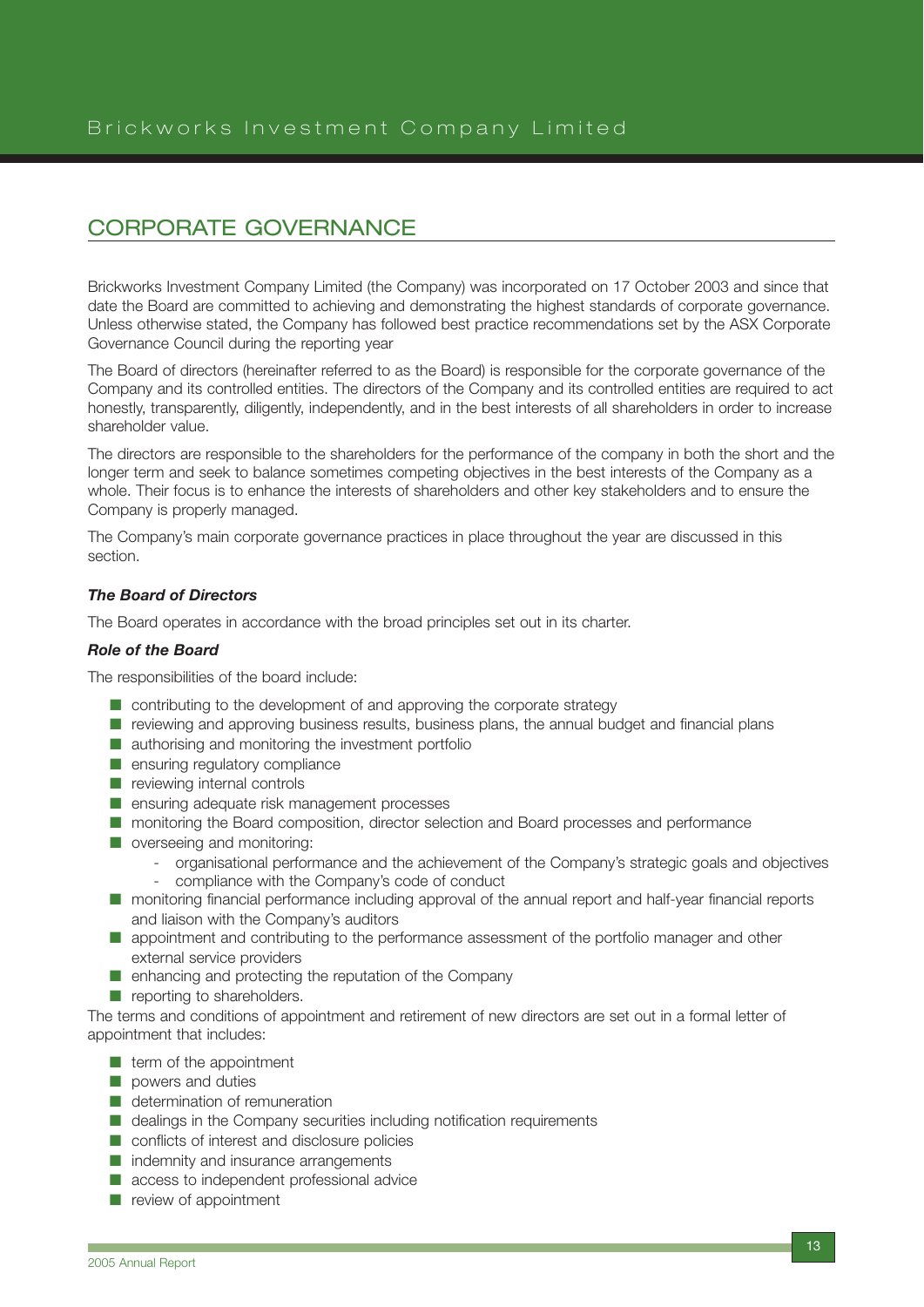## CORPORATE GOVERNANCE

Brickworks Investment Company Limited (the Company) was incorporated on 17 October 2003 and since that date the Board are committed to achieving and demonstrating the highest standards of corporate governance. Unless otherwise stated, the Company has followed best practice recommendations set by the ASX Corporate Governance Council during the reporting year

The Board of directors (hereinafter referred to as the Board) is responsible for the corporate governance of the Company and its controlled entities. The directors of the Company and its controlled entities are required to act honestly, transparently, diligently, independently, and in the best interests of all shareholders in order to increase shareholder value.

The directors are responsible to the shareholders for the performance of the company in both the short and the longer term and seek to balance sometimes competing objectives in the best interests of the Company as a whole. Their focus is to enhance the interests of shareholders and other key stakeholders and to ensure the Company is properly managed.

The Company's main corporate governance practices in place throughout the year are discussed in this section.

#### *The Board of Directors*

The Board operates in accordance with the broad principles set out in its charter.

#### *Role of the Board*

The responsibilities of the board include:

- contributing to the development of and approving the corporate strategy
- reviewing and approving business results, business plans, the annual budget and financial plans
- authorising and monitoring the investment portfolio
- ensuring regulatory compliance
- reviewing internal controls
- ensuring adequate risk management processes
- monitoring the Board composition, director selection and Board processes and performance
- overseeing and monitoring:
	- organisational performance and the achievement of the Company's strategic goals and objectives
		- compliance with the Company's code of conduct
- monitoring financial performance including approval of the annual report and half-year financial reports and liaison with the Company's auditors
- appointment and contributing to the performance assessment of the portfolio manager and other external service providers
- enhancing and protecting the reputation of the Company
- reporting to shareholders.

The terms and conditions of appointment and retirement of new directors are set out in a formal letter of appointment that includes:

- term of the appointment
- powers and duties
- determination of remuneration
- dealings in the Company securities including notification requirements
- conflicts of interest and disclosure policies
- indemnity and insurance arrangements
- access to independent professional advice
- review of appointment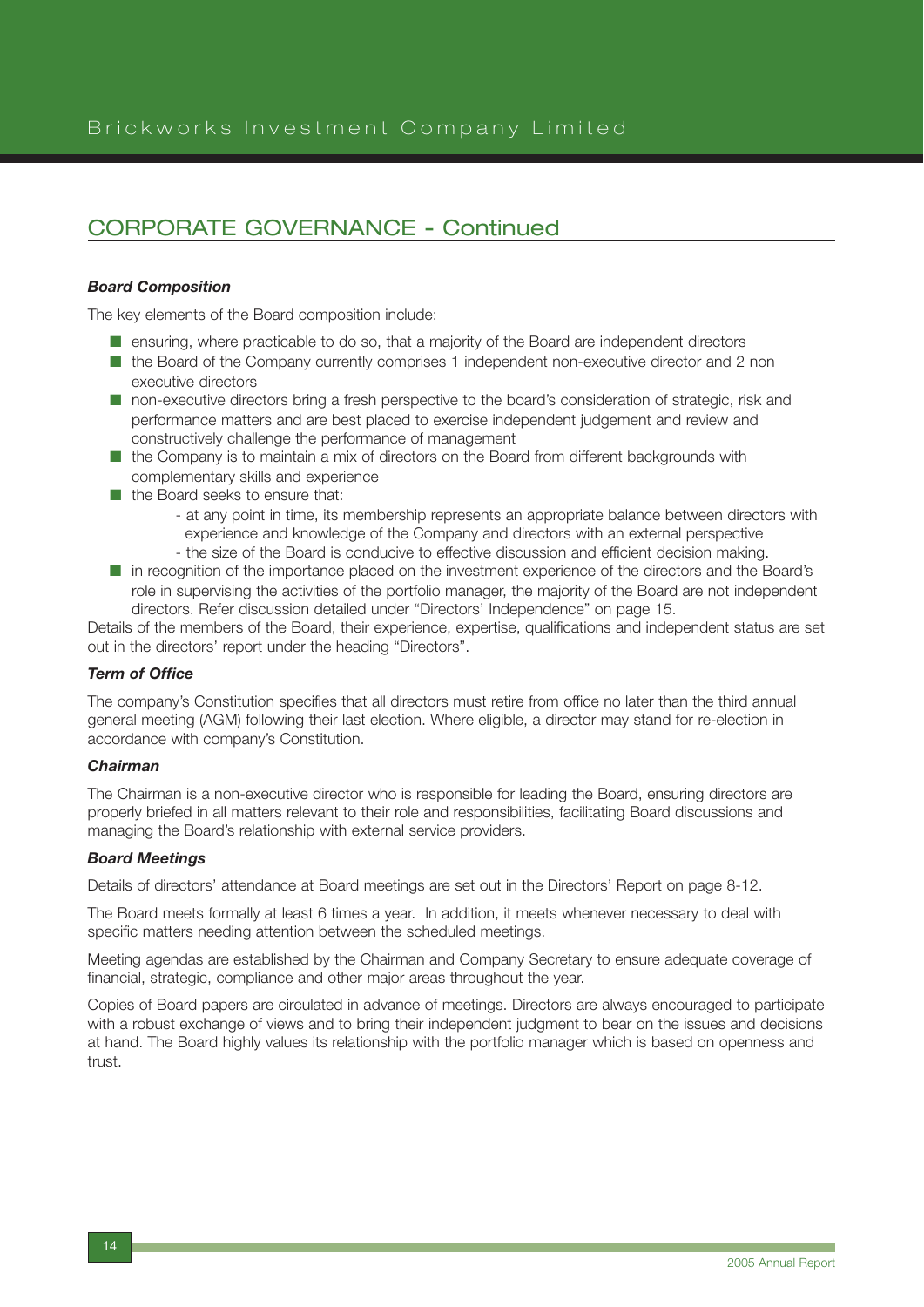#### *Board Composition*

The key elements of the Board composition include:

- ensuring, where practicable to do so, that a majority of the Board are independent directors
- the Board of the Company currently comprises 1 independent non-executive director and 2 non executive directors
- non-executive directors bring a fresh perspective to the board's consideration of strategic, risk and performance matters and are best placed to exercise independent judgement and review and constructively challenge the performance of management
- the Company is to maintain a mix of directors on the Board from different backgrounds with complementary skills and experience
- the Board seeks to ensure that:
	- at any point in time, its membership represents an appropriate balance between directors with experience and knowledge of the Company and directors with an external perspective
	- the size of the Board is conducive to effective discussion and efficient decision making.
- in recognition of the importance placed on the investment experience of the directors and the Board's role in supervising the activities of the portfolio manager, the majority of the Board are not independent directors. Refer discussion detailed under "Directors' Independence" on page 15.

Details of the members of the Board, their experience, expertise, qualifications and independent status are set out in the directors' report under the heading "Directors".

#### *Term of Office*

The company's Constitution specifies that all directors must retire from office no later than the third annual general meeting (AGM) following their last election. Where eligible, a director may stand for re-election in accordance with company's Constitution.

#### *Chairman*

The Chairman is a non-executive director who is responsible for leading the Board, ensuring directors are properly briefed in all matters relevant to their role and responsibilities, facilitating Board discussions and managing the Board's relationship with external service providers.

#### *Board Meetings*

Details of directors' attendance at Board meetings are set out in the Directors' Report on page 8-12.

The Board meets formally at least 6 times a year. In addition, it meets whenever necessary to deal with specific matters needing attention between the scheduled meetings.

Meeting agendas are established by the Chairman and Company Secretary to ensure adequate coverage of financial, strategic, compliance and other major areas throughout the year.

Copies of Board papers are circulated in advance of meetings. Directors are always encouraged to participate with a robust exchange of views and to bring their independent judgment to bear on the issues and decisions at hand. The Board highly values its relationship with the portfolio manager which is based on openness and trust.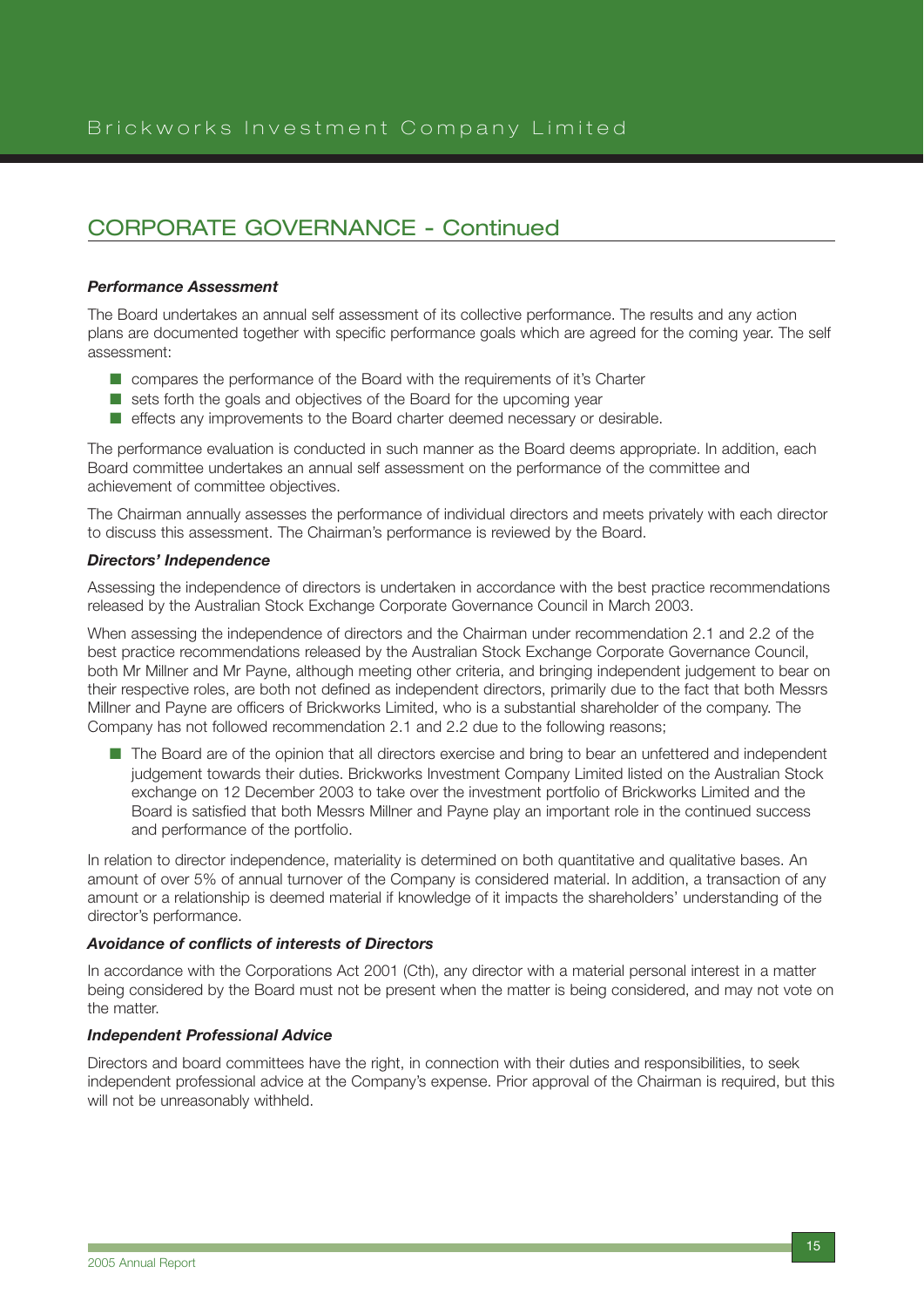#### *Performance Assessment*

The Board undertakes an annual self assessment of its collective performance. The results and any action plans are documented together with specific performance goals which are agreed for the coming year. The self assessment:

- compares the performance of the Board with the requirements of it's Charter
- sets forth the goals and objectives of the Board for the upcoming year
- effects any improvements to the Board charter deemed necessary or desirable.

The performance evaluation is conducted in such manner as the Board deems appropriate. In addition, each Board committee undertakes an annual self assessment on the performance of the committee and achievement of committee objectives.

The Chairman annually assesses the performance of individual directors and meets privately with each director to discuss this assessment. The Chairman's performance is reviewed by the Board.

#### *Directors' Independence*

Assessing the independence of directors is undertaken in accordance with the best practice recommendations released by the Australian Stock Exchange Corporate Governance Council in March 2003.

When assessing the independence of directors and the Chairman under recommendation 2.1 and 2.2 of the best practice recommendations released by the Australian Stock Exchange Corporate Governance Council, both Mr Millner and Mr Payne, although meeting other criteria, and bringing independent judgement to bear on their respective roles, are both not defined as independent directors, primarily due to the fact that both Messrs Millner and Payne are officers of Brickworks Limited, who is a substantial shareholder of the company. The Company has not followed recommendation 2.1 and 2.2 due to the following reasons;

■ The Board are of the opinion that all directors exercise and bring to bear an unfettered and independent judgement towards their duties. Brickworks Investment Company Limited listed on the Australian Stock exchange on 12 December 2003 to take over the investment portfolio of Brickworks Limited and the Board is satisfied that both Messrs Millner and Payne play an important role in the continued success and performance of the portfolio.

In relation to director independence, materiality is determined on both quantitative and qualitative bases. An amount of over 5% of annual turnover of the Company is considered material. In addition, a transaction of any amount or a relationship is deemed material if knowledge of it impacts the shareholders' understanding of the director's performance.

#### *Avoidance of conflicts of interests of Directors*

In accordance with the Corporations Act 2001 (Cth), any director with a material personal interest in a matter being considered by the Board must not be present when the matter is being considered, and may not vote on the matter.

#### *Independent Professional Advice*

Directors and board committees have the right, in connection with their duties and responsibilities, to seek independent professional advice at the Company's expense. Prior approval of the Chairman is required, but this will not be unreasonably withheld.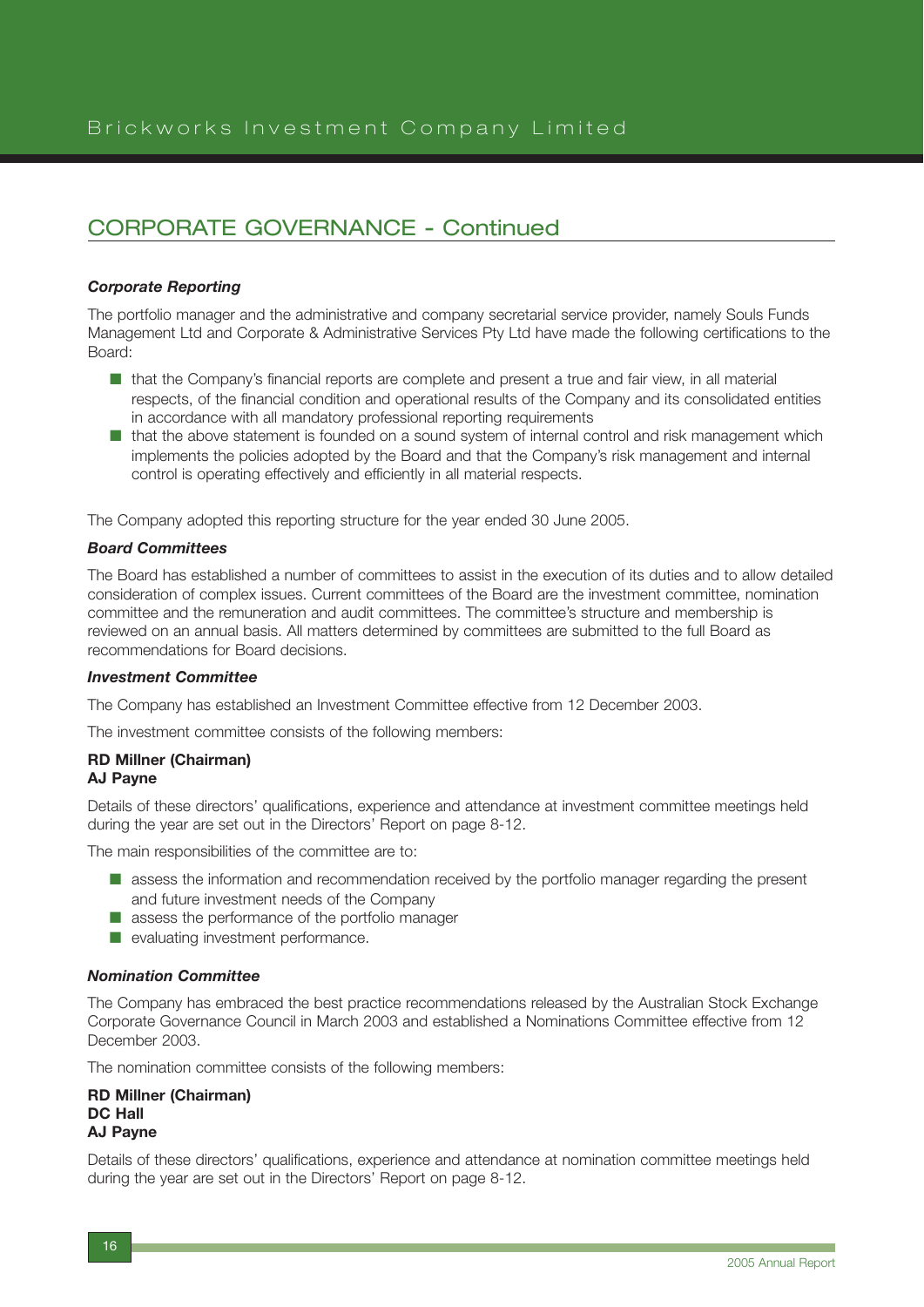#### *Corporate Reporting*

The portfolio manager and the administrative and company secretarial service provider, namely Souls Funds Management Ltd and Corporate & Administrative Services Pty Ltd have made the following certifications to the Board:

- that the Company's financial reports are complete and present a true and fair view, in all material respects, of the financial condition and operational results of the Company and its consolidated entities in accordance with all mandatory professional reporting requirements
- that the above statement is founded on a sound system of internal control and risk management which implements the policies adopted by the Board and that the Company's risk management and internal control is operating effectively and efficiently in all material respects.

The Company adopted this reporting structure for the year ended 30 June 2005.

#### *Board Committees*

The Board has established a number of committees to assist in the execution of its duties and to allow detailed consideration of complex issues. Current committees of the Board are the investment committee, nomination committee and the remuneration and audit committees. The committee's structure and membership is reviewed on an annual basis. All matters determined by committees are submitted to the full Board as recommendations for Board decisions.

#### *Investment Committee*

The Company has established an Investment Committee effective from 12 December 2003.

The investment committee consists of the following members:

#### **RD Millner (Chairman)**

#### **AJ Payne**

Details of these directors' qualifications, experience and attendance at investment committee meetings held during the year are set out in the Directors' Report on page 8-12.

The main responsibilities of the committee are to:

- assess the information and recommendation received by the portfolio manager regarding the present and future investment needs of the Company
- assess the performance of the portfolio manager
- evaluating investment performance.

#### *Nomination Committee*

The Company has embraced the best practice recommendations released by the Australian Stock Exchange Corporate Governance Council in March 2003 and established a Nominations Committee effective from 12 December 2003.

The nomination committee consists of the following members:

#### **RD Millner (Chairman) DC Hall AJ Payne**

Details of these directors' qualifications, experience and attendance at nomination committee meetings held during the year are set out in the Directors' Report on page 8-12.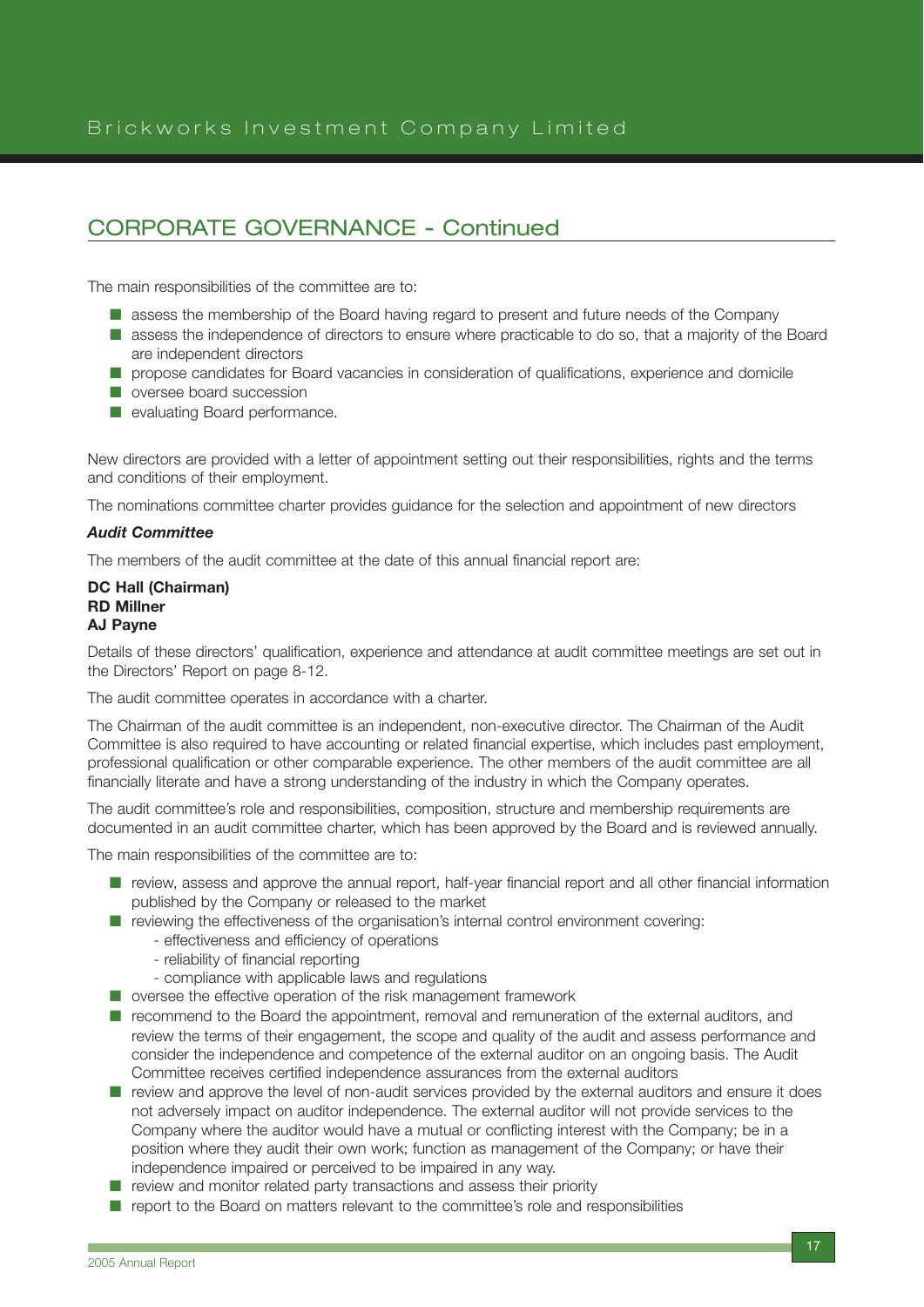The main responsibilities of the committee are to:

- assess the membership of the Board having regard to present and future needs of the Company
- assess the independence of directors to ensure where practicable to do so, that a majority of the Board are independent directors
- propose candidates for Board vacancies in consideration of qualifications, experience and domicile
- oversee board succession
- evaluating Board performance.

New directors are provided with a letter of appointment setting out their responsibilities, rights and the terms and conditions of their employment.

The nominations committee charter provides guidance for the selection and appointment of new directors

#### *Audit Committee*

The members of the audit committee at the date of this annual financial report are:

#### **DC Hall (Chairman) RD Millner AJ Payne**

Details of these directors' qualification, experience and attendance at audit committee meetings are set out in the Directors' Report on page 8-12.

The audit committee operates in accordance with a charter.

The Chairman of the audit committee is an independent, non-executive director. The Chairman of the Audit Committee is also required to have accounting or related financial expertise, which includes past employment, professional qualification or other comparable experience. The other members of the audit committee are all financially literate and have a strong understanding of the industry in which the Company operates.

The audit committee's role and responsibilities, composition, structure and membership requirements are documented in an audit committee charter, which has been approved by the Board and is reviewed annually.

The main responsibilities of the committee are to:

- review, assess and approve the annual report, half-year financial report and all other financial information published by the Company or released to the market
- reviewing the effectiveness of the organisation's internal control environment covering:
	- effectiveness and efficiency of operations
		- reliability of financial reporting
		- compliance with applicable laws and regulations
- oversee the effective operation of the risk management framework
- recommend to the Board the appointment, removal and remuneration of the external auditors, and review the terms of their engagement, the scope and quality of the audit and assess performance and consider the independence and competence of the external auditor on an ongoing basis. The Audit Committee receives certified independence assurances from the external auditors
- review and approve the level of non-audit services provided by the external auditors and ensure it does not adversely impact on auditor independence. The external auditor will not provide services to the Company where the auditor would have a mutual or conflicting interest with the Company; be in a position where they audit their own work; function as management of the Company; or have their independence impaired or perceived to be impaired in any way.
- review and monitor related party transactions and assess their priority
- report to the Board on matters relevant to the committee's role and responsibilities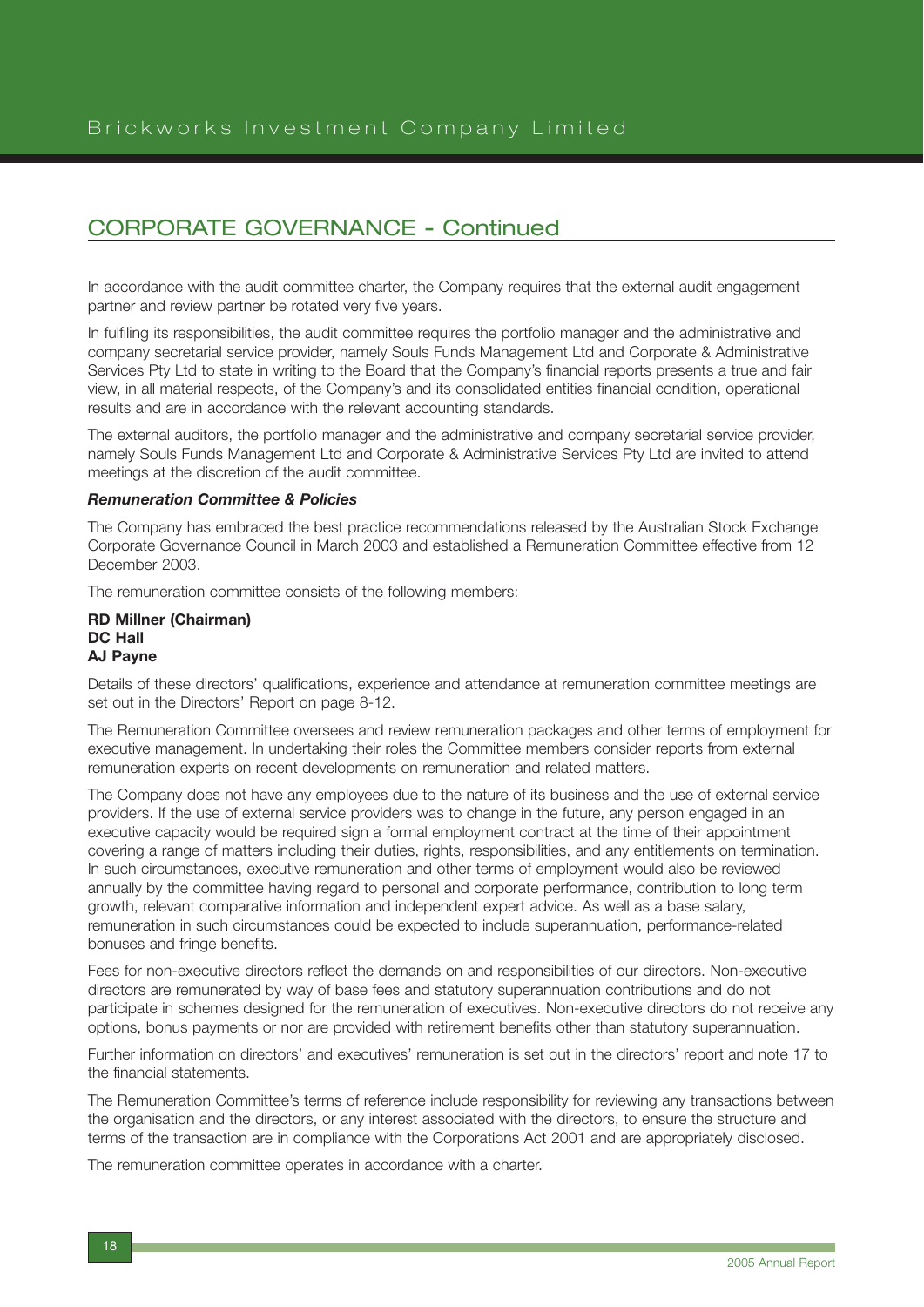In accordance with the audit committee charter, the Company requires that the external audit engagement partner and review partner be rotated very five years.

In fulfiling its responsibilities, the audit committee requires the portfolio manager and the administrative and company secretarial service provider, namely Souls Funds Management Ltd and Corporate & Administrative Services Pty Ltd to state in writing to the Board that the Company's financial reports presents a true and fair view, in all material respects, of the Company's and its consolidated entities financial condition, operational results and are in accordance with the relevant accounting standards.

The external auditors, the portfolio manager and the administrative and company secretarial service provider, namely Souls Funds Management Ltd and Corporate & Administrative Services Pty Ltd are invited to attend meetings at the discretion of the audit committee.

#### *Remuneration Committee & Policies*

The Company has embraced the best practice recommendations released by the Australian Stock Exchange Corporate Governance Council in March 2003 and established a Remuneration Committee effective from 12 December 2003.

The remuneration committee consists of the following members:

#### **RD Millner (Chairman) DC Hall AJ Payne**

Details of these directors' qualifications, experience and attendance at remuneration committee meetings are set out in the Directors' Report on page 8-12.

The Remuneration Committee oversees and review remuneration packages and other terms of employment for executive management. In undertaking their roles the Committee members consider reports from external remuneration experts on recent developments on remuneration and related matters.

The Company does not have any employees due to the nature of its business and the use of external service providers. If the use of external service providers was to change in the future, any person engaged in an executive capacity would be required sign a formal employment contract at the time of their appointment covering a range of matters including their duties, rights, responsibilities, and any entitlements on termination. In such circumstances, executive remuneration and other terms of employment would also be reviewed annually by the committee having regard to personal and corporate performance, contribution to long term growth, relevant comparative information and independent expert advice. As well as a base salary, remuneration in such circumstances could be expected to include superannuation, performance-related bonuses and fringe benefits.

Fees for non-executive directors reflect the demands on and responsibilities of our directors. Non-executive directors are remunerated by way of base fees and statutory superannuation contributions and do not participate in schemes designed for the remuneration of executives. Non-executive directors do not receive any options, bonus payments or nor are provided with retirement benefits other than statutory superannuation.

Further information on directors' and executives' remuneration is set out in the directors' report and note 17 to the financial statements.

The Remuneration Committee's terms of reference include responsibility for reviewing any transactions between the organisation and the directors, or any interest associated with the directors, to ensure the structure and terms of the transaction are in compliance with the Corporations Act 2001 and are appropriately disclosed.

The remuneration committee operates in accordance with a charter.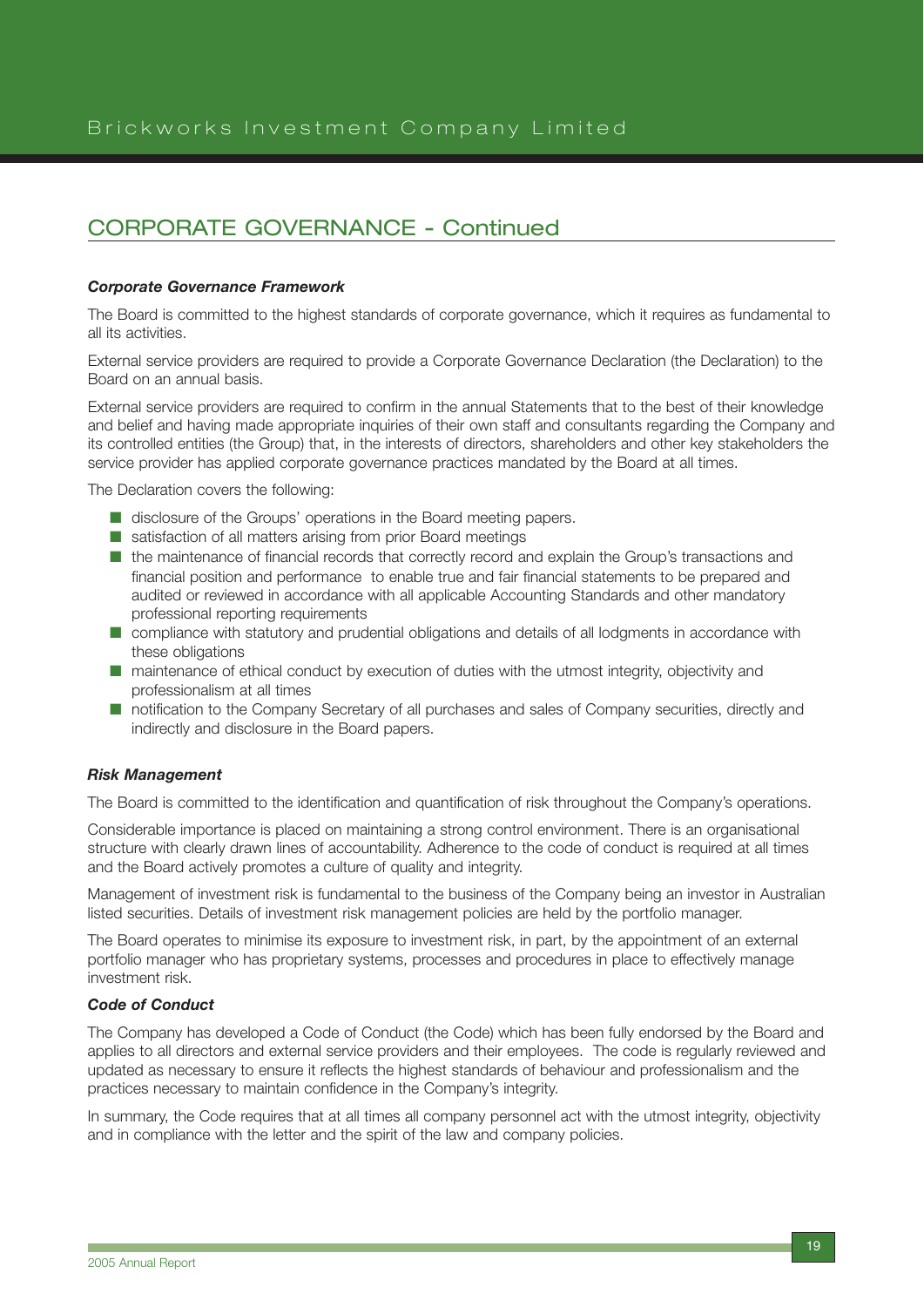#### *Corporate Governance Framework*

The Board is committed to the highest standards of corporate governance, which it requires as fundamental to all its activities.

External service providers are required to provide a Corporate Governance Declaration (the Declaration) to the Board on an annual basis.

External service providers are required to confirm in the annual Statements that to the best of their knowledge and belief and having made appropriate inquiries of their own staff and consultants regarding the Company and its controlled entities (the Group) that, in the interests of directors, shareholders and other key stakeholders the service provider has applied corporate governance practices mandated by the Board at all times.

The Declaration covers the following:

- disclosure of the Groups' operations in the Board meeting papers.
- satisfaction of all matters arising from prior Board meetings
- the maintenance of financial records that correctly record and explain the Group's transactions and financial position and performance to enable true and fair financial statements to be prepared and audited or reviewed in accordance with all applicable Accounting Standards and other mandatory professional reporting requirements
- compliance with statutory and prudential obligations and details of all lodgments in accordance with these obligations
- maintenance of ethical conduct by execution of duties with the utmost integrity, objectivity and professionalism at all times
- notification to the Company Secretary of all purchases and sales of Company securities, directly and indirectly and disclosure in the Board papers.

#### *Risk Management*

The Board is committed to the identification and quantification of risk throughout the Company's operations.

Considerable importance is placed on maintaining a strong control environment. There is an organisational structure with clearly drawn lines of accountability. Adherence to the code of conduct is required at all times and the Board actively promotes a culture of quality and integrity.

Management of investment risk is fundamental to the business of the Company being an investor in Australian listed securities. Details of investment risk management policies are held by the portfolio manager.

The Board operates to minimise its exposure to investment risk, in part, by the appointment of an external portfolio manager who has proprietary systems, processes and procedures in place to effectively manage investment risk.

#### *Code of Conduct*

The Company has developed a Code of Conduct (the Code) which has been fully endorsed by the Board and applies to all directors and external service providers and their employees. The code is regularly reviewed and updated as necessary to ensure it reflects the highest standards of behaviour and professionalism and the practices necessary to maintain confidence in the Company's integrity.

In summary, the Code requires that at all times all company personnel act with the utmost integrity, objectivity and in compliance with the letter and the spirit of the law and company policies.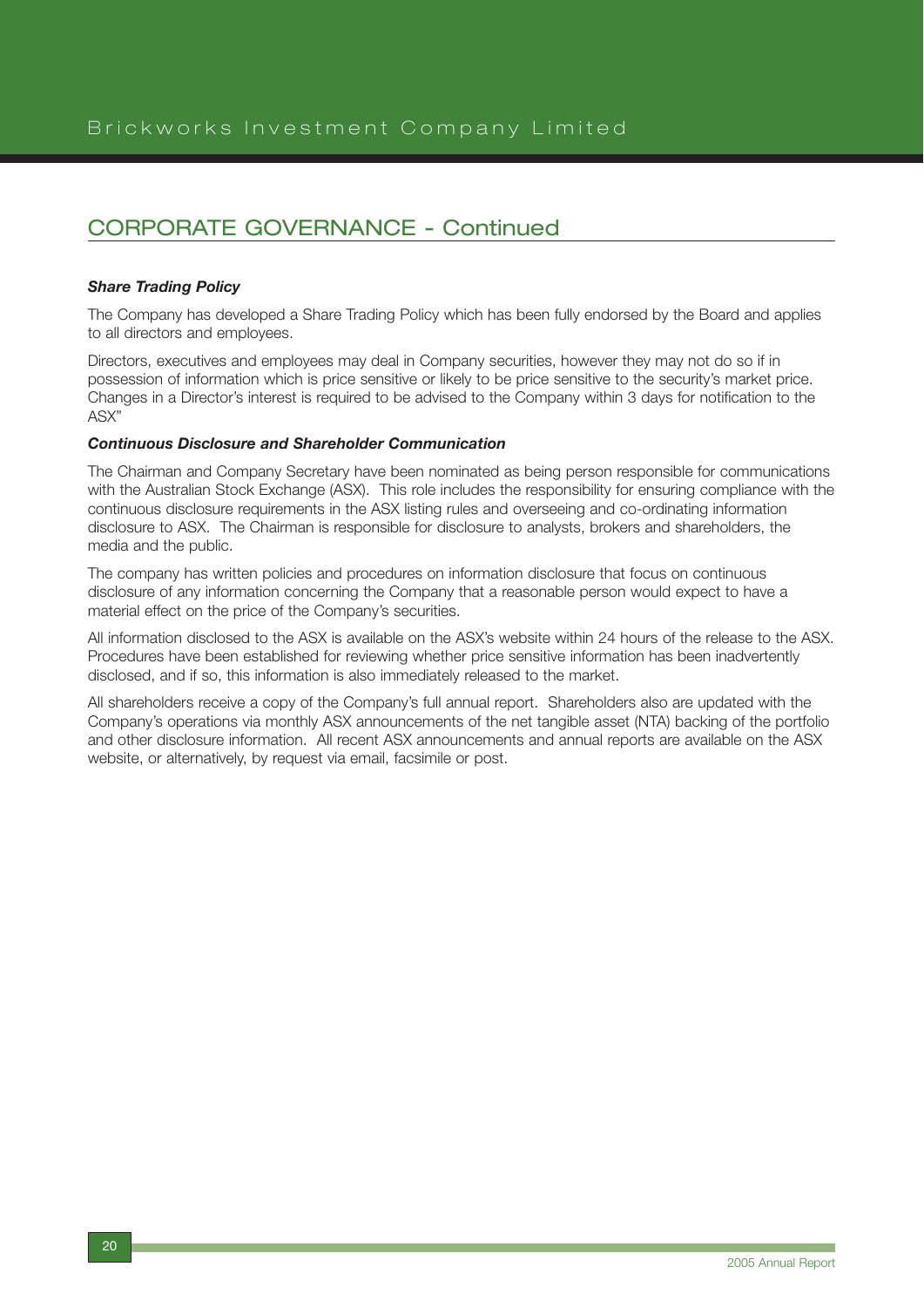#### *Share Trading Policy*

The Company has developed a Share Trading Policy which has been fully endorsed by the Board and applies to all directors and employees.

Directors, executives and employees may deal in Company securities, however they may not do so if in possession of information which is price sensitive or likely to be price sensitive to the security's market price. Changes in a Director's interest is required to be advised to the Company within 3 days for notification to the ASX"

#### *Continuous Disclosure and Shareholder Communication*

The Chairman and Company Secretary have been nominated as being person responsible for communications with the Australian Stock Exchange (ASX). This role includes the responsibility for ensuring compliance with the continuous disclosure requirements in the ASX listing rules and overseeing and co-ordinating information disclosure to ASX. The Chairman is responsible for disclosure to analysts, brokers and shareholders, the media and the public.

The company has written policies and procedures on information disclosure that focus on continuous disclosure of any information concerning the Company that a reasonable person would expect to have a material effect on the price of the Company's securities.

All information disclosed to the ASX is available on the ASX's website within 24 hours of the release to the ASX. Procedures have been established for reviewing whether price sensitive information has been inadvertently disclosed, and if so, this information is also immediately released to the market.

All shareholders receive a copy of the Company's full annual report. Shareholders also are updated with the Company's operations via monthly ASX announcements of the net tangible asset (NTA) backing of the portfolio and other disclosure information. All recent ASX announcements and annual reports are available on the ASX website, or alternatively, by request via email, facsimile or post.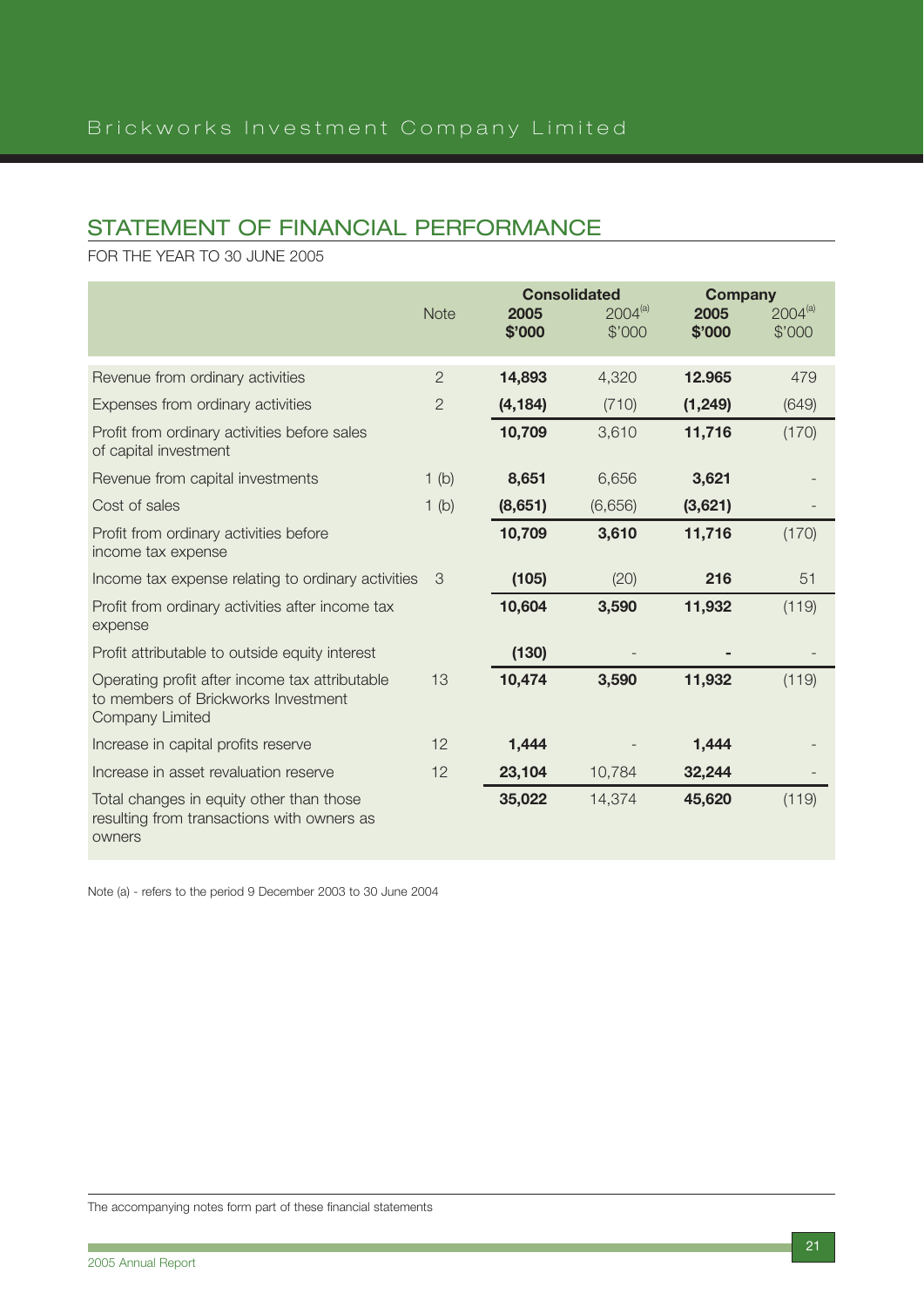## STATEMENT OF FINANCIAL PERFORMANCE

FOR THE YEAR TO 30 JUNE 2005

|                                                                                                                 | <b>Note</b>    | 2005<br>\$'000 | <b>Consolidated</b><br>$2004^{(a)}$<br>\$'000 | <b>Company</b><br>2005<br>\$'000 | $2004^{(a)}$<br>\$'000 |
|-----------------------------------------------------------------------------------------------------------------|----------------|----------------|-----------------------------------------------|----------------------------------|------------------------|
| Revenue from ordinary activities                                                                                | $\mathbf{2}$   | 14,893         | 4,320                                         | 12.965                           | 479                    |
| Expenses from ordinary activities                                                                               | $\overline{2}$ | (4, 184)       | (710)                                         | (1, 249)                         | (649)                  |
| Profit from ordinary activities before sales<br>of capital investment                                           |                | 10,709         | 3,610                                         | 11,716                           | (170)                  |
| Revenue from capital investments                                                                                | 1(b)           | 8,651          | 6,656                                         | 3,621                            |                        |
| Cost of sales                                                                                                   | 1(b)           | (8,651)        | (6,656)                                       | (3,621)                          |                        |
| Profit from ordinary activities before<br>income tax expense                                                    |                | 10,709         | 3,610                                         | 11,716                           | (170)                  |
| Income tax expense relating to ordinary activities                                                              | 3              | (105)          | (20)                                          | 216                              | 51                     |
| Profit from ordinary activities after income tax<br>expense                                                     |                | 10,604         | 3,590                                         | 11,932                           | (119)                  |
| Profit attributable to outside equity interest                                                                  |                | (130)          |                                               |                                  |                        |
| Operating profit after income tax attributable<br>to members of Brickworks Investment<br><b>Company Limited</b> | 13             | 10,474         | 3,590                                         | 11,932                           | (119)                  |
| Increase in capital profits reserve                                                                             | 12             | 1,444          |                                               | 1,444                            |                        |
| Increase in asset revaluation reserve                                                                           | 12             | 23,104         | 10,784                                        | 32,244                           |                        |
| Total changes in equity other than those<br>resulting from transactions with owners as<br>owners                |                | 35,022         | 14,374                                        | 45,620                           | (119)                  |

Note (a) - refers to the period 9 December 2003 to 30 June 2004

The accompanying notes form part of these financial statements

**The State**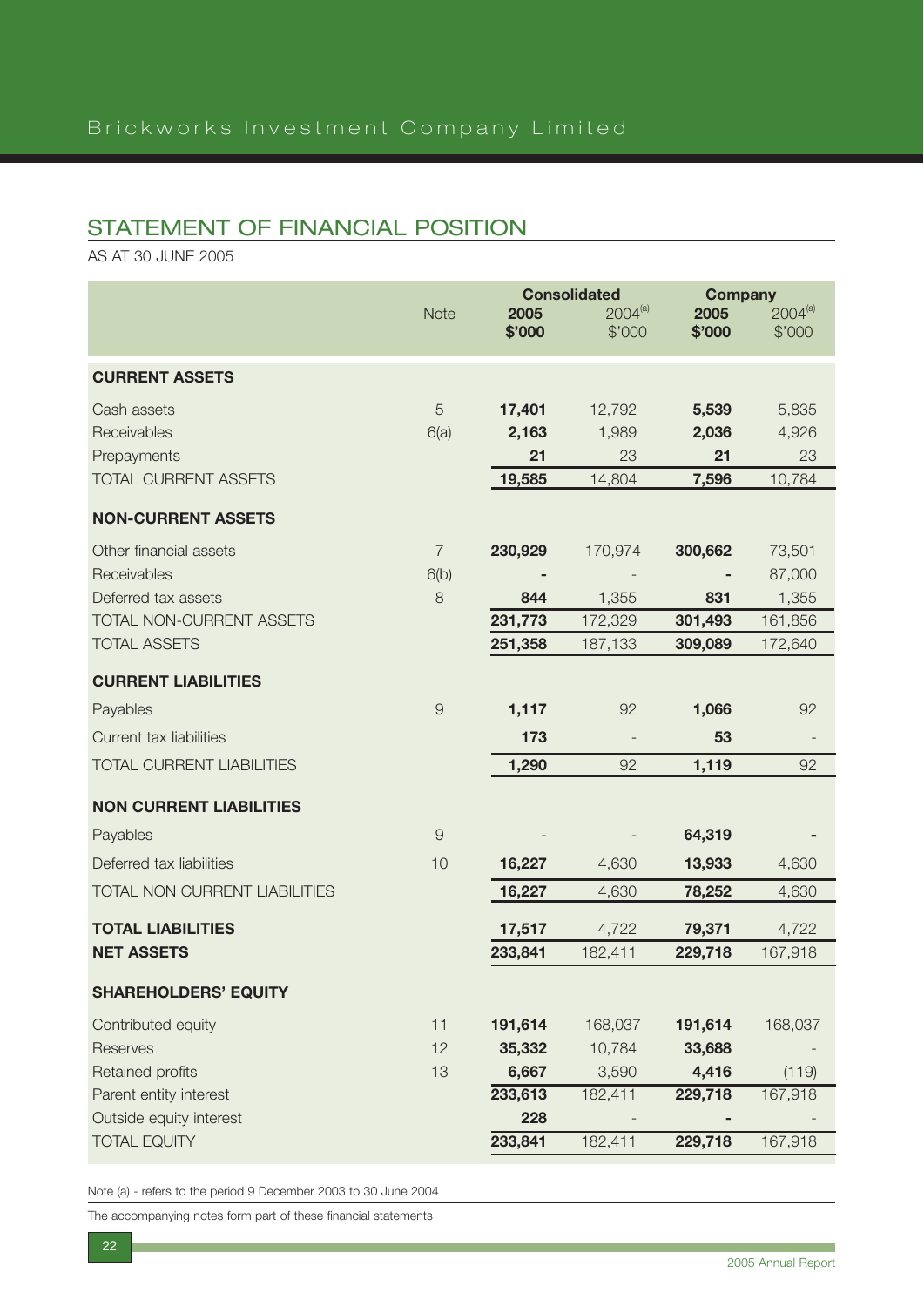## STATEMENT OF FINANCIAL POSITION

AS AT 30 JUNE 2005

|                                  |                |         | <b>Consolidated</b> | <b>Company</b> |              |
|----------------------------------|----------------|---------|---------------------|----------------|--------------|
|                                  | <b>Note</b>    | 2005    | $2004^{(a)}$        | 2005           | $2004^{(a)}$ |
|                                  |                | \$'000  | \$'000              | \$'000         | \$'000       |
| <b>CURRENT ASSETS</b>            |                |         |                     |                |              |
| Cash assets                      | 5              | 17,401  | 12,792              | 5,539          | 5,835        |
| Receivables                      | 6(a)           | 2,163   | 1,989               | 2,036          | 4,926        |
| Prepayments                      |                | 21      | 23                  | 21             | 23           |
| <b>TOTAL CURRENT ASSETS</b>      |                | 19,585  | 14,804              | 7,596          | 10,784       |
| <b>NON-CURRENT ASSETS</b>        |                |         |                     |                |              |
| Other financial assets           | $\overline{7}$ | 230,929 | 170,974             | 300,662        | 73,501       |
| Receivables                      | 6(b)           |         |                     |                | 87,000       |
| Deferred tax assets              | 8              | 844     | 1,355               | 831            | 1,355        |
| TOTAL NON-CURRENT ASSETS         |                | 231,773 | 172,329             | 301,493        | 161,856      |
| <b>TOTAL ASSETS</b>              |                | 251,358 | 187,133             | 309,089        | 172,640      |
| <b>CURRENT LIABILITIES</b>       |                |         |                     |                |              |
| Payables                         | $\overline{9}$ | 1,117   | 92                  | 1,066          | 92           |
| Current tax liabilities          |                | 173     |                     | 53             |              |
| <b>TOTAL CURRENT LIABILITIES</b> |                | 1,290   | 92                  | 1,119          | 92           |
| <b>NON CURRENT LIABILITIES</b>   |                |         |                     |                |              |
| Payables                         | $\Theta$       |         |                     | 64,319         |              |
| Deferred tax liabilities         | 10             | 16,227  | 4,630               | 13,933         | 4,630        |
| TOTAL NON CURRENT LIABILITIES    |                | 16,227  | 4,630               | 78,252         | 4,630        |
|                                  |                |         |                     |                |              |
| <b>TOTAL LIABILITIES</b>         |                | 17,517  | 4,722               | 79,371         | 4,722        |
| <b>NET ASSETS</b>                |                | 233,841 | 182,411             | 229,718        | 167,918      |
| <b>SHAREHOLDERS' EQUITY</b>      |                |         |                     |                |              |
| Contributed equity               | 11             | 191,614 | 168,037             | 191,614        | 168,037      |
| Reserves                         | 12             | 35,332  | 10,784              | 33,688         |              |
| Retained profits                 | 13             | 6,667   | 3,590               | 4,416          | (119)        |
| Parent entity interest           |                | 233,613 | 182,411             | 229,718        | 167,918      |
| Outside equity interest          |                | 228     |                     |                |              |
| <b>TOTAL EQUITY</b>              |                | 233,841 | 182,411             | 229,718        | 167,918      |

Note (a) - refers to the period 9 December 2003 to 30 June 2004

The accompanying notes form part of these financial statements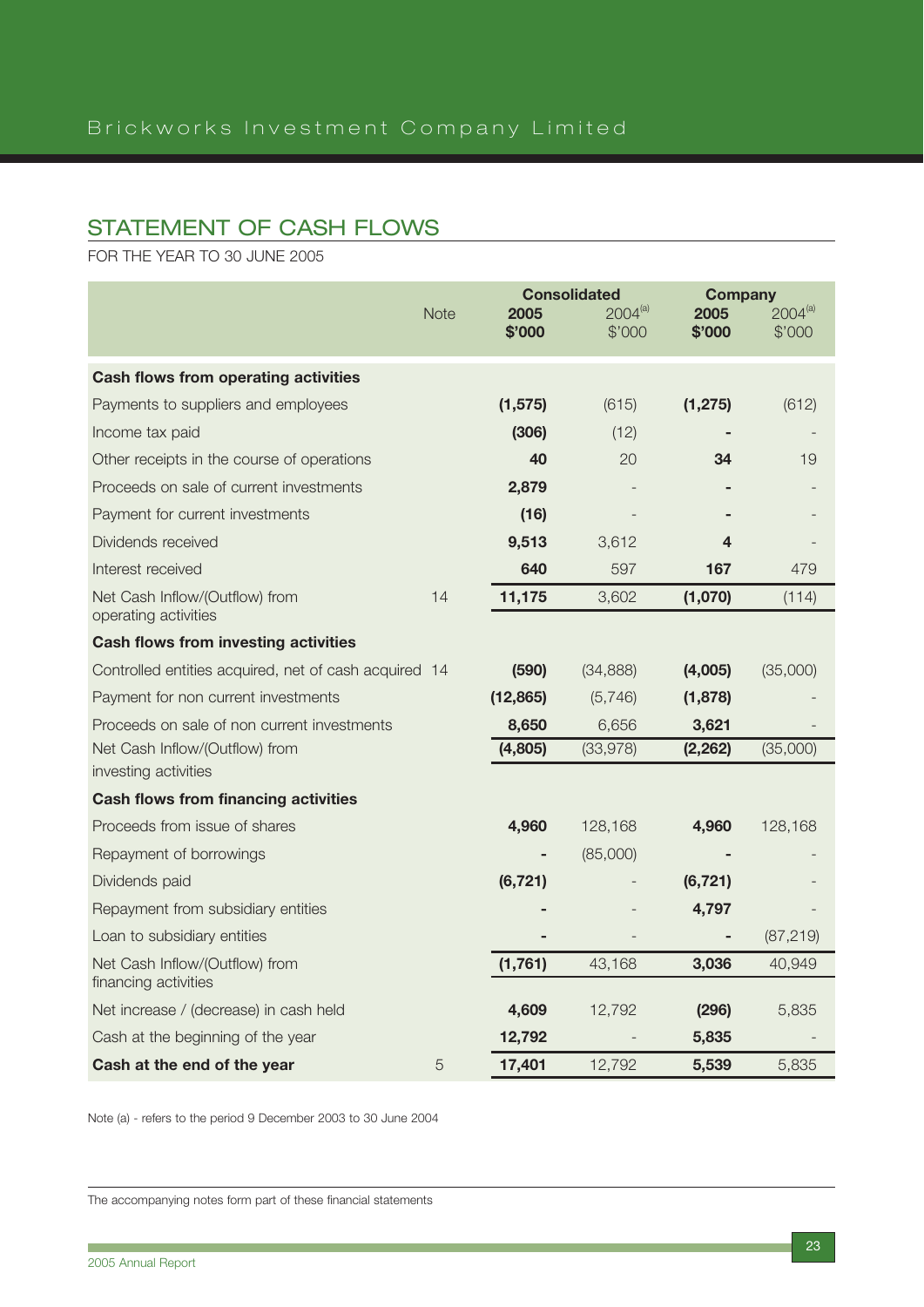## STATEMENT OF CASH FLOWS

FOR THE YEAR TO 30 JUNE 2005

|                                                        |             |           | <b>Consolidated</b> | <b>Company</b> |              |
|--------------------------------------------------------|-------------|-----------|---------------------|----------------|--------------|
|                                                        | <b>Note</b> | 2005      | $2004^{(a)}$        | 2005           | $2004^{(a)}$ |
|                                                        |             | \$'000    | \$'000              | \$'000         | \$'000       |
| <b>Cash flows from operating activities</b>            |             |           |                     |                |              |
| Payments to suppliers and employees                    |             | (1, 575)  | (615)               | (1, 275)       | (612)        |
| Income tax paid                                        |             | (306)     | (12)                |                |              |
| Other receipts in the course of operations             |             | 40        | 20                  | 34             | 19           |
| Proceeds on sale of current investments                |             | 2,879     |                     |                |              |
| Payment for current investments                        |             | (16)      |                     |                |              |
| Dividends received                                     |             | 9,513     | 3,612               | 4              |              |
| Interest received                                      |             | 640       | 597                 | 167            | 479          |
| Net Cash Inflow/(Outflow) from                         | 14          | 11,175    | 3,602               | (1,070)        | (114)        |
| operating activities                                   |             |           |                     |                |              |
| <b>Cash flows from investing activities</b>            |             |           |                     |                |              |
| Controlled entities acquired, net of cash acquired 14  |             | (590)     | (34, 888)           | (4,005)        | (35,000)     |
| Payment for non current investments                    |             | (12, 865) | (5,746)             | (1,878)        |              |
| Proceeds on sale of non current investments            |             | 8,650     | 6,656               | 3,621          |              |
| Net Cash Inflow/(Outflow) from                         |             | (4,805)   | (33,978)            | (2, 262)       | (35,000)     |
| investing activities                                   |             |           |                     |                |              |
| <b>Cash flows from financing activities</b>            |             |           |                     |                |              |
| Proceeds from issue of shares                          |             | 4,960     | 128,168             | 4,960          | 128,168      |
| Repayment of borrowings                                |             |           | (85,000)            |                |              |
| Dividends paid                                         |             | (6, 721)  |                     | (6, 721)       |              |
| Repayment from subsidiary entities                     |             |           |                     | 4,797          |              |
| Loan to subsidiary entities                            |             |           |                     |                | (87, 219)    |
| Net Cash Inflow/(Outflow) from<br>financing activities |             | (1,761)   | 43,168              | 3,036          | 40,949       |
| Net increase / (decrease) in cash held                 |             | 4,609     | 12,792              | (296)          | 5,835        |
| Cash at the beginning of the year                      |             | 12,792    |                     | 5,835          |              |
| Cash at the end of the year                            | 5           | 17,401    | 12,792              | 5,539          | 5,835        |

Note (a) - refers to the period 9 December 2003 to 30 June 2004

The accompanying notes form part of these financial statements

**The State**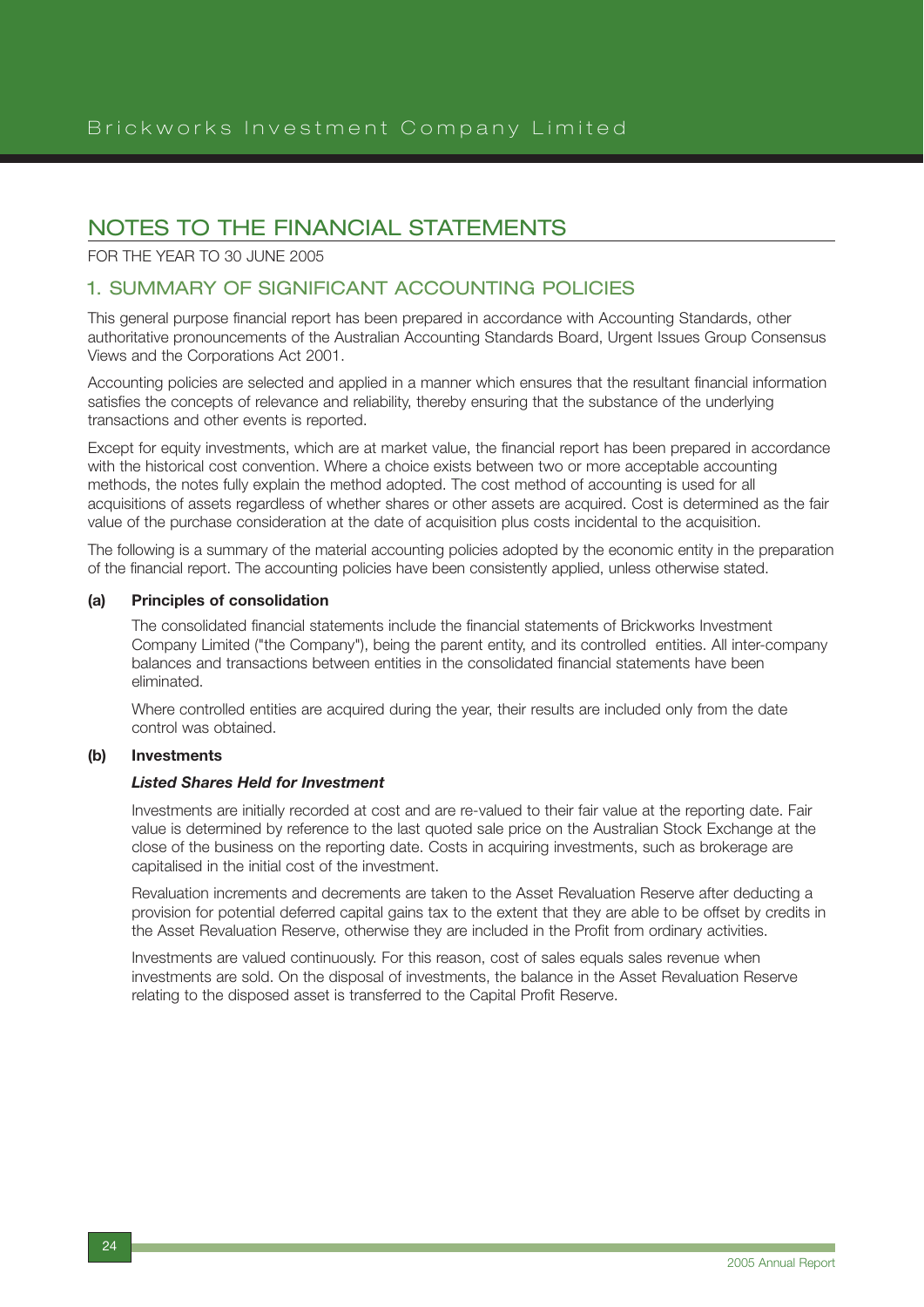FOR THE YEAR TO 30 JUNE 2005

### 1. SUMMARY OF SIGNIFICANT ACCOUNTING POLICIES

This general purpose financial report has been prepared in accordance with Accounting Standards, other authoritative pronouncements of the Australian Accounting Standards Board, Urgent Issues Group Consensus Views and the Corporations Act 2001.

Accounting policies are selected and applied in a manner which ensures that the resultant financial information satisfies the concepts of relevance and reliability, thereby ensuring that the substance of the underlying transactions and other events is reported.

Except for equity investments, which are at market value, the financial report has been prepared in accordance with the historical cost convention. Where a choice exists between two or more acceptable accounting methods, the notes fully explain the method adopted. The cost method of accounting is used for all acquisitions of assets regardless of whether shares or other assets are acquired. Cost is determined as the fair value of the purchase consideration at the date of acquisition plus costs incidental to the acquisition.

The following is a summary of the material accounting policies adopted by the economic entity in the preparation of the financial report. The accounting policies have been consistently applied, unless otherwise stated.

#### **(a) Principles of consolidation**

The consolidated financial statements include the financial statements of Brickworks Investment Company Limited ("the Company"), being the parent entity, and its controlled entities. All inter-company balances and transactions between entities in the consolidated financial statements have been eliminated.

Where controlled entities are acquired during the year, their results are included only from the date control was obtained.

#### **(b) Investments**

#### *Listed Shares Held for Investment*

Investments are initially recorded at cost and are re-valued to their fair value at the reporting date. Fair value is determined by reference to the last quoted sale price on the Australian Stock Exchange at the close of the business on the reporting date. Costs in acquiring investments, such as brokerage are capitalised in the initial cost of the investment.

Revaluation increments and decrements are taken to the Asset Revaluation Reserve after deducting a provision for potential deferred capital gains tax to the extent that they are able to be offset by credits in the Asset Revaluation Reserve, otherwise they are included in the Profit from ordinary activities.

Investments are valued continuously. For this reason, cost of sales equals sales revenue when investments are sold. On the disposal of investments, the balance in the Asset Revaluation Reserve relating to the disposed asset is transferred to the Capital Profit Reserve.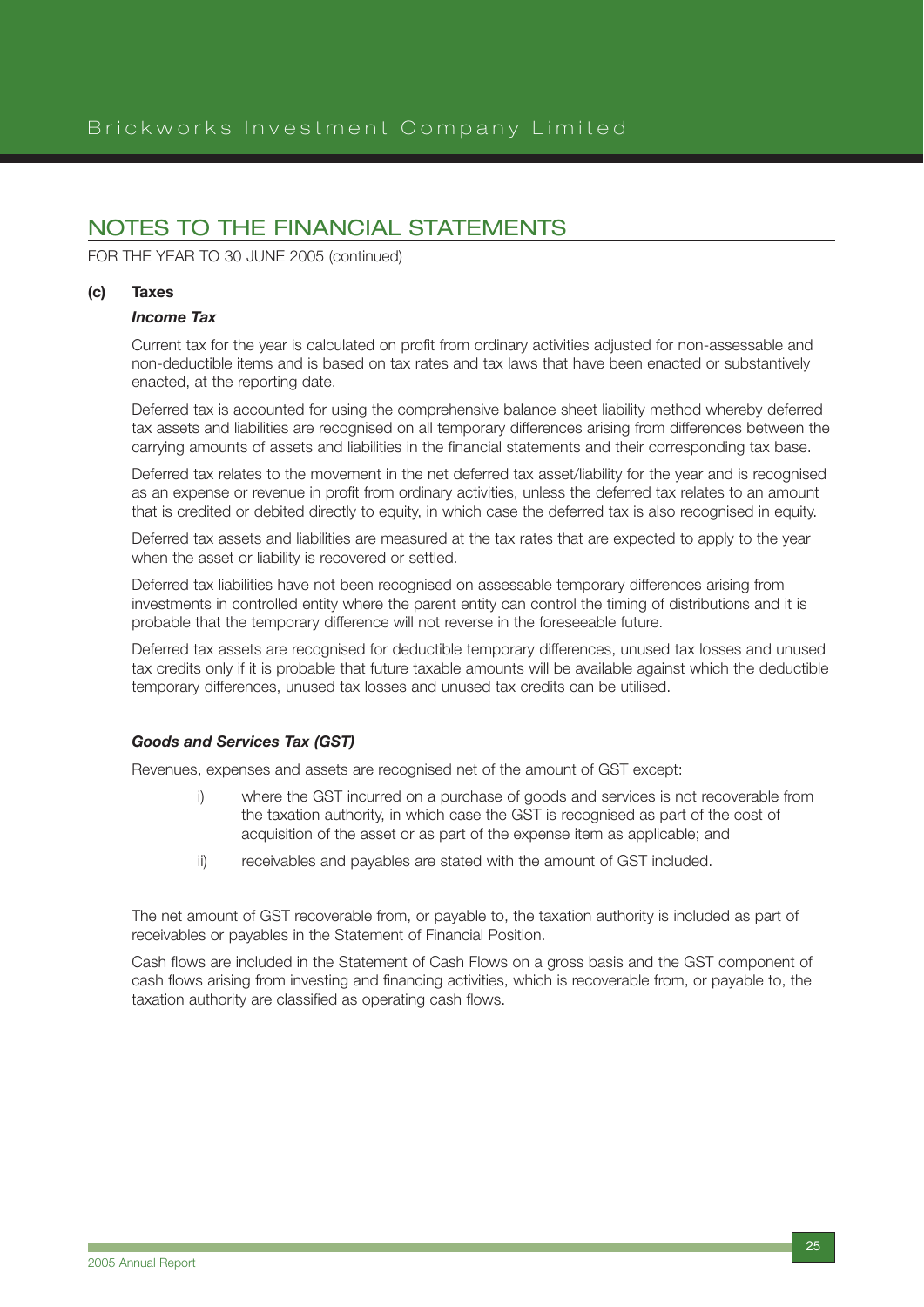FOR THE YEAR TO 30 JUNE 2005 (continued)

#### **(c) Taxes**

#### *Income Tax*

Current tax for the year is calculated on profit from ordinary activities adjusted for non-assessable and non-deductible items and is based on tax rates and tax laws that have been enacted or substantively enacted, at the reporting date.

Deferred tax is accounted for using the comprehensive balance sheet liability method whereby deferred tax assets and liabilities are recognised on all temporary differences arising from differences between the carrying amounts of assets and liabilities in the financial statements and their corresponding tax base.

Deferred tax relates to the movement in the net deferred tax asset/liability for the year and is recognised as an expense or revenue in profit from ordinary activities, unless the deferred tax relates to an amount that is credited or debited directly to equity, in which case the deferred tax is also recognised in equity.

Deferred tax assets and liabilities are measured at the tax rates that are expected to apply to the year when the asset or liability is recovered or settled.

Deferred tax liabilities have not been recognised on assessable temporary differences arising from investments in controlled entity where the parent entity can control the timing of distributions and it is probable that the temporary difference will not reverse in the foreseeable future.

Deferred tax assets are recognised for deductible temporary differences, unused tax losses and unused tax credits only if it is probable that future taxable amounts will be available against which the deductible temporary differences, unused tax losses and unused tax credits can be utilised.

#### *Goods and Services Tax (GST)*

Revenues, expenses and assets are recognised net of the amount of GST except:

- i) where the GST incurred on a purchase of goods and services is not recoverable from the taxation authority, in which case the GST is recognised as part of the cost of acquisition of the asset or as part of the expense item as applicable; and
- ii) receivables and payables are stated with the amount of GST included.

The net amount of GST recoverable from, or payable to, the taxation authority is included as part of receivables or payables in the Statement of Financial Position.

Cash flows are included in the Statement of Cash Flows on a gross basis and the GST component of cash flows arising from investing and financing activities, which is recoverable from, or payable to, the taxation authority are classified as operating cash flows.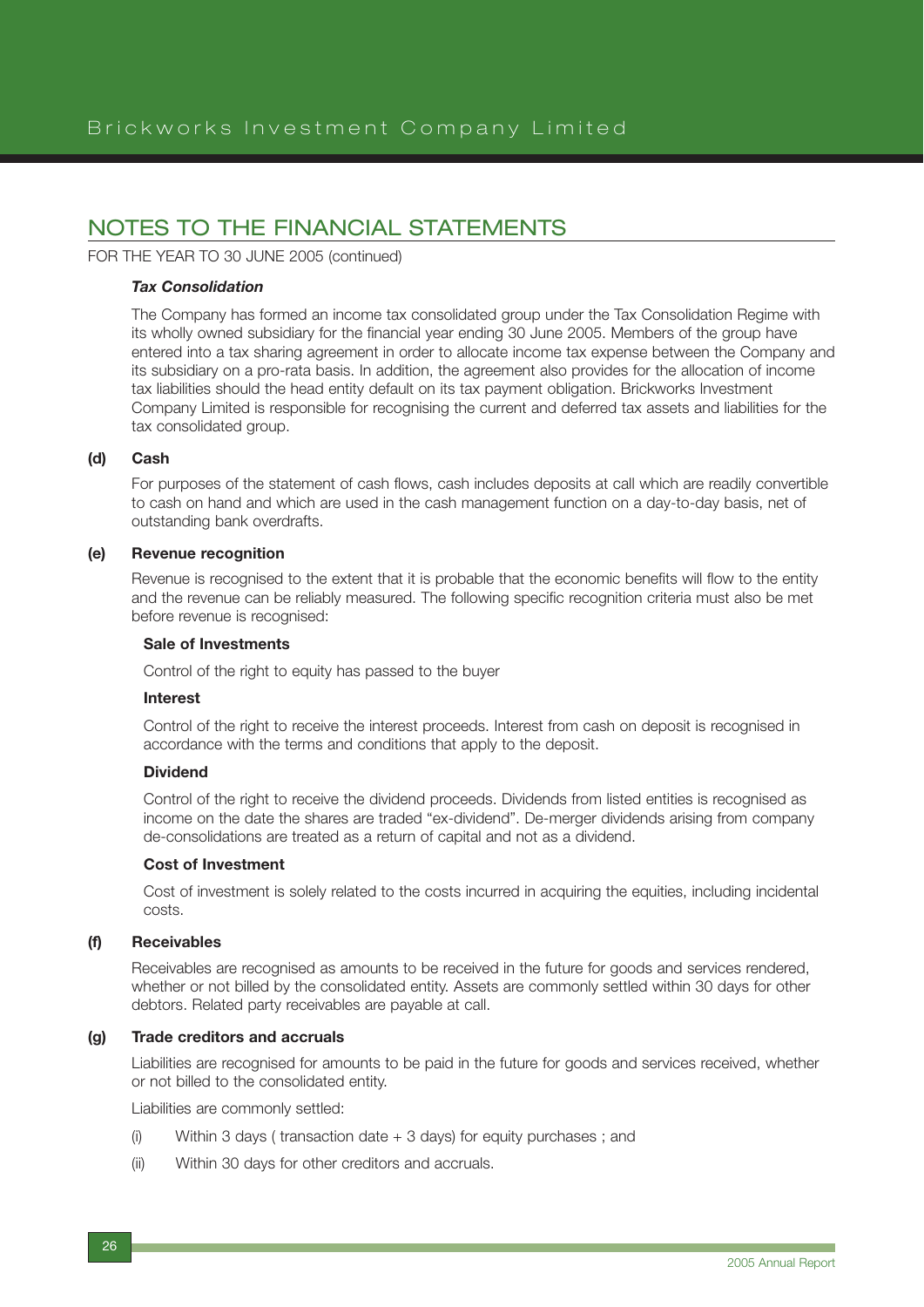FOR THE YEAR TO 30 JUNE 2005 (continued)

#### *Tax Consolidation*

The Company has formed an income tax consolidated group under the Tax Consolidation Regime with its wholly owned subsidiary for the financial year ending 30 June 2005. Members of the group have entered into a tax sharing agreement in order to allocate income tax expense between the Company and its subsidiary on a pro-rata basis. In addition, the agreement also provides for the allocation of income tax liabilities should the head entity default on its tax payment obligation. Brickworks Investment Company Limited is responsible for recognising the current and deferred tax assets and liabilities for the tax consolidated group.

#### **(d) Cash**

For purposes of the statement of cash flows, cash includes deposits at call which are readily convertible to cash on hand and which are used in the cash management function on a day-to-day basis, net of outstanding bank overdrafts.

#### **(e) Revenue recognition**

Revenue is recognised to the extent that it is probable that the economic benefits will flow to the entity and the revenue can be reliably measured. The following specific recognition criteria must also be met before revenue is recognised:

#### **Sale of Investments**

Control of the right to equity has passed to the buyer

#### **Interest**

Control of the right to receive the interest proceeds. Interest from cash on deposit is recognised in accordance with the terms and conditions that apply to the deposit.

#### **Dividend**

Control of the right to receive the dividend proceeds. Dividends from listed entities is recognised as income on the date the shares are traded "ex-dividend". De-merger dividends arising from company de-consolidations are treated as a return of capital and not as a dividend.

#### **Cost of Investment**

Cost of investment is solely related to the costs incurred in acquiring the equities, including incidental costs.

#### **(f) Receivables**

Receivables are recognised as amounts to be received in the future for goods and services rendered, whether or not billed by the consolidated entity. Assets are commonly settled within 30 days for other debtors. Related party receivables are payable at call.

#### **(g) Trade creditors and accruals**

Liabilities are recognised for amounts to be paid in the future for goods and services received, whether or not billed to the consolidated entity.

Liabilities are commonly settled:

- (i) Within 3 days ( transaction date  $+$  3 days) for equity purchases ; and
- (ii) Within 30 days for other creditors and accruals.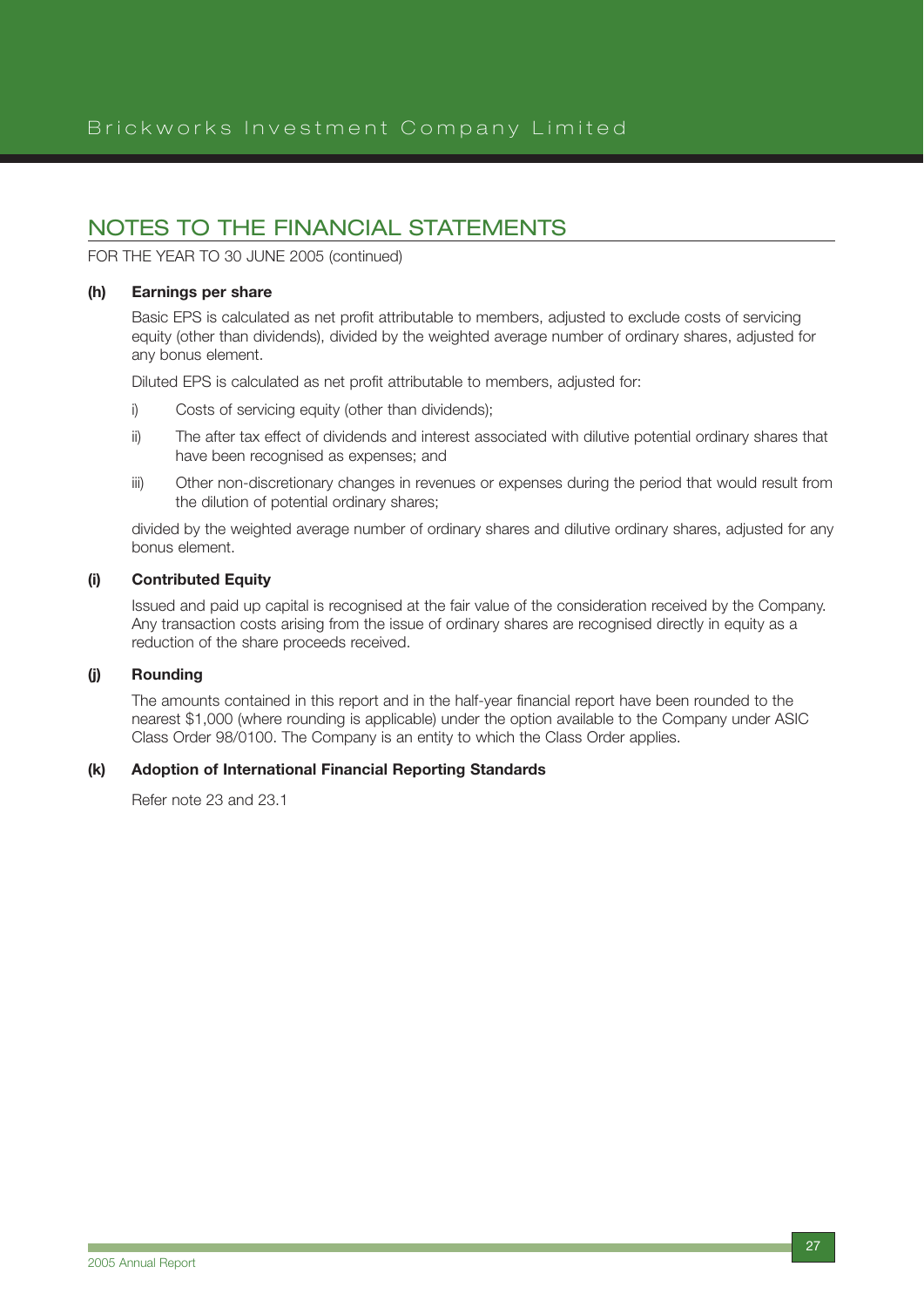FOR THE YEAR TO 30 JUNE 2005 (continued)

#### **(h) Earnings per share**

Basic EPS is calculated as net profit attributable to members, adjusted to exclude costs of servicing equity (other than dividends), divided by the weighted average number of ordinary shares, adjusted for any bonus element.

Diluted EPS is calculated as net profit attributable to members, adjusted for:

- i) Costs of servicing equity (other than dividends);
- ii) The after tax effect of dividends and interest associated with dilutive potential ordinary shares that have been recognised as expenses; and
- iii) Other non-discretionary changes in revenues or expenses during the period that would result from the dilution of potential ordinary shares;

divided by the weighted average number of ordinary shares and dilutive ordinary shares, adjusted for any bonus element.

#### **(i) Contributed Equity**

Issued and paid up capital is recognised at the fair value of the consideration received by the Company. Any transaction costs arising from the issue of ordinary shares are recognised directly in equity as a reduction of the share proceeds received.

#### **(j) Rounding**

The amounts contained in this report and in the half-year financial report have been rounded to the nearest \$1,000 (where rounding is applicable) under the option available to the Company under ASIC Class Order 98/0100. The Company is an entity to which the Class Order applies.

#### **(k) Adoption of International Financial Reporting Standards**

Refer note 23 and 23.1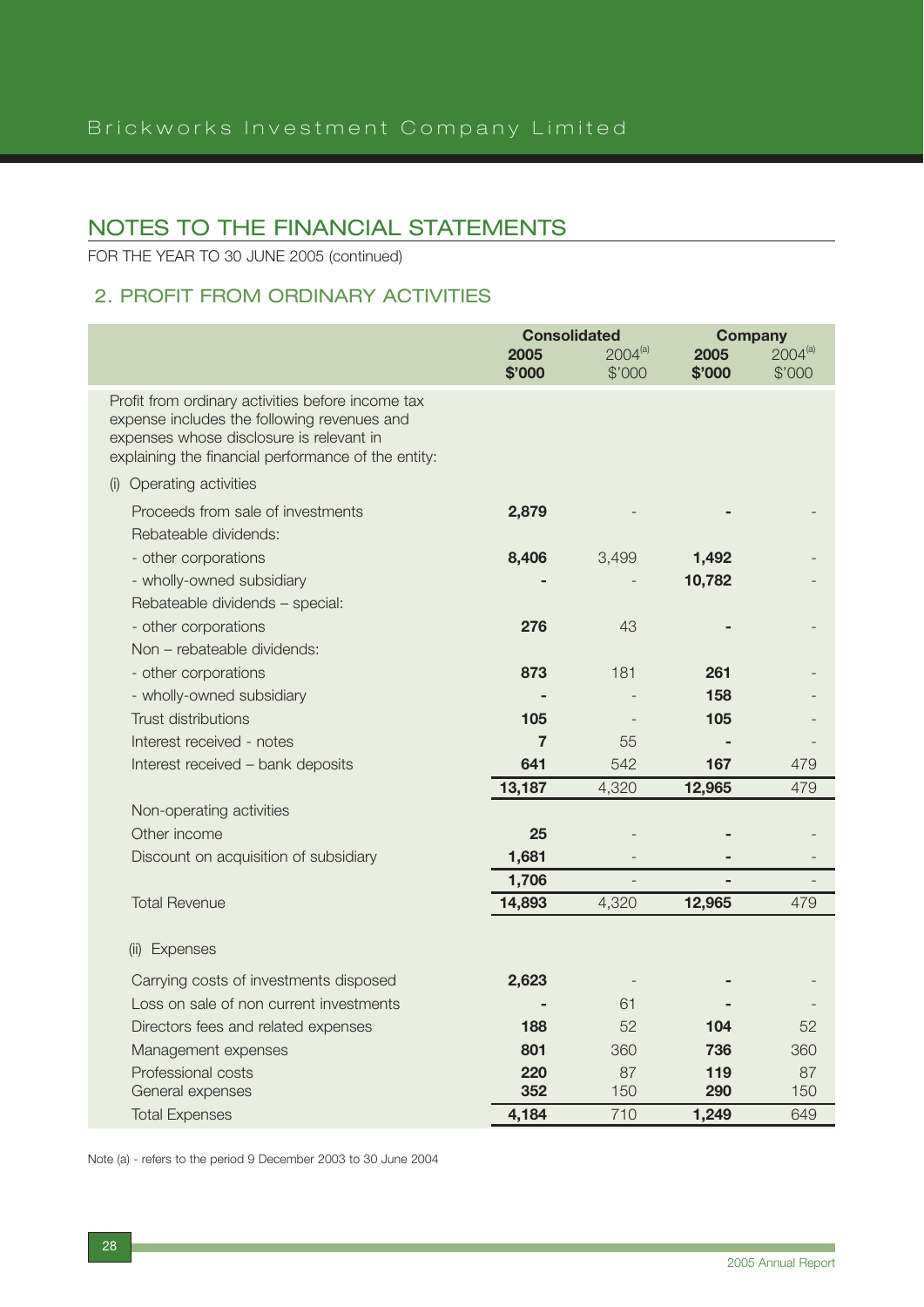FOR THE YEAR TO 30 JUNE 2005 (continued)

## 2. PROFIT FROM ORDINARY ACTIVITIES

|                                                                                                                                                                                                     | <b>Consolidated</b> |              | <b>Company</b> |              |
|-----------------------------------------------------------------------------------------------------------------------------------------------------------------------------------------------------|---------------------|--------------|----------------|--------------|
|                                                                                                                                                                                                     | 2005                | $2004^{(a)}$ | 2005           | $2004^{(a)}$ |
|                                                                                                                                                                                                     | \$'000              | \$'000       | \$'000         | \$'000       |
| Profit from ordinary activities before income tax<br>expense includes the following revenues and<br>expenses whose disclosure is relevant in<br>explaining the financial performance of the entity: |                     |              |                |              |
| (i) Operating activities                                                                                                                                                                            |                     |              |                |              |
| Proceeds from sale of investments                                                                                                                                                                   | 2,879               |              |                |              |
| Rebateable dividends:                                                                                                                                                                               |                     |              |                |              |
| - other corporations                                                                                                                                                                                | 8,406               | 3,499        | 1,492          |              |
| - wholly-owned subsidiary                                                                                                                                                                           |                     |              | 10,782         |              |
| Rebateable dividends - special:                                                                                                                                                                     |                     |              |                |              |
| - other corporations                                                                                                                                                                                | 276                 | 43           |                |              |
| Non - rebateable dividends:                                                                                                                                                                         |                     |              |                |              |
| - other corporations                                                                                                                                                                                | 873                 | 181          | 261            |              |
| - wholly-owned subsidiary                                                                                                                                                                           |                     |              | 158            |              |
| Trust distributions                                                                                                                                                                                 | 105                 |              | 105            |              |
| Interest received - notes                                                                                                                                                                           | $\overline{7}$      | 55           |                |              |
| Interest received - bank deposits                                                                                                                                                                   | 641                 | 542          | 167            | 479          |
|                                                                                                                                                                                                     | 13,187              | 4,320        | 12,965         | 479          |
| Non-operating activities                                                                                                                                                                            |                     |              |                |              |
| Other income                                                                                                                                                                                        | 25                  |              |                |              |
| Discount on acquisition of subsidiary                                                                                                                                                               | 1,681               |              |                |              |
|                                                                                                                                                                                                     | 1,706               |              |                |              |
| <b>Total Revenue</b>                                                                                                                                                                                | 14,893              | 4,320        | 12,965         | 479          |
| Expenses<br>(ii)                                                                                                                                                                                    |                     |              |                |              |
| Carrying costs of investments disposed                                                                                                                                                              | 2,623               |              |                |              |
| Loss on sale of non current investments                                                                                                                                                             |                     | 61           |                |              |
| Directors fees and related expenses                                                                                                                                                                 | 188                 | 52           | 104            | 52           |
| Management expenses                                                                                                                                                                                 | 801                 | 360          | 736            | 360          |
| Professional costs                                                                                                                                                                                  | 220                 | 87           | 119            | 87           |
| General expenses                                                                                                                                                                                    | 352                 | 150          | 290            | 150          |
| <b>Total Expenses</b>                                                                                                                                                                               | 4,184               | 710          | 1,249          | 649          |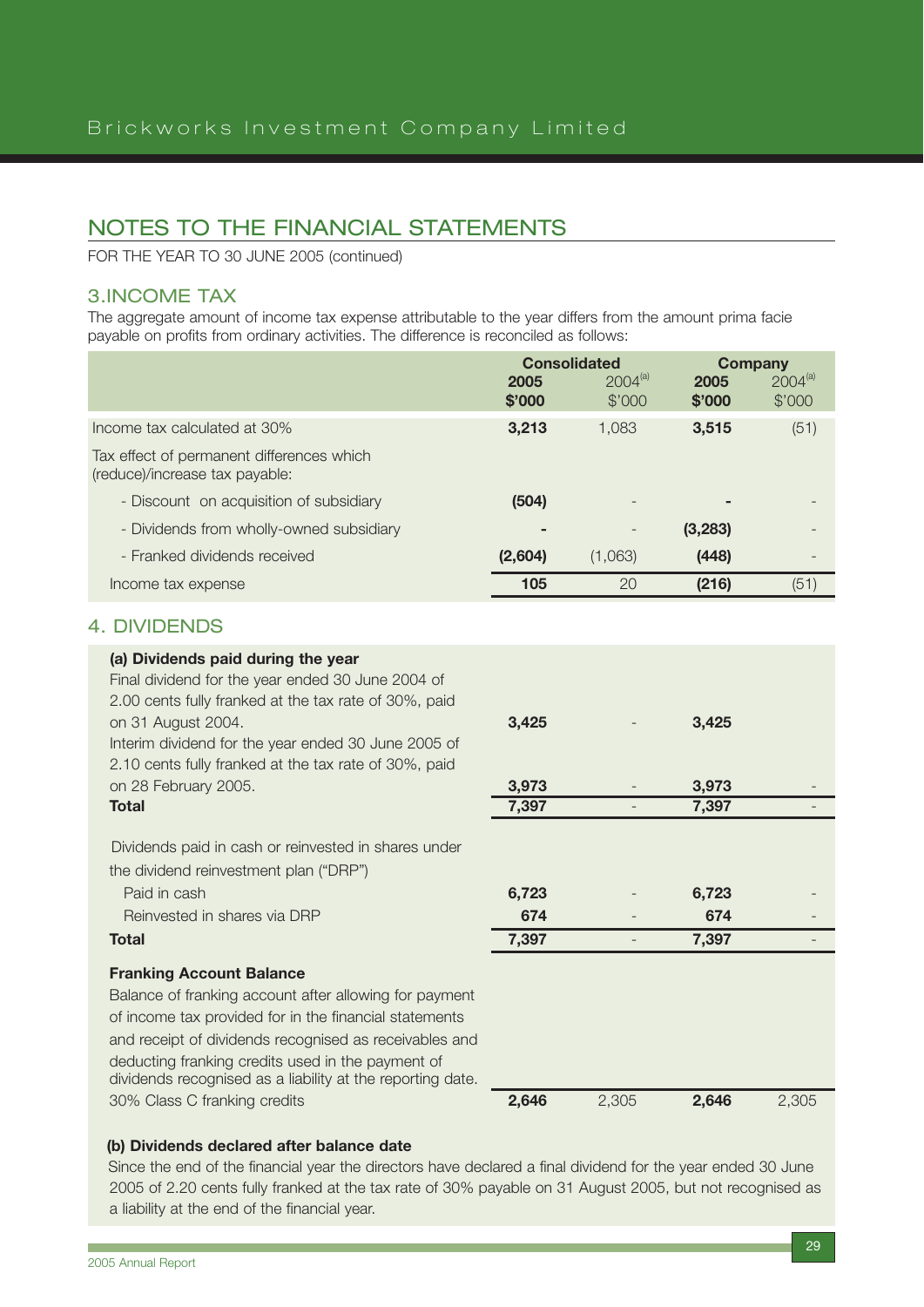FOR THE YEAR TO 30 JUNE 2005 (continued)

### 3.INCOME TAX

The aggregate amount of income tax expense attributable to the year differs from the amount prima facie payable on profits from ordinary activities. The difference is reconciled as follows:

|                                                                             | <b>Consolidated</b> |                          | <b>Company</b> |                        |
|-----------------------------------------------------------------------------|---------------------|--------------------------|----------------|------------------------|
|                                                                             | 2005<br>\$'000      | $2004^{(a)}$<br>\$'000   | 2005<br>\$'000 | $2004^{(a)}$<br>\$'000 |
| Income tax calculated at 30%                                                | 3,213               | 1,083                    | 3,515          | (51)                   |
| Tax effect of permanent differences which<br>(reduce)/increase tax payable: |                     |                          |                |                        |
| - Discount on acquisition of subsidiary                                     | (504)               |                          |                |                        |
| - Dividends from wholly-owned subsidiary                                    |                     | $\overline{\phantom{a}}$ | (3, 283)       |                        |
| - Franked dividends received                                                | (2,604)             | (1,063)                  | (448)          |                        |
| Income tax expense                                                          | 105                 | 20                       | (216)          | (51)                   |

### 4. DIVIDENDS

| (a) Dividends paid during the year<br>Final dividend for the year ended 30 June 2004 of<br>2.00 cents fully franked at the tax rate of 30%, paid<br>on 31 August 2004.<br>Interim dividend for the year ended 30 June 2005 of<br>2.10 cents fully franked at the tax rate of 30%, paid<br>on 28 February 2005.                   | 3,425<br>3,973        |       | 3,425<br>3,973        |       |
|----------------------------------------------------------------------------------------------------------------------------------------------------------------------------------------------------------------------------------------------------------------------------------------------------------------------------------|-----------------------|-------|-----------------------|-------|
| <b>Total</b>                                                                                                                                                                                                                                                                                                                     | 7,397                 |       | 7,397                 |       |
| Dividends paid in cash or reinvested in shares under<br>the dividend reinvestment plan ("DRP")<br>Paid in cash<br>Reinvested in shares via DRP<br><b>Total</b>                                                                                                                                                                   | 6,723<br>674<br>7,397 |       | 6,723<br>674<br>7,397 |       |
| <b>Franking Account Balance</b><br>Balance of franking account after allowing for payment<br>of income tax provided for in the financial statements<br>and receipt of dividends recognised as receivables and<br>deducting franking credits used in the payment of<br>dividends recognised as a liability at the reporting date. |                       |       |                       |       |
| 30% Class C franking credits                                                                                                                                                                                                                                                                                                     | 2,646                 | 2,305 | 2,646                 | 2,305 |

#### **(b) Dividends declared after balance date**

Since the end of the financial year the directors have declared a final dividend for the year ended 30 June 2005 of 2.20 cents fully franked at the tax rate of 30% payable on 31 August 2005, but not recognised as a liability at the end of the financial year.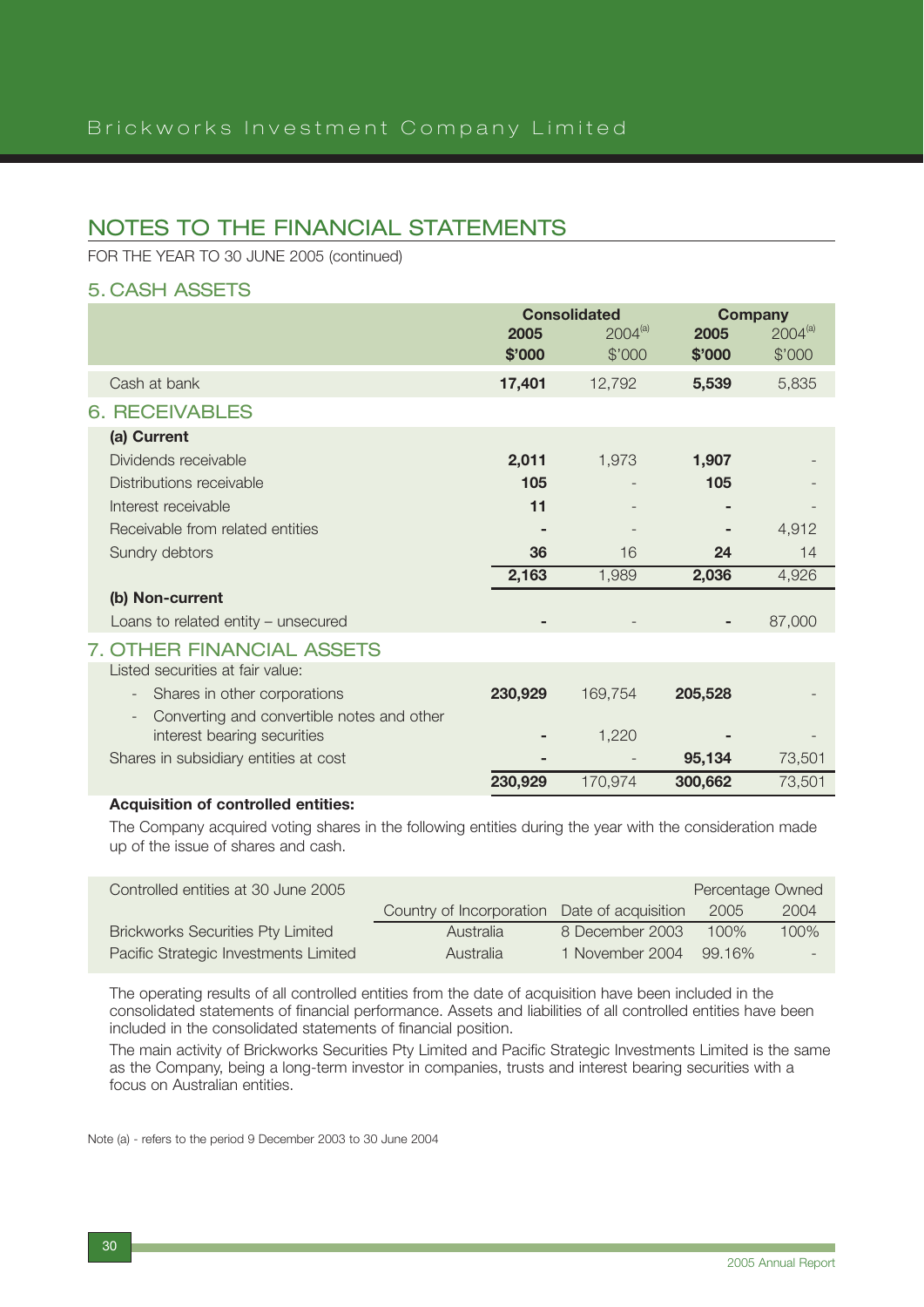FOR THE YEAR TO 30 JUNE 2005 (continued)

### 5. CASH ASSETS

|                                                          | <b>Consolidated</b><br>$2004^{(a)}$<br>2005 |         | 2005    | <b>Company</b><br>$2004^{(a)}$ |
|----------------------------------------------------------|---------------------------------------------|---------|---------|--------------------------------|
|                                                          | \$'000                                      | \$'000  | \$'000  | \$'000                         |
| Cash at bank                                             | 17,401                                      | 12,792  | 5,539   | 5,835                          |
| <b>6. RECEIVABLES</b>                                    |                                             |         |         |                                |
| (a) Current                                              |                                             |         |         |                                |
| Dividends receivable                                     | 2,011                                       | 1,973   | 1,907   |                                |
| Distributions receivable                                 | 105                                         |         | 105     |                                |
| Interest receivable                                      | 11                                          |         |         |                                |
| Receivable from related entities                         |                                             |         |         | 4,912                          |
| Sundry debtors                                           | 36                                          | 16      | 24      | 14                             |
|                                                          | 2,163                                       | 1,989   | 2,036   | 4,926                          |
| (b) Non-current                                          |                                             |         |         |                                |
| Loans to related entity - unsecured                      |                                             |         |         | 87,000                         |
| 7. OTHER FINANCIAL ASSETS                                |                                             |         |         |                                |
| Listed securities at fair value:                         |                                             |         |         |                                |
| Shares in other corporations<br>$\overline{\phantom{0}}$ | 230,929                                     | 169,754 | 205,528 |                                |
| Converting and convertible notes and other               |                                             |         |         |                                |
| interest bearing securities                              |                                             | 1,220   |         |                                |
| Shares in subsidiary entities at cost                    |                                             |         | 95,134  | 73,501                         |
|                                                          | 230,929                                     | 170,974 | 300,662 | 73,501                         |

#### **Acquisition of controlled entities:**

The Company acquired voting shares in the following entities during the year with the consideration made up of the issue of shares and cash.

| Controlled entities at 30 June 2005      |                                              |                 | Percentage Owned |         |
|------------------------------------------|----------------------------------------------|-----------------|------------------|---------|
|                                          | Country of Incorporation Date of acquisition |                 | 2005             | 2004    |
| <b>Brickworks Securities Pty Limited</b> | Australia                                    | 8 December 2003 | $100\%$          | $100\%$ |
| Pacific Strategic Investments Limited    | Australia                                    | 1 November 2004 | 99.16%           | -       |

The operating results of all controlled entities from the date of acquisition have been included in the consolidated statements of financial performance. Assets and liabilities of all controlled entities have been included in the consolidated statements of financial position.

The main activity of Brickworks Securities Pty Limited and Pacific Strategic Investments Limited is the same as the Company, being a long-term investor in companies, trusts and interest bearing securities with a focus on Australian entities.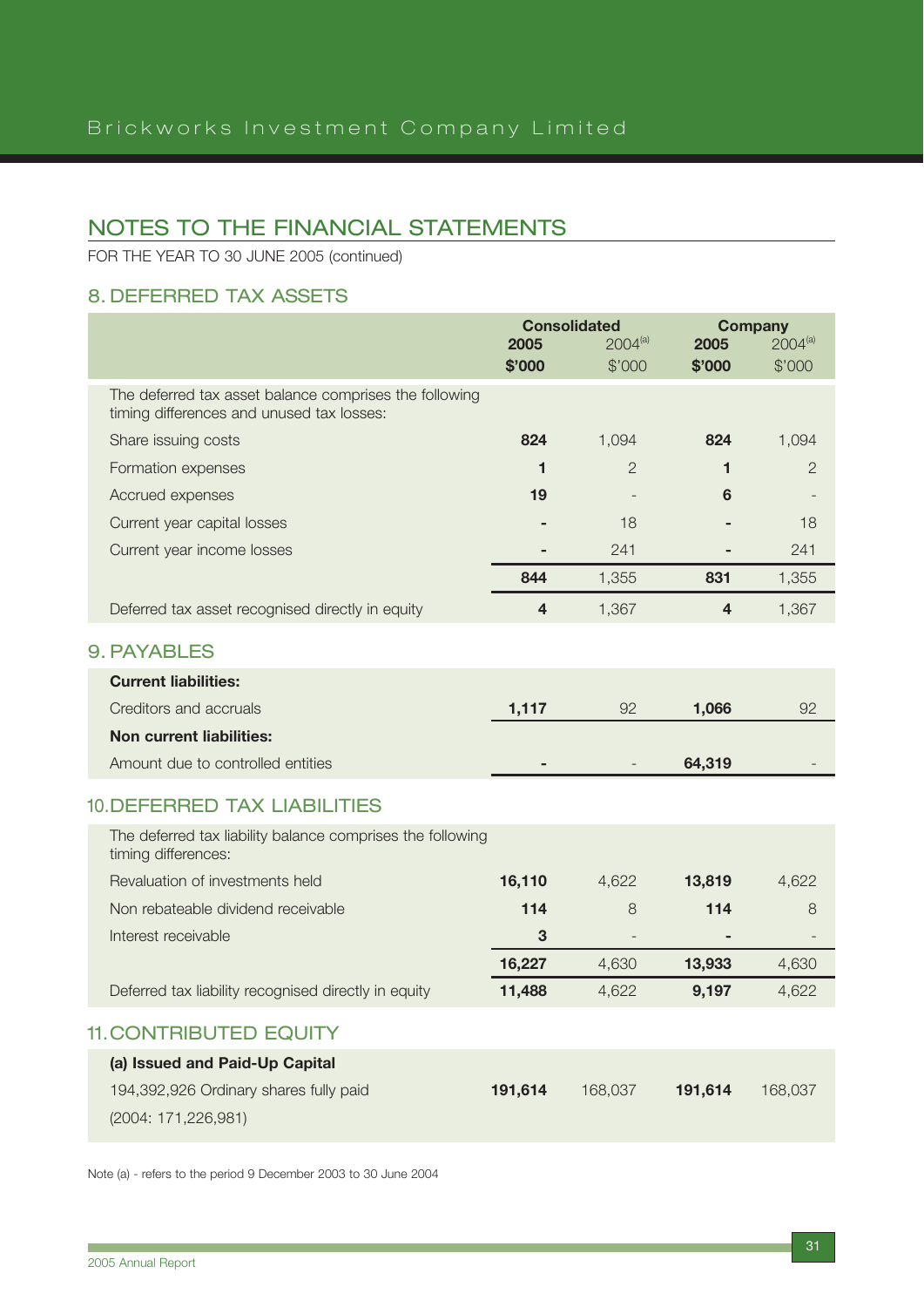FOR THE YEAR TO 30 JUNE 2005 (continued)

## 8. DEFERRED TAX ASSETS

|                                                                                                     | <b>Consolidated</b> |                        | <b>Company</b>          |                        |
|-----------------------------------------------------------------------------------------------------|---------------------|------------------------|-------------------------|------------------------|
|                                                                                                     | 2005<br>\$'000      | $2004^{(a)}$<br>\$'000 | 2005<br>\$'000          | $2004^{(a)}$<br>\$'000 |
| The deferred tax asset balance comprises the following<br>timing differences and unused tax losses: |                     |                        |                         |                        |
| Share issuing costs                                                                                 | 824                 | 1,094                  | 824                     | 1,094                  |
| Formation expenses                                                                                  | 1                   | $\overline{2}$         | 1                       | $\overline{2}$         |
| Accrued expenses                                                                                    | 19                  |                        | 6                       |                        |
| Current year capital losses                                                                         |                     | 18                     |                         | 18                     |
| Current year income losses                                                                          |                     | 241                    |                         | 241                    |
|                                                                                                     | 844                 | 1,355                  | 831                     | 1,355                  |
| Deferred tax asset recognised directly in equity                                                    | $\overline{4}$      | 1,367                  | $\overline{\mathbf{4}}$ | 1,367                  |
| <b>9. PAYABLES</b>                                                                                  |                     |                        |                         |                        |
| <b>Current liabilities:</b>                                                                         |                     |                        |                         |                        |
| Creditors and accruals                                                                              | 1,117               | 92                     | 1,066                   | 92                     |
| <b>Non current liabilities:</b>                                                                     |                     |                        |                         |                        |
| Amount due to controlled entities                                                                   |                     |                        | 64,319                  |                        |
| <b>10.DEFERRED TAX LIABILITIES</b>                                                                  |                     |                        |                         |                        |
| The deferred tax liability balance comprises the following<br>timing differences:                   |                     |                        |                         |                        |
| Revaluation of investments held                                                                     | 16,110              | 4,622                  | 13,819                  | 4,622                  |
| Non rebateable dividend receivable                                                                  | 114                 | 8                      | 114                     | 8                      |
| Interest receivable                                                                                 | 3                   |                        |                         |                        |
|                                                                                                     | 16,227              | 4,630                  | 13,933                  | 4,630                  |
| Deferred tax liability recognised directly in equity                                                | 11,488              | 4,622                  | 9,197                   | 4,622                  |
| 11 CONITDIRI ITEN EOLIITV                                                                           |                     |                        |                         |                        |

### 11.CONTRIBUTED EQUITY

| (a) Issued and Paid-Up Capital         |         |         |         |         |
|----------------------------------------|---------|---------|---------|---------|
| 194,392,926 Ordinary shares fully paid | 191.614 | 168.037 | 191.614 | 168.037 |
| (2004: 171, 226, 981)                  |         |         |         |         |

Note (a) - refers to the period 9 December 2003 to 30 June 2004

**The Co**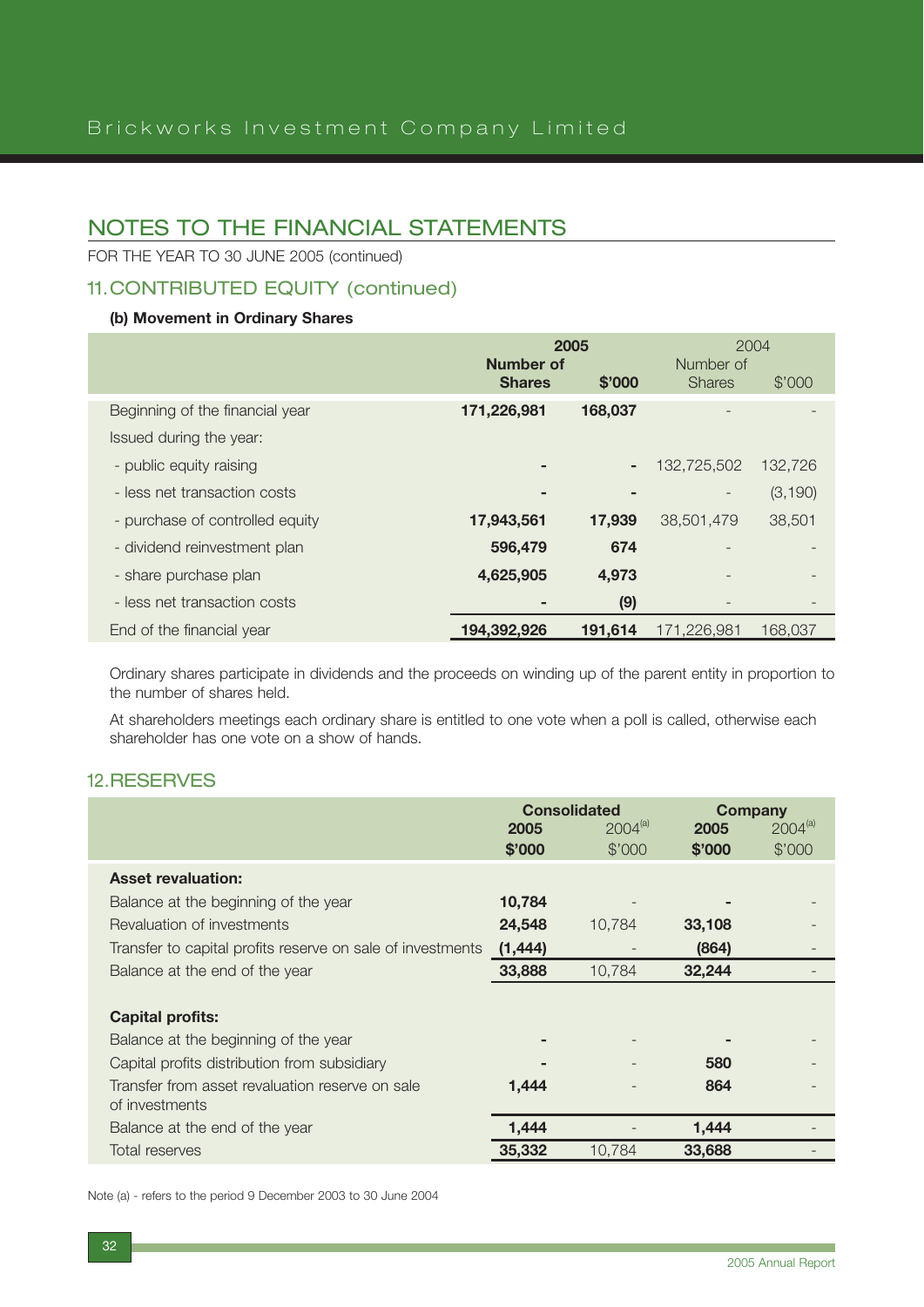FOR THE YEAR TO 30 JUNE 2005 (continued)

## 11.CONTRIBUTED EQUITY (continued)

#### **(b) Movement in Ordinary Shares**

|                                 | 2005                     |         | 2004                         |          |  |
|---------------------------------|--------------------------|---------|------------------------------|----------|--|
|                                 | <b>Number of</b>         |         | Number of                    |          |  |
|                                 | <b>Shares</b>            | \$'000  | <b>Shares</b>                | \$'000   |  |
| Beginning of the financial year | 171,226,981              | 168,037 |                              |          |  |
| Issued during the year:         |                          |         |                              |          |  |
| - public equity raising         |                          | ۰       | 132,725,502                  | 132,726  |  |
| - less net transaction costs    | $\overline{\phantom{a}}$ | -       | $\qquad \qquad \blacksquare$ | (3, 190) |  |
| - purchase of controlled equity | 17,943,561               | 17,939  | 38,501,479                   | 38,501   |  |
| - dividend reinvestment plan    | 596,479                  | 674     |                              |          |  |
| - share purchase plan           | 4,625,905                | 4,973   |                              |          |  |
| - less net transaction costs    |                          | (9)     |                              |          |  |
| End of the financial year       | 194,392,926              | 191.614 | 171.226.981                  | 168.037  |  |

Ordinary shares participate in dividends and the proceeds on winding up of the parent entity in proportion to the number of shares held.

At shareholders meetings each ordinary share is entitled to one vote when a poll is called, otherwise each shareholder has one vote on a show of hands.

### 12.RESERVES

|                                                            | <b>Consolidated</b> |                        |                | <b>Company</b><br>$2004^{(a)}$ |
|------------------------------------------------------------|---------------------|------------------------|----------------|--------------------------------|
|                                                            | 2005<br>\$'000      | $2004^{(a)}$<br>\$'000 | 2005<br>\$'000 | \$'000                         |
| <b>Asset revaluation:</b>                                  |                     |                        |                |                                |
| Balance at the beginning of the year                       | 10,784              |                        |                |                                |
| Revaluation of investments                                 | 24,548              | 10,784                 | 33,108         |                                |
| Transfer to capital profits reserve on sale of investments | (1, 444)            |                        | (864)          |                                |
| Balance at the end of the year                             | 33,888              | 10,784                 | 32,244         |                                |
|                                                            |                     |                        |                |                                |
| <b>Capital profits:</b>                                    |                     |                        |                |                                |
| Balance at the beginning of the year                       |                     |                        |                |                                |
| Capital profits distribution from subsidiary               |                     |                        | 580            |                                |
| Transfer from asset revaluation reserve on sale            | 1,444               |                        | 864            |                                |
| of investments                                             |                     |                        |                |                                |
| Balance at the end of the year                             | 1,444               |                        | 1,444          |                                |
| Total reserves                                             | 35,332              | 10,784                 | 33,688         |                                |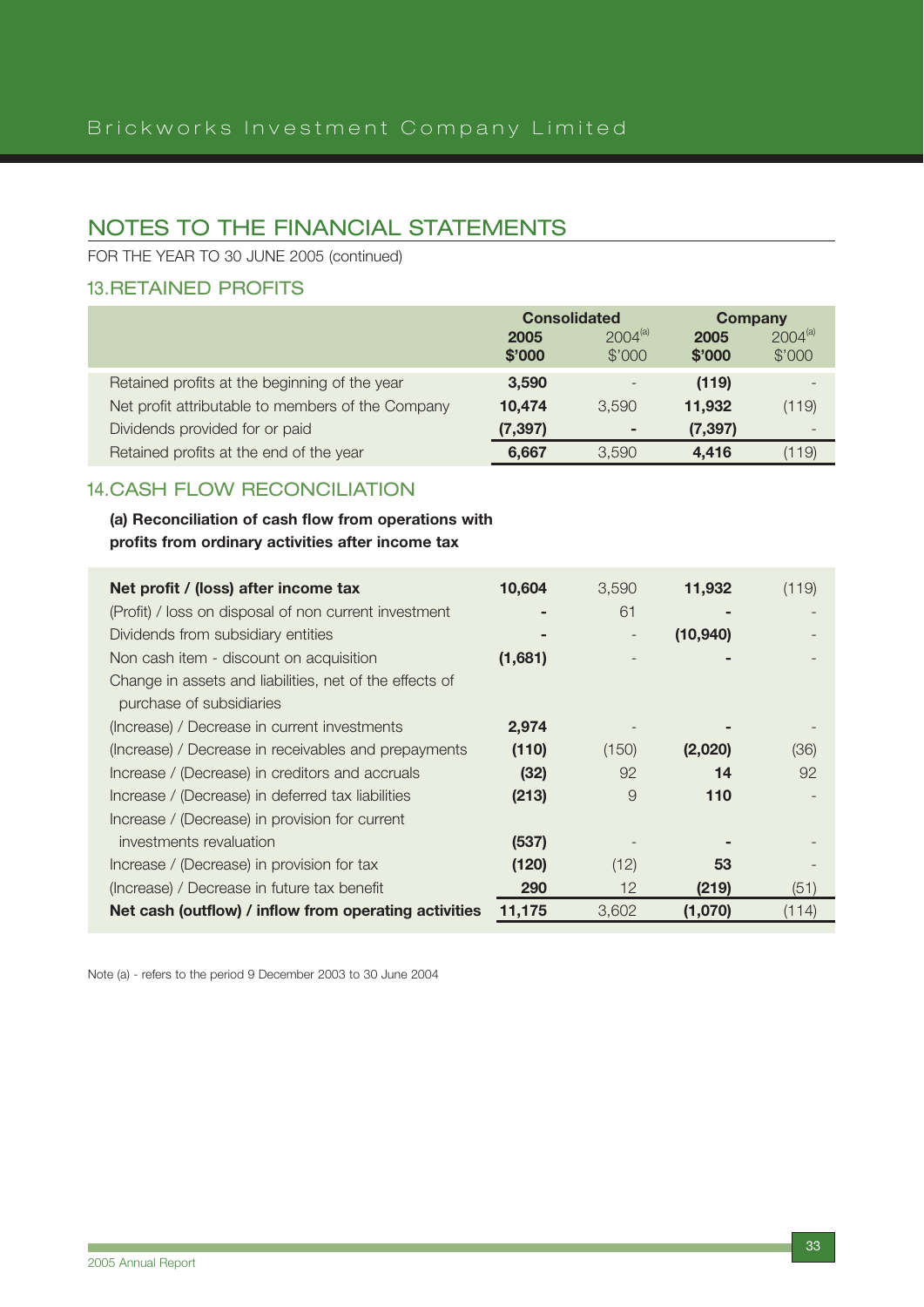FOR THE YEAR TO 30 JUNE 2005 (continued)

## 13.RETAINED PROFITS

|                                                   | <b>Consolidated</b> |                        | <b>Company</b> |                          |
|---------------------------------------------------|---------------------|------------------------|----------------|--------------------------|
|                                                   | 2005<br>\$'000      | $2004^{(a)}$<br>\$'000 | 2005<br>\$'000 | $2004^{(a)}$<br>\$'000   |
|                                                   |                     |                        |                |                          |
| Retained profits at the beginning of the year     | 3,590               |                        | (119)          |                          |
| Net profit attributable to members of the Company | 10,474              | 3.590                  | 11.932         | (119)                    |
| Dividends provided for or paid                    | (7, 397)            | $\blacksquare$         | (7, 397)       | $\overline{\phantom{a}}$ |
| Retained profits at the end of the year           | 6,667               | 3.590                  | 4.416          | (119)                    |

### 14.CASH FLOW RECONCILIATION

### **(a) Reconciliation of cash flow from operations with profits from ordinary activities after income tax**

| Net profit / (loss) after income tax                    | 10,604  | 3,590             | 11,932    | (119) |
|---------------------------------------------------------|---------|-------------------|-----------|-------|
| (Profit) / loss on disposal of non current investment   |         | 61                |           |       |
| Dividends from subsidiary entities                      |         | $\qquad \qquad -$ | (10, 940) |       |
| Non cash item - discount on acquisition                 | (1,681) |                   |           |       |
| Change in assets and liabilities, net of the effects of |         |                   |           |       |
| purchase of subsidiaries                                |         |                   |           |       |
| (Increase) / Decrease in current investments            | 2,974   |                   |           |       |
| (Increase) / Decrease in receivables and prepayments    | (110)   | (150)             | (2,020)   | (36)  |
| Increase / (Decrease) in creditors and accruals         | (32)    | 92                | 14        | 92    |
| Increase / (Decrease) in deferred tax liabilities       | (213)   | 9                 | 110       |       |
| Increase / (Decrease) in provision for current          |         |                   |           |       |
| investments revaluation                                 | (537)   |                   |           |       |
| Increase / (Decrease) in provision for tax              | (120)   | (12)              | 53        |       |
| (Increase) / Decrease in future tax benefit             | 290     | 12                | (219)     | (51)  |
| Net cash (outflow) / inflow from operating activities   | 11,175  | 3,602             | (1,070)   | (114) |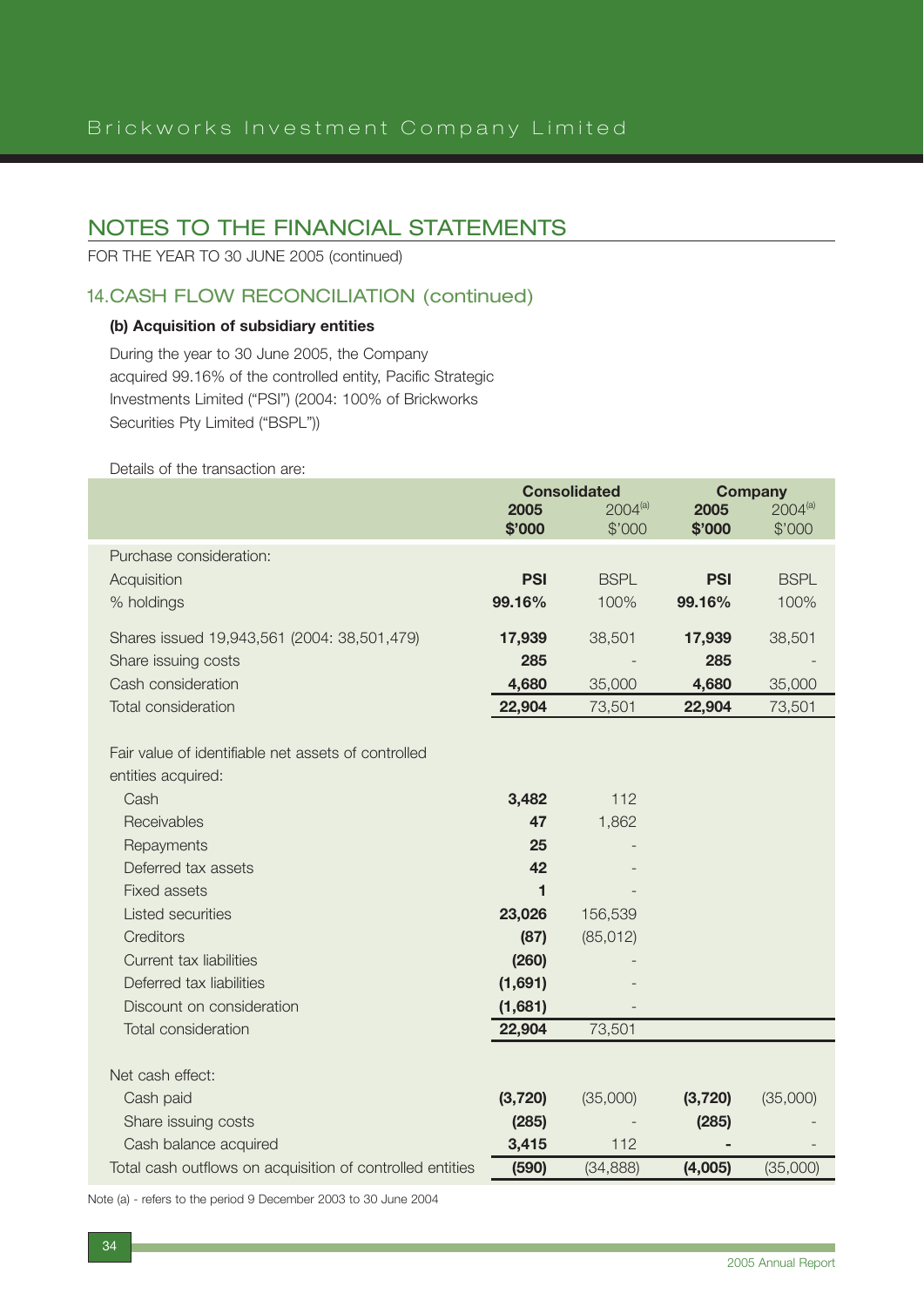FOR THE YEAR TO 30 JUNE 2005 (continued)

### 14.CASH FLOW RECONCILIATION (continued)

#### **(b) Acquisition of subsidiary entities**

During the year to 30 June 2005, the Company acquired 99.16% of the controlled entity, Pacific Strategic Investments Limited ("PSI") (2004: 100% of Brickworks Securities Pty Limited ("BSPL"))

Details of the transaction are:

|                                                           | <b>Consolidated</b> |              | <b>Company</b> |              |
|-----------------------------------------------------------|---------------------|--------------|----------------|--------------|
|                                                           | 2005                | $2004^{(a)}$ | 2005           | $2004^{(a)}$ |
|                                                           | \$'000              | \$'000       | \$'000         | \$'000       |
| Purchase consideration:                                   |                     |              |                |              |
| Acquisition                                               | <b>PSI</b>          | <b>BSPL</b>  | <b>PSI</b>     | <b>BSPL</b>  |
| % holdings                                                | 99.16%              | 100%         | 99.16%         | 100%         |
| Shares issued 19,943,561 (2004: 38,501,479)               | 17,939              | 38,501       | 17,939         | 38,501       |
| Share issuing costs                                       | 285                 |              | 285            |              |
| Cash consideration                                        | 4,680               | 35,000       | 4,680          | 35,000       |
| Total consideration                                       | 22,904              | 73,501       | 22,904         | 73,501       |
|                                                           |                     |              |                |              |
| Fair value of identifiable net assets of controlled       |                     |              |                |              |
| entities acquired:                                        |                     |              |                |              |
| Cash                                                      | 3,482               | 112          |                |              |
| Receivables                                               | 47                  | 1,862        |                |              |
| Repayments                                                | 25                  |              |                |              |
| Deferred tax assets                                       | 42                  |              |                |              |
| <b>Fixed assets</b>                                       | $\mathbf{1}$        |              |                |              |
| <b>Listed securities</b>                                  | 23,026              | 156,539      |                |              |
| Creditors                                                 | (87)                | (85, 012)    |                |              |
| Current tax liabilities                                   | (260)               |              |                |              |
| Deferred tax liabilities                                  | (1,691)             |              |                |              |
| Discount on consideration                                 | (1,681)             |              |                |              |
| Total consideration                                       | 22,904              | 73,501       |                |              |
|                                                           |                     |              |                |              |
| Net cash effect:                                          |                     |              |                |              |
| Cash paid                                                 | (3, 720)            | (35,000)     | (3, 720)       | (35,000)     |
| Share issuing costs                                       | (285)               |              | (285)          |              |
| Cash balance acquired                                     | 3,415               | 112          |                |              |
| Total cash outflows on acquisition of controlled entities | (590)               | (34, 888)    | (4,005)        | (35,000)     |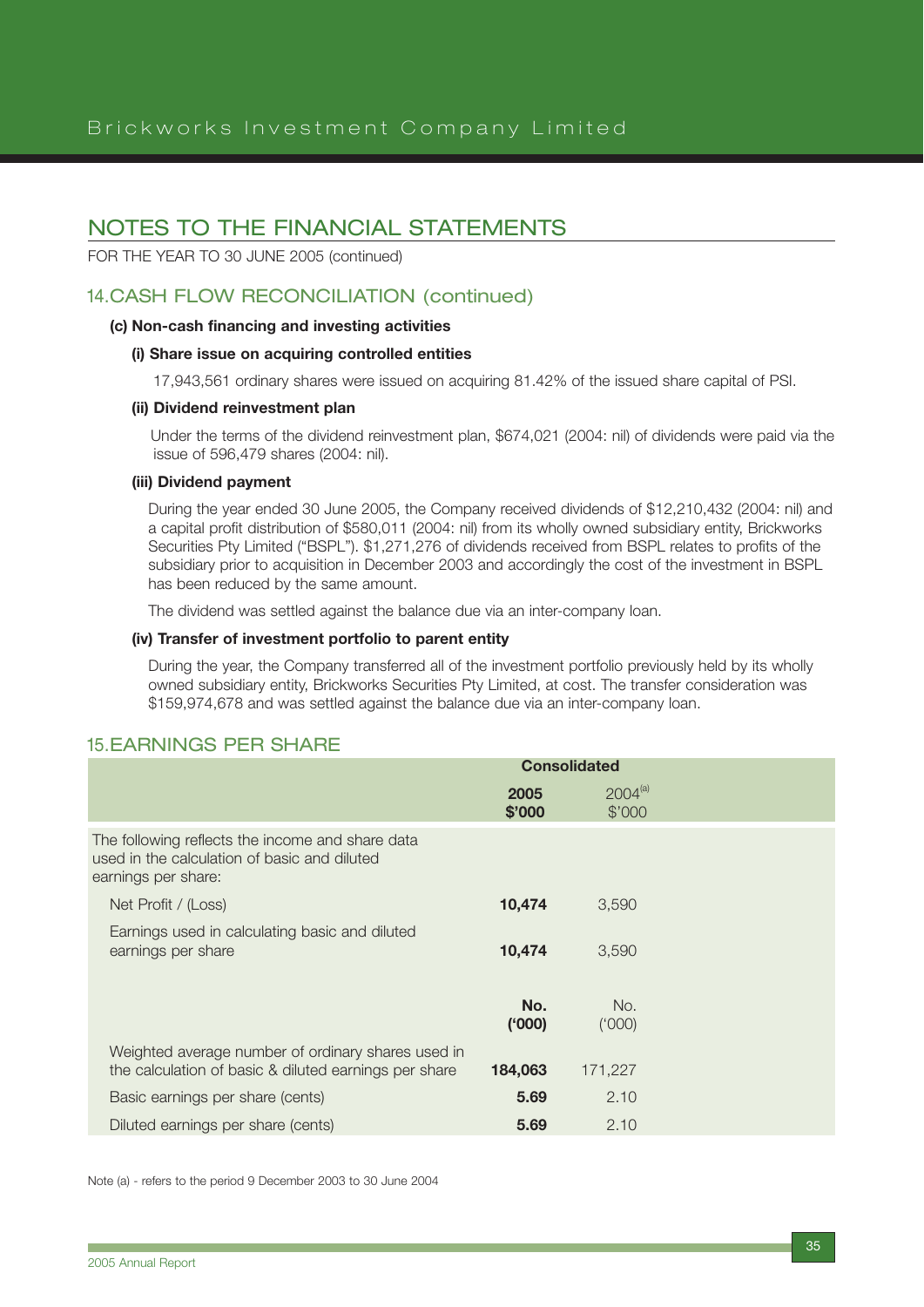FOR THE YEAR TO 30 JUNE 2005 (continued)

### 14.CASH FLOW RECONCILIATION (continued)

#### **(c) Non-cash financing and investing activities**

#### **(i) Share issue on acquiring controlled entities**

17,943,561 ordinary shares were issued on acquiring 81.42% of the issued share capital of PSI.

#### **(ii) Dividend reinvestment plan**

Under the terms of the dividend reinvestment plan, \$674,021 (2004: nil) of dividends were paid via the issue of 596,479 shares (2004: nil).

#### **(iii) Dividend payment**

During the year ended 30 June 2005, the Company received dividends of \$12,210,432 (2004: nil) and a capital profit distribution of \$580,011 (2004: nil) from its wholly owned subsidiary entity, Brickworks Securities Pty Limited ("BSPL"). \$1,271,276 of dividends received from BSPL relates to profits of the subsidiary prior to acquisition in December 2003 and accordingly the cost of the investment in BSPL has been reduced by the same amount.

The dividend was settled against the balance due via an inter-company loan.

#### **(iv) Transfer of investment portfolio to parent entity**

During the year, the Company transferred all of the investment portfolio previously held by its wholly owned subsidiary entity, Brickworks Securities Pty Limited, at cost. The transfer consideration was \$159,974,678 and was settled against the balance due via an inter-company loan.

### 15.EARNINGS PER SHARE

|                                                                                                                         |                | <b>Consolidated</b>    |
|-------------------------------------------------------------------------------------------------------------------------|----------------|------------------------|
|                                                                                                                         | 2005<br>\$'000 | $2004^{(a)}$<br>\$'000 |
| The following reflects the income and share data<br>used in the calculation of basic and diluted<br>earnings per share: |                |                        |
| Net Profit / (Loss)                                                                                                     | 10,474         | 3,590                  |
| Earnings used in calculating basic and diluted<br>earnings per share                                                    | 10,474         | 3,590                  |
|                                                                                                                         | No.<br>(000)   | No.<br>(000)'          |
| Weighted average number of ordinary shares used in<br>the calculation of basic & diluted earnings per share             | 184,063        | 171,227                |
| Basic earnings per share (cents)                                                                                        | 5.69           | 2.10                   |
| Diluted earnings per share (cents)                                                                                      | 5.69           | 2.10                   |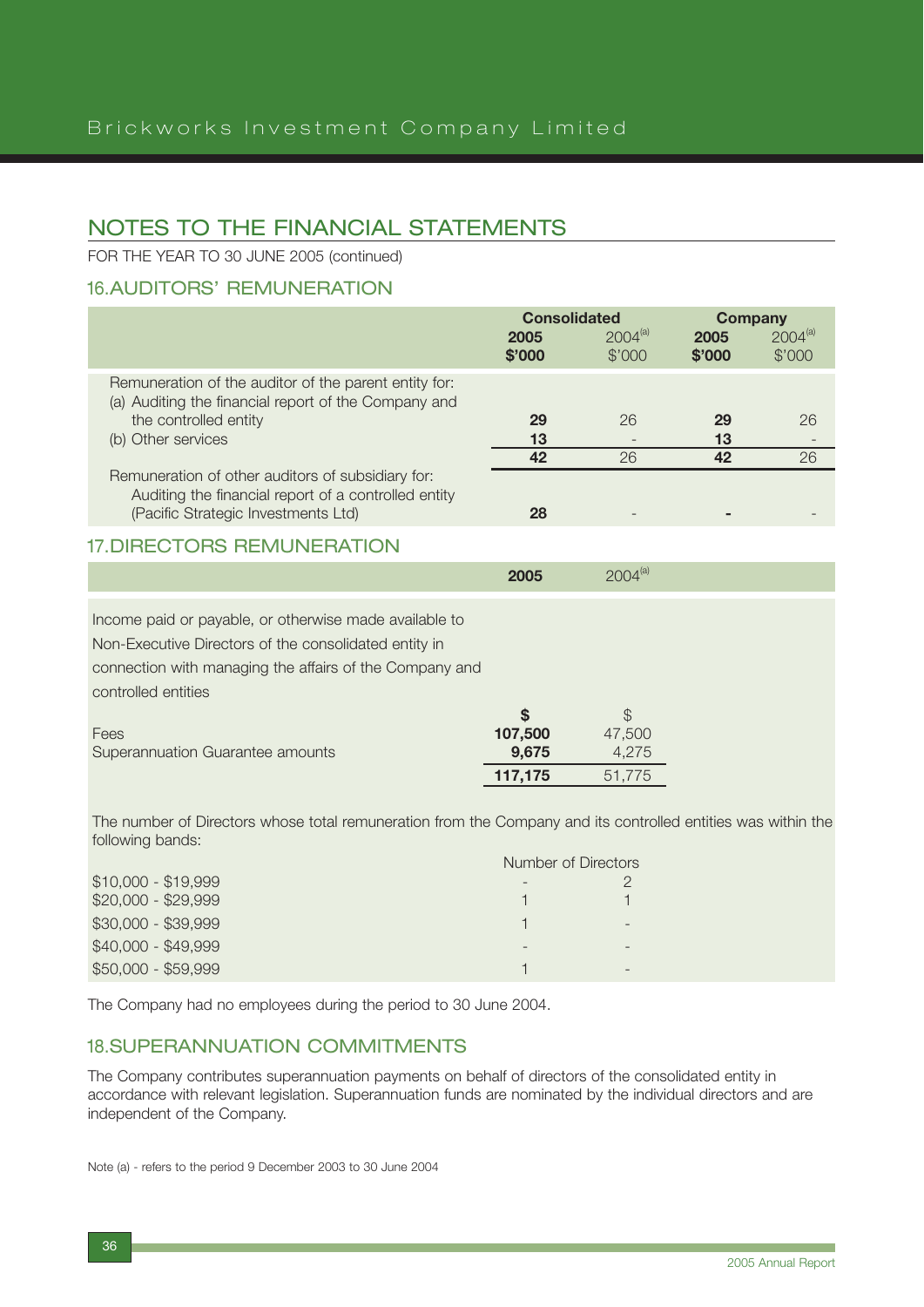FOR THE YEAR TO 30 JUNE 2005 (continued)

## 16.AUDITORS' REMUNERATION

|                                                                                                                                                  | <b>Consolidated</b> |                        | Company        |                        |
|--------------------------------------------------------------------------------------------------------------------------------------------------|---------------------|------------------------|----------------|------------------------|
|                                                                                                                                                  | 2005<br>\$'000      | $2004^{(a)}$<br>\$'000 | 2005<br>\$'000 | $2004^{(a)}$<br>\$'000 |
| Remuneration of the auditor of the parent entity for:<br>(a) Auditing the financial report of the Company and                                    |                     |                        |                |                        |
| the controlled entity                                                                                                                            | 29                  | 26                     | 29             | 26                     |
| (b) Other services                                                                                                                               | 13                  |                        | 13             |                        |
|                                                                                                                                                  | 42                  | 26                     | 42             | 26                     |
| Remuneration of other auditors of subsidiary for:<br>Auditing the financial report of a controlled entity<br>(Pacific Strategic Investments Ltd) | 28                  |                        |                |                        |
|                                                                                                                                                  |                     |                        |                |                        |

## 17.DIRECTORS REMUNERATION

|  | 1d<br>$\sqrt{ }$ |
|--|------------------|
|  |                  |

Income paid or payable, or otherwise made available to

Non-Executive Directors of the consolidated entity in

connection with managing the affairs of the Company and

controlled entities

| Fees                             | 107.500 | 47,500 |
|----------------------------------|---------|--------|
| Superannuation Guarantee amounts | 9.675   | 4.275  |
|                                  | 117.175 | 51.775 |

The number of Directors whose total remuneration from the Company and its controlled entities was within the following bands:

|                     | Number of Directors      |  |
|---------------------|--------------------------|--|
| $$10,000 - $19,999$ |                          |  |
| \$20,000 - \$29,999 |                          |  |
| $$30,000 - $39,999$ | $\overline{\phantom{a}}$ |  |
| \$40,000 - \$49,999 |                          |  |
| \$50,000 - \$59,999 | $\overline{\phantom{0}}$ |  |

The Company had no employees during the period to 30 June 2004.

### 18.SUPERANNUATION COMMITMENTS

The Company contributes superannuation payments on behalf of directors of the consolidated entity in accordance with relevant legislation. Superannuation funds are nominated by the individual directors and are independent of the Company.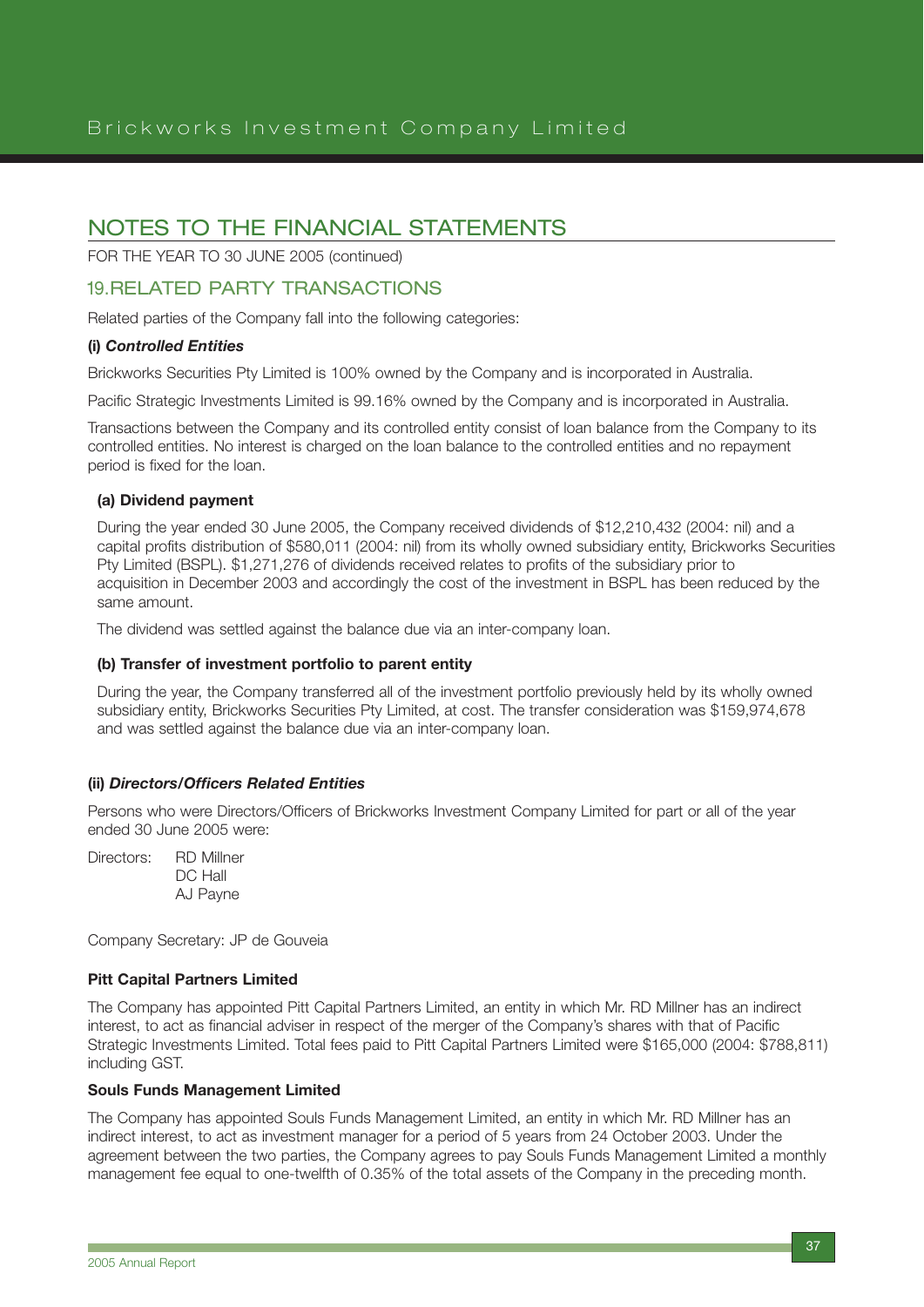FOR THE YEAR TO 30 JUNE 2005 (continued)

### 19.RELATED PARTY TRANSACTIONS

Related parties of the Company fall into the following categories:

#### **(i)** *Controlled Entities*

Brickworks Securities Pty Limited is 100% owned by the Company and is incorporated in Australia.

Pacific Strategic Investments Limited is 99.16% owned by the Company and is incorporated in Australia.

Transactions between the Company and its controlled entity consist of loan balance from the Company to its controlled entities. No interest is charged on the loan balance to the controlled entities and no repayment period is fixed for the loan.

#### **(a) Dividend payment**

During the year ended 30 June 2005, the Company received dividends of \$12,210,432 (2004: nil) and a capital profits distribution of \$580,011 (2004: nil) from its wholly owned subsidiary entity, Brickworks Securities Pty Limited (BSPL). \$1,271,276 of dividends received relates to profits of the subsidiary prior to acquisition in December 2003 and accordingly the cost of the investment in BSPL has been reduced by the same amount.

The dividend was settled against the balance due via an inter-company loan.

#### **(b) Transfer of investment portfolio to parent entity**

During the year, the Company transferred all of the investment portfolio previously held by its wholly owned subsidiary entity, Brickworks Securities Pty Limited, at cost. The transfer consideration was \$159,974,678 and was settled against the balance due via an inter-company loan.

#### **(ii)** *Directors/Officers Related Entities*

Persons who were Directors/Officers of Brickworks Investment Company Limited for part or all of the year ended 30 June 2005 were:

Directors: RD Millner DC Hall AJ Payne

Company Secretary: JP de Gouveia

#### **Pitt Capital Partners Limited**

The Company has appointed Pitt Capital Partners Limited, an entity in which Mr. RD Millner has an indirect interest, to act as financial adviser in respect of the merger of the Company's shares with that of Pacific Strategic Investments Limited. Total fees paid to Pitt Capital Partners Limited were \$165,000 (2004: \$788,811) including GST.

#### **Souls Funds Management Limited**

The Company has appointed Souls Funds Management Limited, an entity in which Mr. RD Millner has an indirect interest, to act as investment manager for a period of 5 years from 24 October 2003. Under the agreement between the two parties, the Company agrees to pay Souls Funds Management Limited a monthly management fee equal to one-twelfth of 0.35% of the total assets of the Company in the preceding month.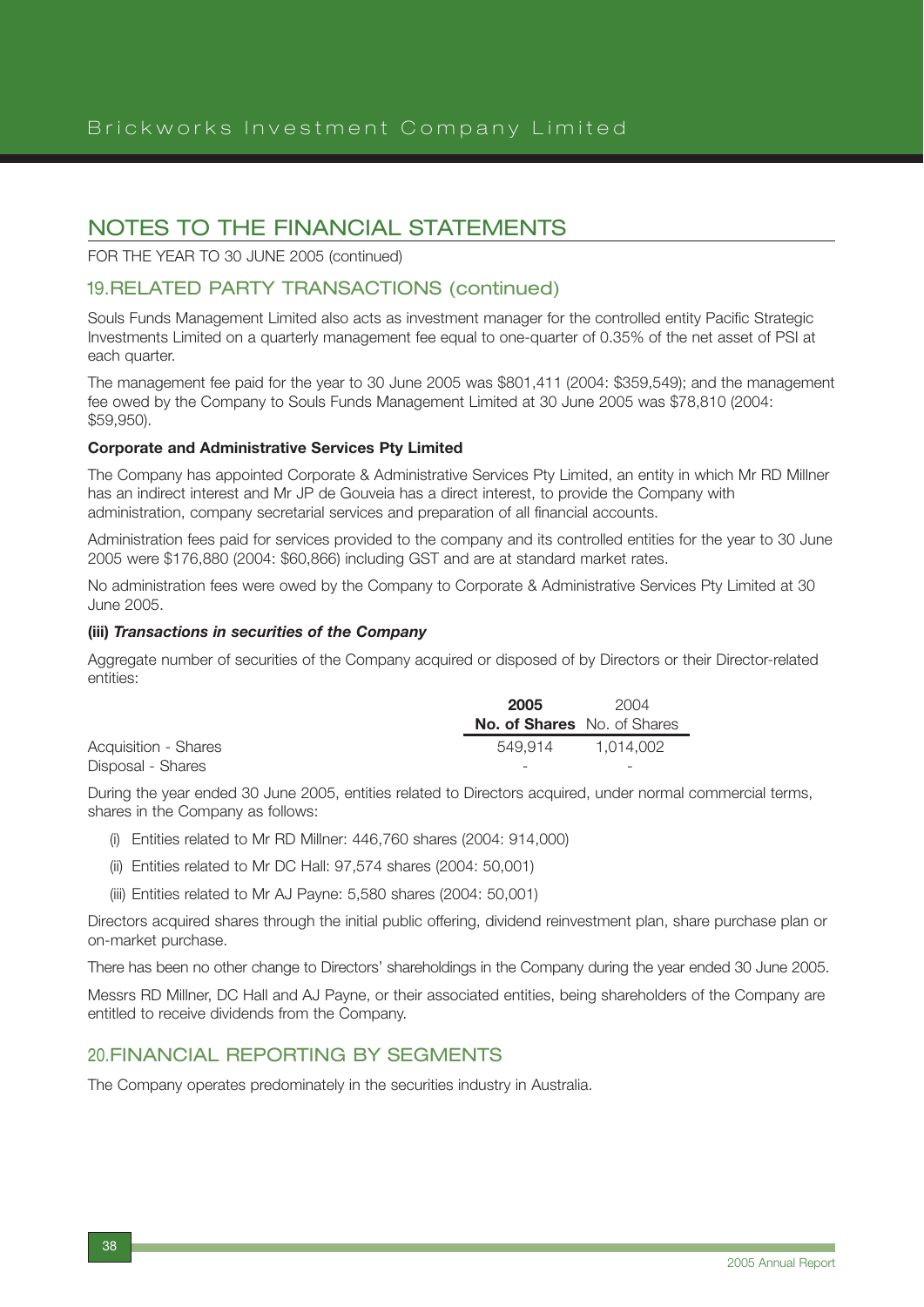FOR THE YEAR TO 30 JUNE 2005 (continued)

### 19.RELATED PARTY TRANSACTIONS (continued)

Souls Funds Management Limited also acts as investment manager for the controlled entity Pacific Strategic Investments Limited on a quarterly management fee equal to one-quarter of 0.35% of the net asset of PSI at each quarter.

The management fee paid for the year to 30 June 2005 was \$801,411 (2004: \$359,549); and the management fee owed by the Company to Souls Funds Management Limited at 30 June 2005 was \$78,810 (2004: \$59,950).

#### **Corporate and Administrative Services Pty Limited**

The Company has appointed Corporate & Administrative Services Pty Limited, an entity in which Mr RD Millner has an indirect interest and Mr JP de Gouveia has a direct interest, to provide the Company with administration, company secretarial services and preparation of all financial accounts.

Administration fees paid for services provided to the company and its controlled entities for the year to 30 June 2005 were \$176,880 (2004: \$60,866) including GST and are at standard market rates.

No administration fees were owed by the Company to Corporate & Administrative Services Pty Limited at 30 June 2005.

#### **(iii)** *Transactions in securities of the Company*

Aggregate number of securities of the Company acquired or disposed of by Directors or their Director-related entities:

|                      | 2005                               | 2004      |
|----------------------|------------------------------------|-----------|
|                      | <b>No. of Shares</b> No. of Shares |           |
| Acquisition - Shares | 549.914                            | 1.014.002 |
| Disposal - Shares    | $\overline{\phantom{0}}$           | -         |

During the year ended 30 June 2005, entities related to Directors acquired, under normal commercial terms, shares in the Company as follows:

- (i) Entities related to Mr RD Millner: 446,760 shares (2004: 914,000)
- (ii) Entities related to Mr DC Hall: 97,574 shares (2004: 50,001)
- (iii) Entities related to Mr AJ Payne: 5,580 shares (2004: 50,001)

Directors acquired shares through the initial public offering, dividend reinvestment plan, share purchase plan or on-market purchase.

There has been no other change to Directors' shareholdings in the Company during the year ended 30 June 2005.

Messrs RD Millner, DC Hall and AJ Payne, or their associated entities, being shareholders of the Company are entitled to receive dividends from the Company.

## 20.FINANCIAL REPORTING BY SEGMENTS

The Company operates predominately in the securities industry in Australia.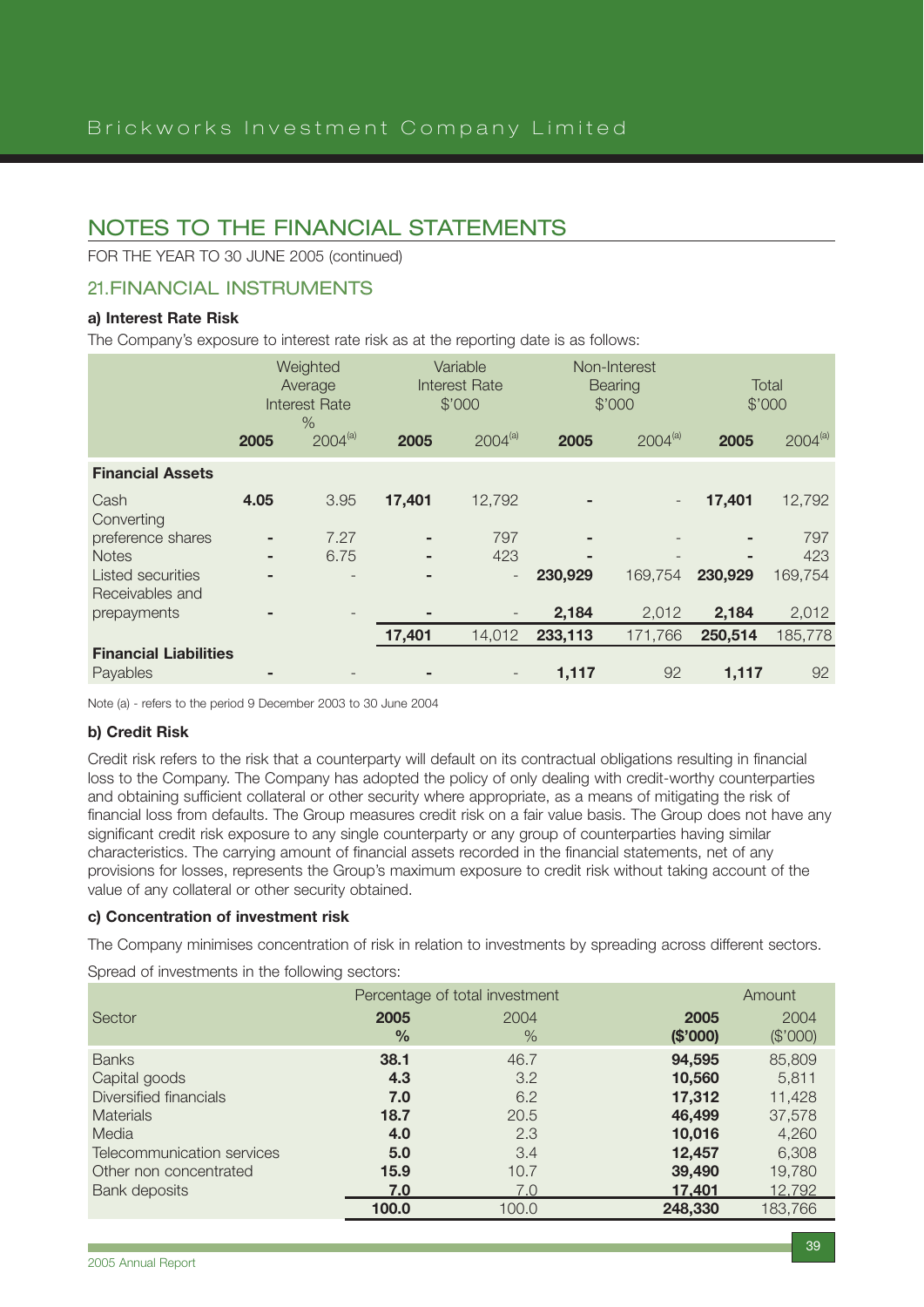FOR THE YEAR TO 30 JUNE 2005 (continued)

## 21.FINANCIAL INSTRUMENTS

#### **a) Interest Rate Risk**

The Company's exposure to interest rate risk as at the reporting date is as follows:

|                                          |                              | Weighted<br>Average<br><b>Interest Rate</b><br>$\frac{0}{0}$ |        | Variable<br><b>Interest Rate</b><br>\$'000 |         | Non-Interest<br><b>Bearing</b><br>\$'000 |         | Total<br>\$'000 |
|------------------------------------------|------------------------------|--------------------------------------------------------------|--------|--------------------------------------------|---------|------------------------------------------|---------|-----------------|
|                                          | 2005                         | $2004^{(a)}$                                                 | 2005   | $2004^{(a)}$                               | 2005    | $2004^{(a)}$                             | 2005    | $2004^{(a)}$    |
| <b>Financial Assets</b>                  |                              |                                                              |        |                                            |         |                                          |         |                 |
| Cash<br>Converting                       | 4.05                         | 3.95                                                         | 17,401 | 12,792                                     |         | $\overline{\phantom{a}}$                 | 17,401  | 12,792          |
| preference shares                        |                              | 7.27                                                         |        | 797                                        |         |                                          |         | 797             |
| <b>Notes</b>                             | ٠                            | 6.75                                                         |        | 423                                        |         |                                          |         | 423             |
| Listed securities<br>Receivables and     | -                            | $\qquad \qquad -$                                            | ۰      | $\overline{\phantom{a}}$                   | 230,929 | 169,754                                  | 230,929 | 169,754         |
| prepayments                              |                              | $\overline{\phantom{a}}$                                     |        |                                            | 2,184   | 2,012                                    | 2,184   | 2,012           |
|                                          |                              |                                                              | 17,401 | 14,012                                     | 233,113 | 171,766                                  | 250,514 | 185,778         |
| <b>Financial Liabilities</b><br>Payables | $\qquad \qquad \blacksquare$ |                                                              |        | $\overline{\phantom{a}}$                   | 1,117   | 92                                       | 1,117   | 92              |

Note (a) - refers to the period 9 December 2003 to 30 June 2004

#### **b) Credit Risk**

Credit risk refers to the risk that a counterparty will default on its contractual obligations resulting in financial loss to the Company. The Company has adopted the policy of only dealing with credit-worthy counterparties and obtaining sufficient collateral or other security where appropriate, as a means of mitigating the risk of financial loss from defaults. The Group measures credit risk on a fair value basis. The Group does not have any significant credit risk exposure to any single counterparty or any group of counterparties having similar characteristics. The carrying amount of financial assets recorded in the financial statements, net of any provisions for losses, represents the Group's maximum exposure to credit risk without taking account of the value of any collateral or other security obtained.

#### **c) Concentration of investment risk**

The Company minimises concentration of risk in relation to investments by spreading across different sectors.

Spread of investments in the following sectors:

|                            | Percentage of total investment |              |                  | Amount           |
|----------------------------|--------------------------------|--------------|------------------|------------------|
| Sector                     | 2005<br>$\frac{0}{0}$          | 2004<br>$\%$ | 2005<br>(\$'000) | 2004<br>(\$'000) |
| <b>Banks</b>               | 38.1                           | 46.7         | 94,595           | 85,809           |
| Capital goods              | 4.3                            | 3.2          | 10,560           | 5,811            |
| Diversified financials     | 7.0                            | 6.2          | 17,312           | 11,428           |
| <b>Materials</b>           | 18.7                           | 20.5         | 46,499           | 37,578           |
| Media                      | 4.0                            | 2.3          | 10,016           | 4,260            |
| Telecommunication services | 5.0                            | 3.4          | 12,457           | 6,308            |
| Other non concentrated     | 15.9                           | 10.7         | 39,490           | 19,780           |
| Bank deposits              | 7.0                            | 7.0          | 17,401           | 12,792           |
|                            | 100.0                          | 100.0        | 248,330          | 183,766          |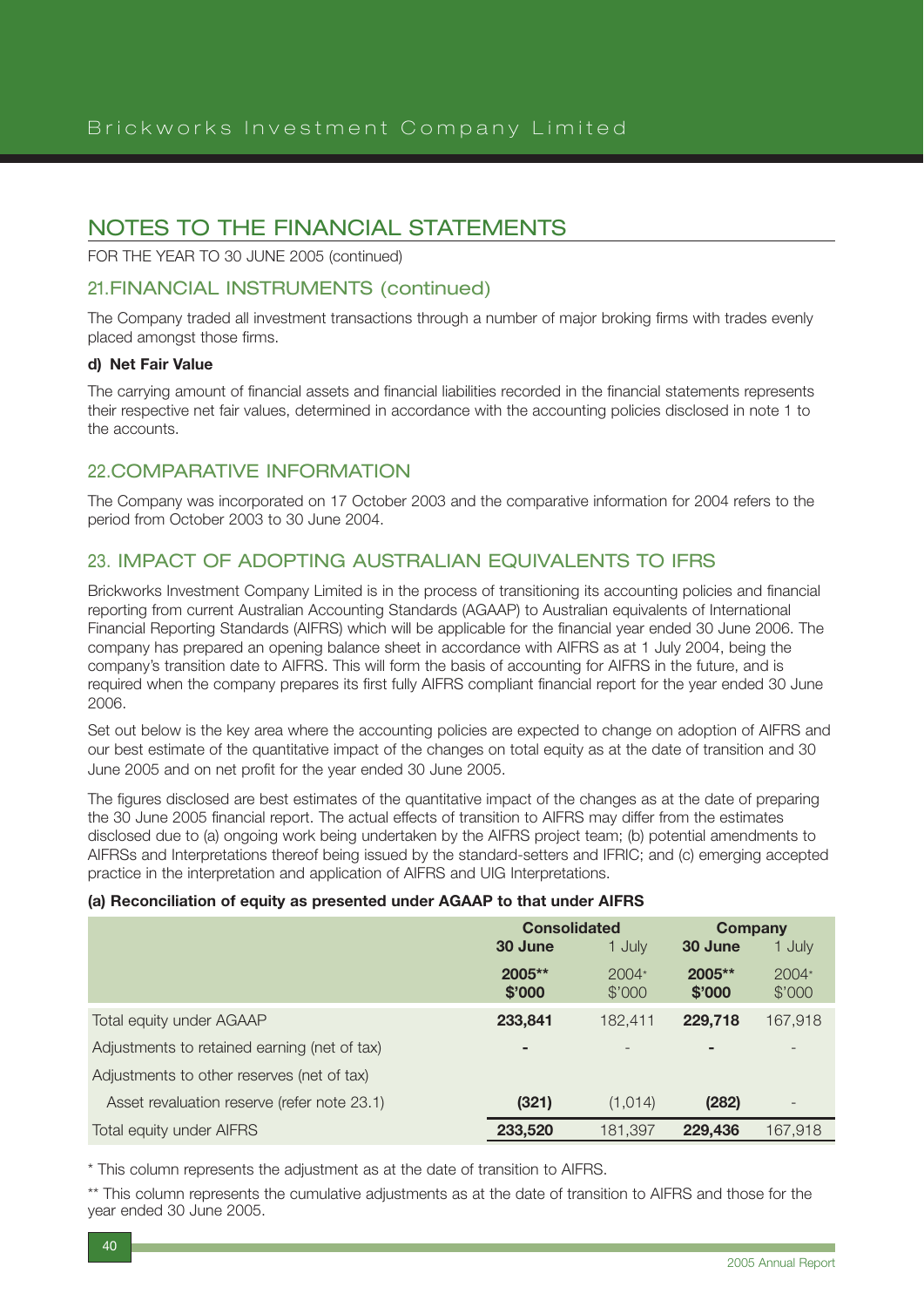FOR THE YEAR TO 30 JUNE 2005 (continued)

### 21.FINANCIAL INSTRUMENTS (continued)

The Company traded all investment transactions through a number of major broking firms with trades evenly placed amongst those firms.

#### **d) Net Fair Value**

The carrying amount of financial assets and financial liabilities recorded in the financial statements represents their respective net fair values, determined in accordance with the accounting policies disclosed in note 1 to the accounts.

### 22.COMPARATIVE INFORMATION

The Company was incorporated on 17 October 2003 and the comparative information for 2004 refers to the period from October 2003 to 30 June 2004.

## 23. IMPACT OF ADOPTING AUSTRALIAN EQUIVALENTS TO IFRS

Brickworks Investment Company Limited is in the process of transitioning its accounting policies and financial reporting from current Australian Accounting Standards (AGAAP) to Australian equivalents of International Financial Reporting Standards (AIFRS) which will be applicable for the financial year ended 30 June 2006. The company has prepared an opening balance sheet in accordance with AIFRS as at 1 July 2004, being the company's transition date to AIFRS. This will form the basis of accounting for AIFRS in the future, and is required when the company prepares its first fully AIFRS compliant financial report for the year ended 30 June 2006.

Set out below is the key area where the accounting policies are expected to change on adoption of AIFRS and our best estimate of the quantitative impact of the changes on total equity as at the date of transition and 30 June 2005 and on net profit for the year ended 30 June 2005.

The figures disclosed are best estimates of the quantitative impact of the changes as at the date of preparing the 30 June 2005 financial report. The actual effects of transition to AIFRS may differ from the estimates disclosed due to (a) ongoing work being undertaken by the AIFRS project team; (b) potential amendments to AIFRSs and Interpretations thereof being issued by the standard-setters and IFRIC; and (c) emerging accepted practice in the interpretation and application of AIFRS and UIG Interpretations.

#### **(a) Reconciliation of equity as presented under AGAAP to that under AIFRS**

|                                              | <b>Consolidated</b> |                          | Company        |                          |
|----------------------------------------------|---------------------|--------------------------|----------------|--------------------------|
|                                              | 30 June             | 1 July                   | 30 June        | 1 July                   |
|                                              | 2005**              | $2004*$                  | 2005**         | $2004*$                  |
|                                              | \$'000              | \$'000                   | \$'000         | \$'000                   |
| Total equity under AGAAP                     | 233,841             | 182.411                  | 229,718        | 167,918                  |
| Adjustments to retained earning (net of tax) |                     | $\overline{\phantom{0}}$ | $\blacksquare$ |                          |
| Adjustments to other reserves (net of tax)   |                     |                          |                |                          |
| Asset revaluation reserve (refer note 23.1)  | (321)               | (1,014)                  | (282)          | $\overline{\phantom{a}}$ |
| Total equity under AIFRS                     | 233,520             | 181,397                  | 229,436        | 167,918                  |

\* This column represents the adjustment as at the date of transition to AIFRS.

\*\* This column represents the cumulative adjustments as at the date of transition to AIFRS and those for the year ended 30 June 2005.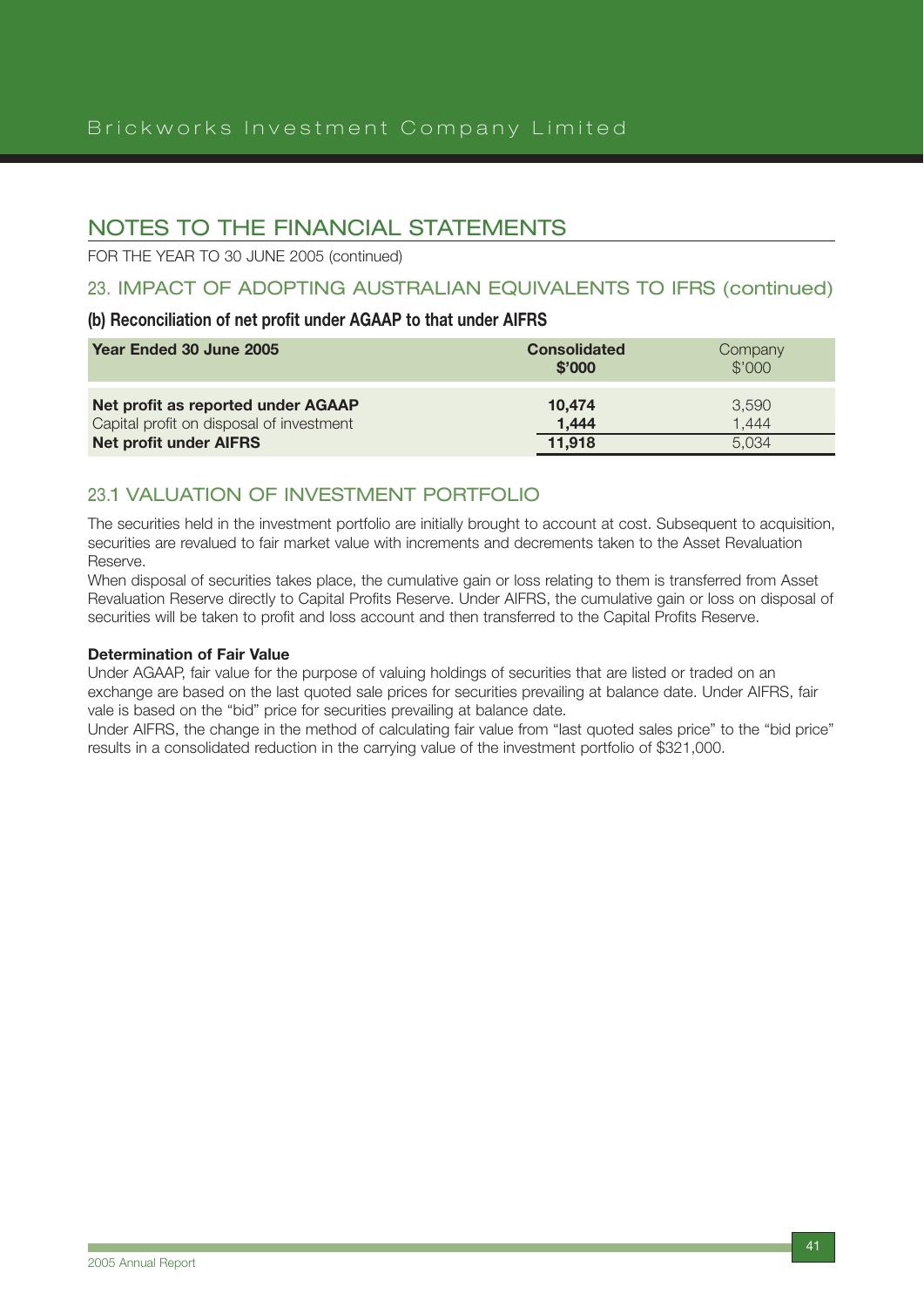FOR THE YEAR TO 30 JUNE 2005 (continued)

### 23. IMPACT OF ADOPTING AUSTRALIAN EQUIVALENTS TO IFRS (continued)

#### **(b) Reconciliation of net profit under AGAAP to that under AIFRS**

| Year Ended 30 June 2005                                                        | <b>Consolidated</b><br>\$'000 | Company<br>\$'000 |
|--------------------------------------------------------------------------------|-------------------------------|-------------------|
| Net profit as reported under AGAAP<br>Capital profit on disposal of investment | 10.474<br>1.444               | 3.590<br>.444     |
| <b>Net profit under AIFRS</b>                                                  | 11.918                        | 5.034             |

## 23.1 VALUATION OF INVESTMENT PORTFOLIO

The securities held in the investment portfolio are initially brought to account at cost. Subsequent to acquisition, securities are revalued to fair market value with increments and decrements taken to the Asset Revaluation Reserve.

When disposal of securities takes place, the cumulative gain or loss relating to them is transferred from Asset Revaluation Reserve directly to Capital Profits Reserve. Under AIFRS, the cumulative gain or loss on disposal of securities will be taken to profit and loss account and then transferred to the Capital Profits Reserve.

#### **Determination of Fair Value**

Under AGAAP, fair value for the purpose of valuing holdings of securities that are listed or traded on an exchange are based on the last quoted sale prices for securities prevailing at balance date. Under AIFRS, fair vale is based on the "bid" price for securities prevailing at balance date.

Under AIFRS, the change in the method of calculating fair value from "last quoted sales price" to the "bid price" results in a consolidated reduction in the carrying value of the investment portfolio of \$321,000.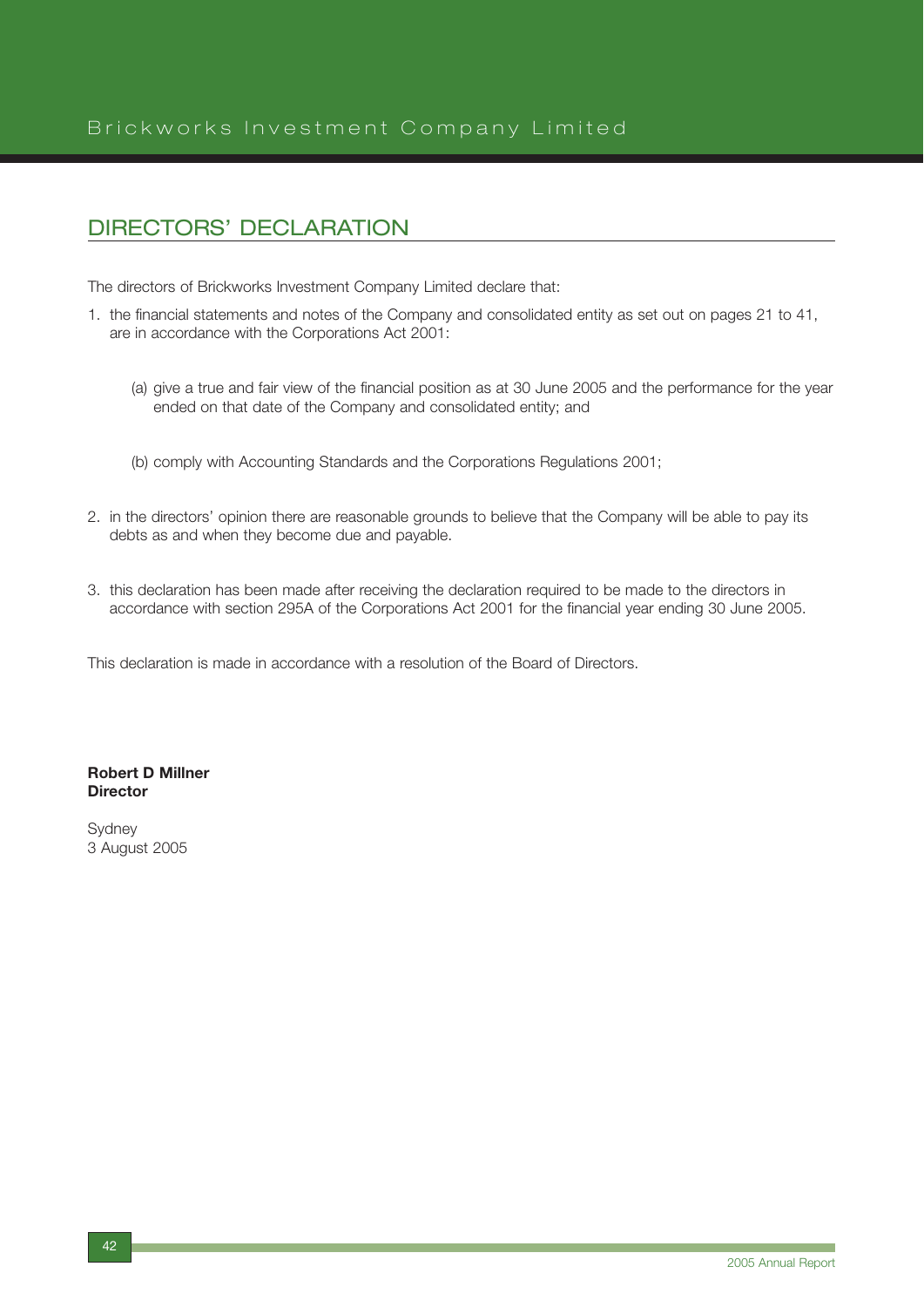## DIRECTORS' DECLARATION

The directors of Brickworks Investment Company Limited declare that:

- 1. the financial statements and notes of the Company and consolidated entity as set out on pages 21 to 41, are in accordance with the Corporations Act 2001:
	- (a) give a true and fair view of the financial position as at 30 June 2005 and the performance for the year ended on that date of the Company and consolidated entity; and
	- (b) comply with Accounting Standards and the Corporations Regulations 2001;
- 2. in the directors' opinion there are reasonable grounds to believe that the Company will be able to pay its debts as and when they become due and payable.
- 3. this declaration has been made after receiving the declaration required to be made to the directors in accordance with section 295A of the Corporations Act 2001 for the financial year ending 30 June 2005.

This declaration is made in accordance with a resolution of the Board of Directors.

#### **Robert D Millner Director**

Sydney 3 August 2005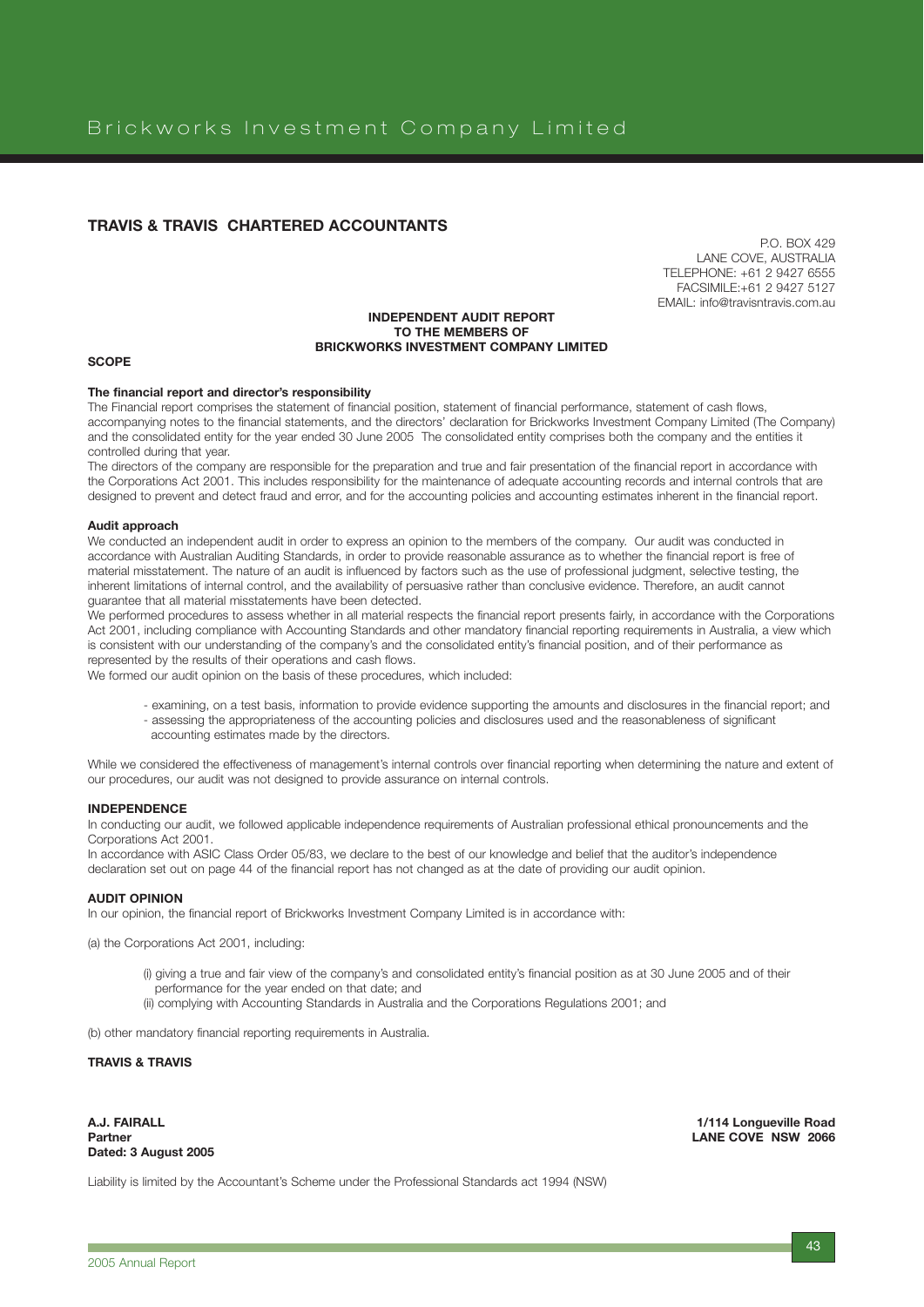#### **TRAVIS & TRAVIS CHARTERED ACCOUNTANTS**

P.O. BOX 429 LANE COVE, AUSTRALIA TELEPHONE: +61 2 9427 6555 FACSIMILE:+61 2 9427 5127 EMAIL: info@travisntravis.com.au

#### **INDEPENDENT AUDIT REPORT TO THE MEMBERS OF BRICKWORKS INVESTMENT COMPANY LIMITED**

#### **SCOPE**

#### **The financial report and director's responsibility**

The Financial report comprises the statement of financial position, statement of financial performance, statement of cash flows, accompanying notes to the financial statements, and the directors' declaration for Brickworks Investment Company Limited (The Company) and the consolidated entity for the year ended 30 June 2005 The consolidated entity comprises both the company and the entities it controlled during that year.

The directors of the company are responsible for the preparation and true and fair presentation of the financial report in accordance with the Corporations Act 2001. This includes responsibility for the maintenance of adequate accounting records and internal controls that are designed to prevent and detect fraud and error, and for the accounting policies and accounting estimates inherent in the financial report.

#### **Audit approach**

We conducted an independent audit in order to express an opinion to the members of the company. Our audit was conducted in accordance with Australian Auditing Standards, in order to provide reasonable assurance as to whether the financial report is free of material misstatement. The nature of an audit is influenced by factors such as the use of professional judgment, selective testing, the inherent limitations of internal control, and the availability of persuasive rather than conclusive evidence. Therefore, an audit cannot guarantee that all material misstatements have been detected.

We performed procedures to assess whether in all material respects the financial report presents fairly, in accordance with the Corporations Act 2001, including compliance with Accounting Standards and other mandatory financial reporting requirements in Australia, a view which is consistent with our understanding of the company's and the consolidated entity's financial position, and of their performance as represented by the results of their operations and cash flows.

We formed our audit opinion on the basis of these procedures, which included:

- examining, on a test basis, information to provide evidence supporting the amounts and disclosures in the financial report; and - assessing the appropriateness of the accounting policies and disclosures used and the reasonableness of significant
- accounting estimates made by the directors.

While we considered the effectiveness of management's internal controls over financial reporting when determining the nature and extent of our procedures, our audit was not designed to provide assurance on internal controls.

#### **INDEPENDENCE**

In conducting our audit, we followed applicable independence requirements of Australian professional ethical pronouncements and the Corporations Act 2001.

In accordance with ASIC Class Order 05/83, we declare to the best of our knowledge and belief that the auditor's independence declaration set out on page 44 of the financial report has not changed as at the date of providing our audit opinion.

#### **AUDIT OPINION**

In our opinion, the financial report of Brickworks Investment Company Limited is in accordance with:

(a) the Corporations Act 2001, including:

- (i) giving a true and fair view of the company's and consolidated entity's financial position as at 30 June 2005 and of their performance for the year ended on that date; and
- (ii) complying with Accounting Standards in Australia and the Corporations Regulations 2001; and

(b) other mandatory financial reporting requirements in Australia.

#### **TRAVIS & TRAVIS**

**Dated: 3 August 2005**

**A.J. FAIRALL 1/114 Longueville Road Partner LANE COVE NSW 2066**

Liability is limited by the Accountant's Scheme under the Professional Standards act 1994 (NSW)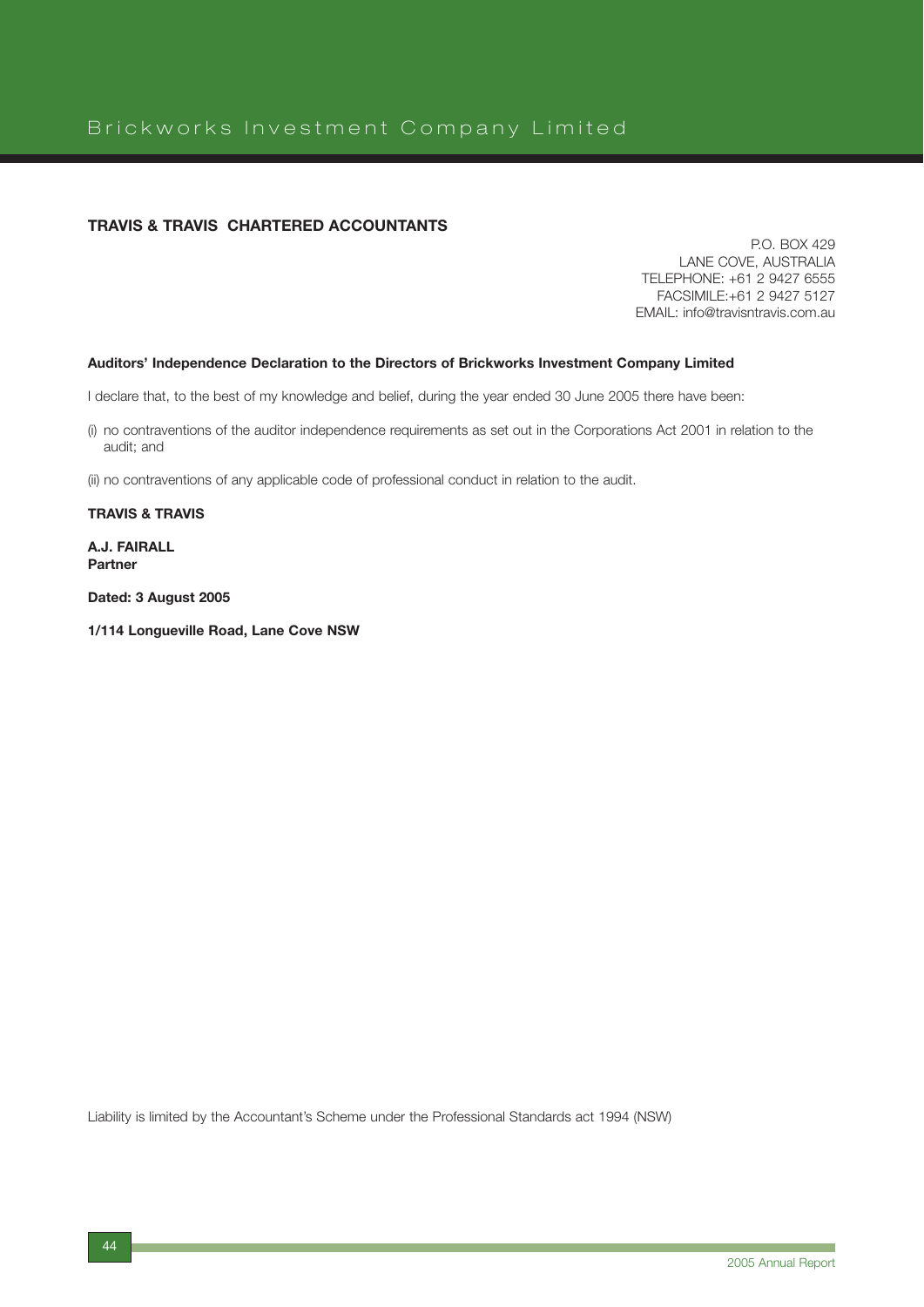#### **TRAVIS & TRAVIS CHARTERED ACCOUNTANTS**

P.O. BOX 429 LANE COVE, AUSTRALIA TELEPHONE: +61 2 9427 6555 FACSIMILE:+61 2 9427 5127 EMAIL: info@travisntravis.com.au

#### **Auditors' Independence Declaration to the Directors of Brickworks Investment Company Limited**

I declare that, to the best of my knowledge and belief, during the year ended 30 June 2005 there have been:

(i) no contraventions of the auditor independence requirements as set out in the Corporations Act 2001 in relation to the audit; and

(ii) no contraventions of any applicable code of professional conduct in relation to the audit.

#### **TRAVIS & TRAVIS**

**A.J. FAIRALL Partner**

**Dated: 3 August 2005**

**1/114 Longueville Road, Lane Cove NSW**

Liability is limited by the Accountant's Scheme under the Professional Standards act 1994 (NSW)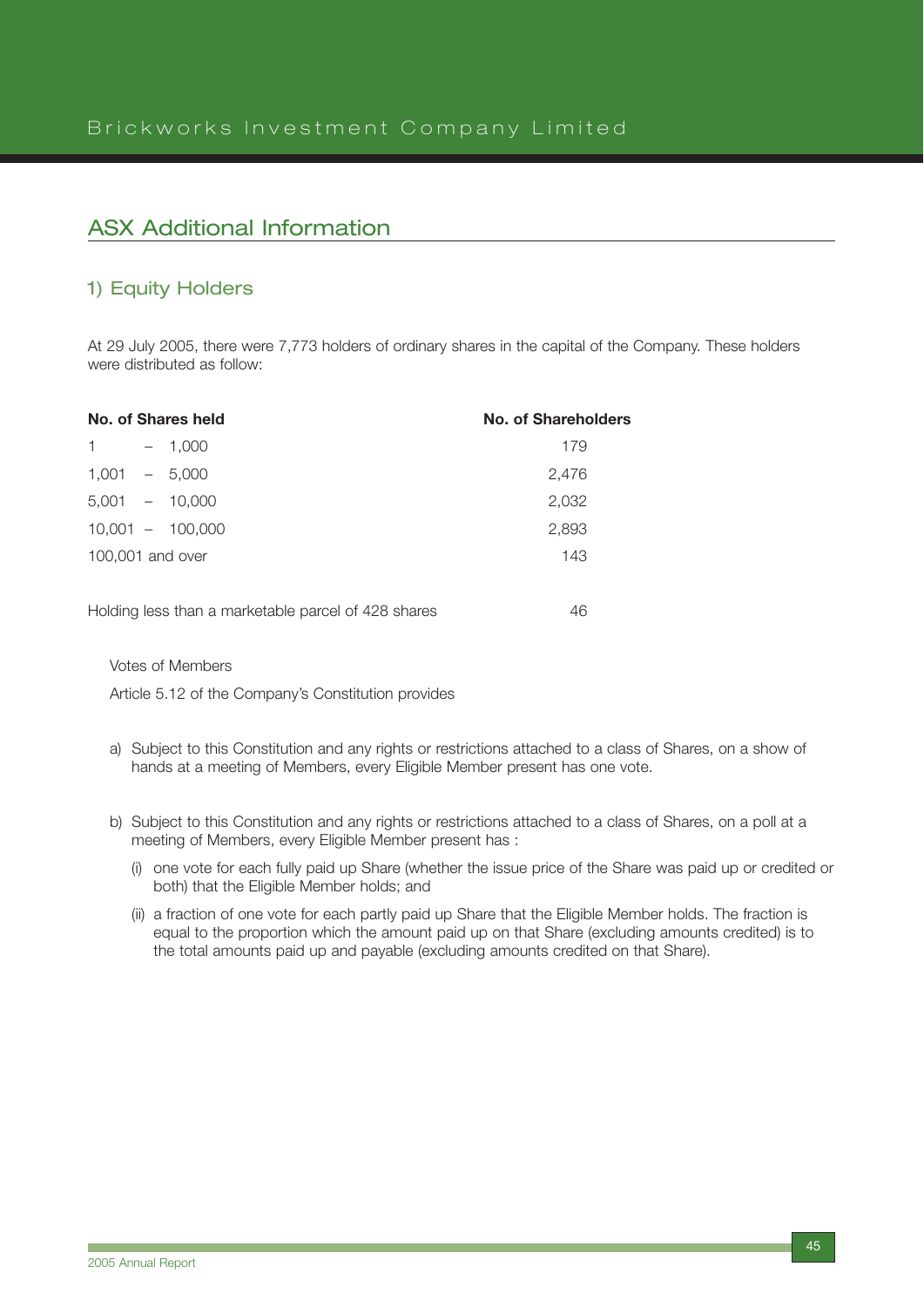## ASX Additional Information

### 1) Equity Holders

At 29 July 2005, there were 7,773 holders of ordinary shares in the capital of the Company. These holders were distributed as follow:

|                  | No. of Shares held                                  | No. of Shareholders |
|------------------|-----------------------------------------------------|---------------------|
| $1 - 1,000$      |                                                     | 179                 |
| $1,001 - 5,000$  |                                                     | 2,476               |
|                  | $5,001 - 10,000$                                    | 2,032               |
|                  | $10,001 - 100,000$                                  | 2,893               |
| 100,001 and over |                                                     | 143                 |
|                  |                                                     |                     |
|                  | Holding less than a marketable parcel of 428 shares | 46                  |

Votes of Members

Article 5.12 of the Company's Constitution provides

- a) Subject to this Constitution and any rights or restrictions attached to a class of Shares, on a show of hands at a meeting of Members, every Eligible Member present has one vote.
- b) Subject to this Constitution and any rights or restrictions attached to a class of Shares, on a poll at a meeting of Members, every Eligible Member present has :
	- (i) one vote for each fully paid up Share (whether the issue price of the Share was paid up or credited or both) that the Eligible Member holds; and
	- (ii) a fraction of one vote for each partly paid up Share that the Eligible Member holds. The fraction is equal to the proportion which the amount paid up on that Share (excluding amounts credited) is to the total amounts paid up and payable (excluding amounts credited on that Share).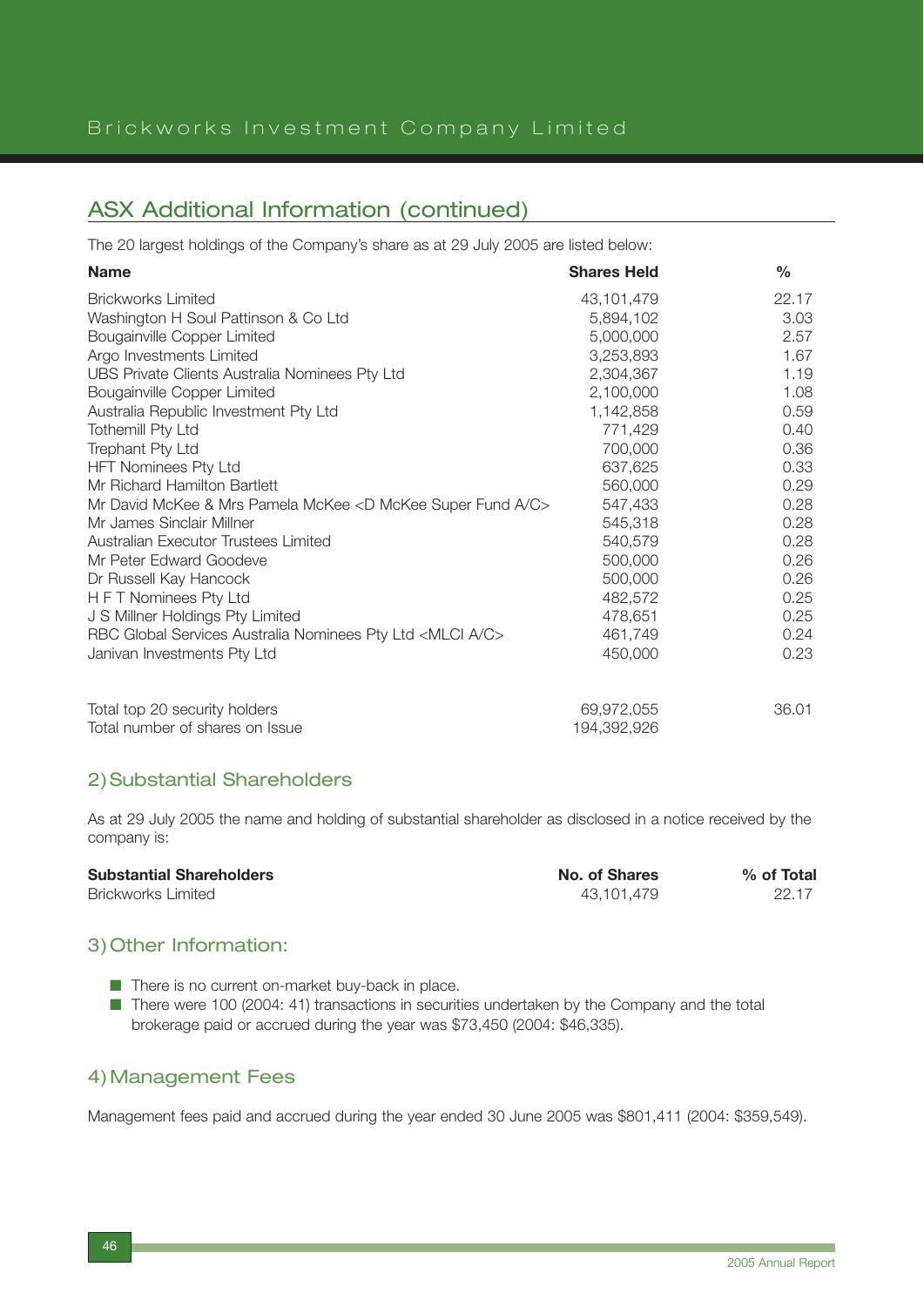## ASX Additional Information (continued)

The 20 largest holdings of the Company's share as at 29 July 2005 are listed below:

| <b>Name</b>                                                                   | <b>Shares Held</b> | $\%$  |
|-------------------------------------------------------------------------------|--------------------|-------|
| <b>Brickworks Limited</b>                                                     | 43,101,479         | 22.17 |
| Washington H Soul Pattinson & Co Ltd                                          | 5,894,102          | 3.03  |
| Bougainville Copper Limited                                                   | 5,000,000          | 2.57  |
| Argo Investments Limited                                                      | 3,253,893          | 1.67  |
| UBS Private Clients Australia Nominees Pty Ltd                                | 2,304,367          | 1.19  |
| Bougainville Copper Limited                                                   | 2,100,000          | 1.08  |
| Australia Republic Investment Pty Ltd                                         | 1,142,858          | 0.59  |
| Tothemill Pty Ltd                                                             | 771,429            | 0.40  |
| <b>Trephant Pty Ltd</b>                                                       | 700,000            | 0.36  |
| <b>HFT Nominees Pty Ltd</b>                                                   | 637,625            | 0.33  |
| Mr Richard Hamilton Bartlett                                                  | 560,000            | 0.29  |
| Mr David McKee & Mrs Pamela McKee <d a="" c="" fund="" mckee="" super=""></d> | 547,433            | 0.28  |
| Mr James Sinclair Millner                                                     | 545,318            | 0.28  |
| Australian Executor Trustees Limited                                          | 540,579            | 0.28  |
| Mr Peter Edward Goodeve                                                       | 500,000            | 0.26  |
| Dr Russell Kay Hancock                                                        | 500,000            | 0.26  |
| H F T Nominees Pty Ltd                                                        | 482,572            | 0.25  |
| J S Millner Holdings Pty Limited                                              | 478,651            | 0.25  |
| RBC Global Services Australia Nominees Pty Ltd <mlcl a="" c=""></mlcl>        | 461,749            | 0.24  |
| Janivan Investments Pty Ltd                                                   | 450,000            | 0.23  |
| Total top 20 security holders                                                 | 69,972,055         | 36.01 |
| Total number of shares on Issue                                               | 194,392,926        |       |

## 2)Substantial Shareholders

As at 29 July 2005 the name and holding of substantial shareholder as disclosed in a notice received by the company is:

| <b>Substantial Shareholders</b> | No. of Shares | % of Total |
|---------------------------------|---------------|------------|
| <b>Brickworks Limited</b>       | 43.101.479    | 22.17      |

### 3)Other Information:

- There is no current on-market buy-back in place.
- There were 100 (2004: 41) transactions in securities undertaken by the Company and the total brokerage paid or accrued during the year was \$73,450 (2004: \$46,335).

### 4)Management Fees

Management fees paid and accrued during the year ended 30 June 2005 was \$801,411 (2004: \$359,549).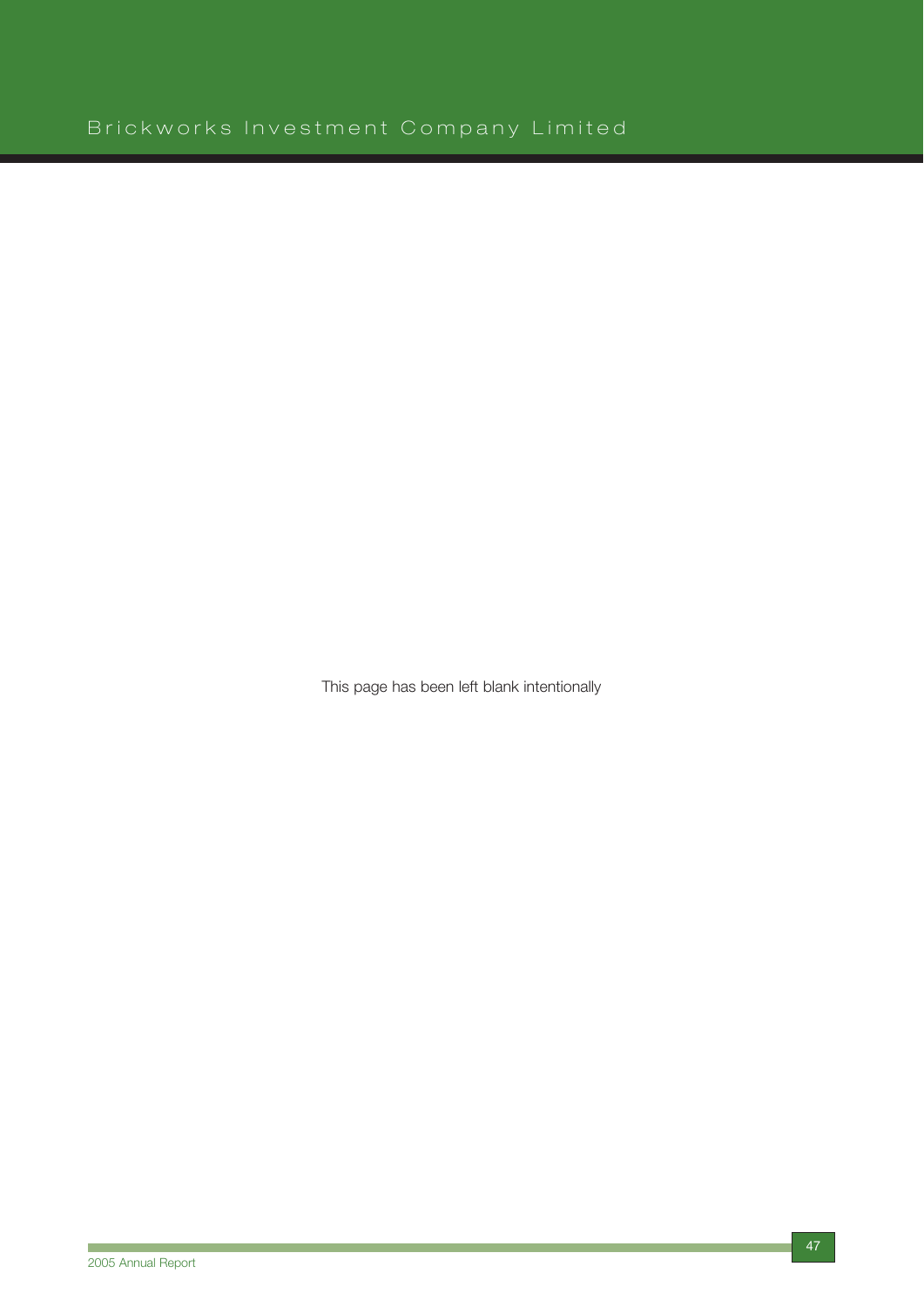This page has been left blank intentionally

**The Co**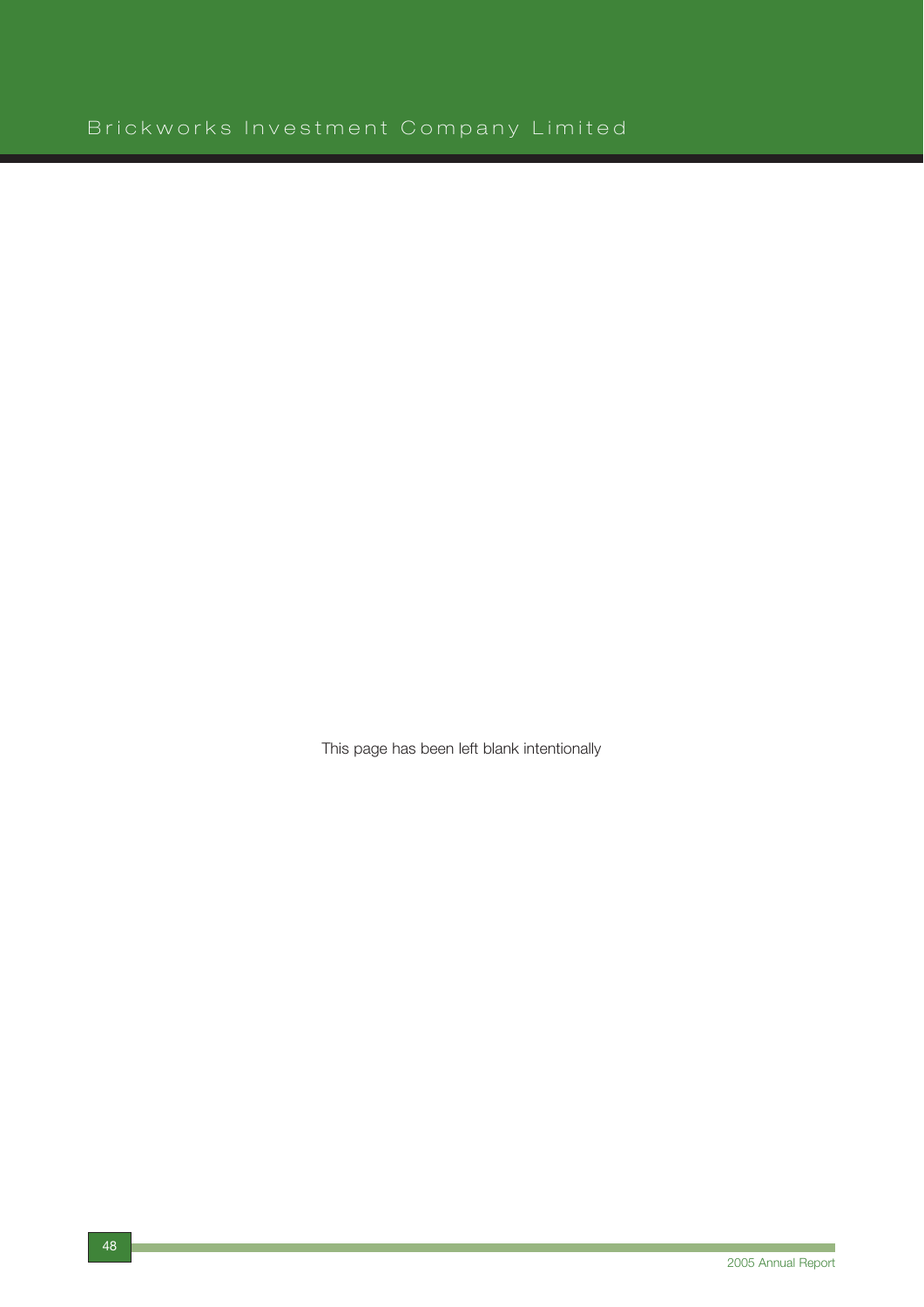This page has been left blank intentionally